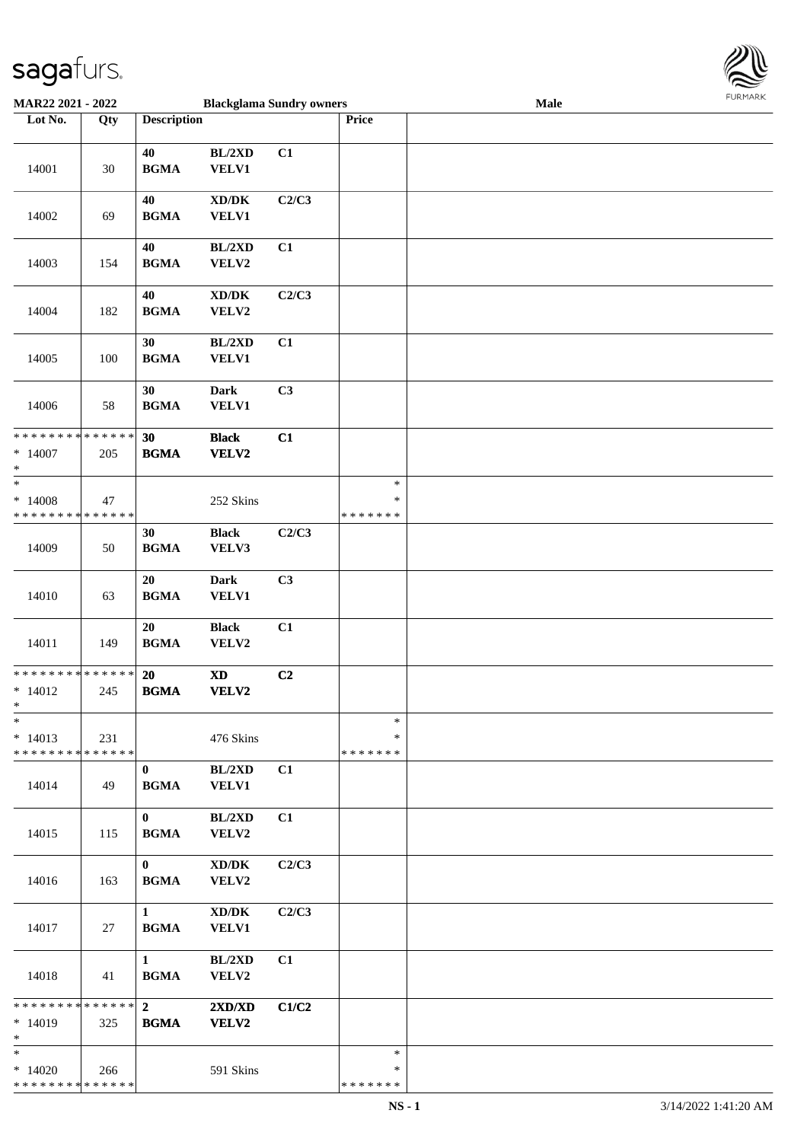

| MAR22 2021 - 2022                                                   |                    |                               |                                                      | <b>Blackglama Sundry owners</b> |                                   | Male |  |
|---------------------------------------------------------------------|--------------------|-------------------------------|------------------------------------------------------|---------------------------------|-----------------------------------|------|--|
| Lot No.                                                             | Qty                | <b>Description</b>            |                                                      |                                 | Price                             |      |  |
| 14001                                                               | 30                 | 40<br><b>BGMA</b>             | BL/2XD<br><b>VELV1</b>                               | C1                              |                                   |      |  |
| 14002                                                               | 69                 | 40<br><b>BGMA</b>             | $\bold{X}\bold{D}/\bold{D}\bold{K}$<br><b>VELV1</b>  | C2/C3                           |                                   |      |  |
| 14003                                                               | 154                | 40<br><b>BGMA</b>             | BL/2XD<br>VELV2                                      | C1                              |                                   |      |  |
| 14004                                                               | 182                | 40<br><b>BGMA</b>             | $\bold{X}\bold{D}/\bold{D}\bold{K}$<br>VELV2         | C2/C3                           |                                   |      |  |
| 14005                                                               | 100                | 30<br><b>BGMA</b>             | BL/2XD<br><b>VELV1</b>                               | C1                              |                                   |      |  |
| 14006                                                               | 58                 | 30<br><b>BGMA</b>             | <b>Dark</b><br><b>VELV1</b>                          | C3                              |                                   |      |  |
| **************<br>$*14007$<br>$\ast$                                | 205                | 30<br><b>BGMA</b>             | <b>Black</b><br><b>VELV2</b>                         | C1                              |                                   |      |  |
| $\overline{\phantom{1}}$<br>$*14008$<br>* * * * * * * * * * * * * * | 47                 |                               | 252 Skins                                            |                                 | $\ast$<br>$\ast$<br>* * * * * * * |      |  |
| 14009                                                               | 50                 | 30<br><b>BGMA</b>             | <b>Black</b><br>VELV3                                | C2/C3                           |                                   |      |  |
| 14010                                                               | 63                 | 20<br><b>BGMA</b>             | <b>Dark</b><br><b>VELV1</b>                          | C3                              |                                   |      |  |
| 14011                                                               | 149                | 20<br><b>BGMA</b>             | <b>Black</b><br>VELV2                                | C1                              |                                   |      |  |
| **************<br>$* 14012$<br>$*$                                  | 245                | <b>20</b><br><b>BGMA</b>      | $\boldsymbol{\mathrm{XD}}$<br>VELV2                  | C2                              |                                   |      |  |
| $\ast$<br>$* 14013$<br>* * * * * * * * * * * * * *                  | 231                |                               | 476 Skins                                            |                                 | $\ast$<br>*<br>* * * * * * *      |      |  |
| 14014                                                               | 49                 | $\bf{0}$<br><b>BGMA</b>       | BL/2XD<br><b>VELV1</b>                               | C1                              |                                   |      |  |
| 14015                                                               | 115                | $\bf{0}$<br><b>BGMA</b>       | BL/2XD<br>VELV2                                      | C1                              |                                   |      |  |
| 14016                                                               | 163                | $\bf{0}$<br><b>BGMA</b>       | $\mathbf{X}\mathbf{D}/\mathbf{D}\mathbf{K}$<br>VELV2 | C2/C3                           |                                   |      |  |
| 14017                                                               | 27                 | $\mathbf{1}$<br><b>BGMA</b>   | $\bold{X}\bold{D}/\bold{D}\bold{K}$<br><b>VELV1</b>  | C2/C3                           |                                   |      |  |
| 14018                                                               | 41                 | $\mathbf{1}$<br><b>BGMA</b>   | BL/2XD<br>VELV2                                      | C1                              |                                   |      |  |
| ********<br>$* 14019$<br>$\ast$                                     | * * * * * *<br>325 | $\overline{2}$<br><b>BGMA</b> | 2XD/XD<br><b>VELV2</b>                               | C1/C2                           |                                   |      |  |
| $\overline{\ast}$<br>$*14020$<br>* * * * * * * * * * * * * *        | 266                |                               | 591 Skins                                            |                                 | $\ast$<br>∗<br>* * * * * * *      |      |  |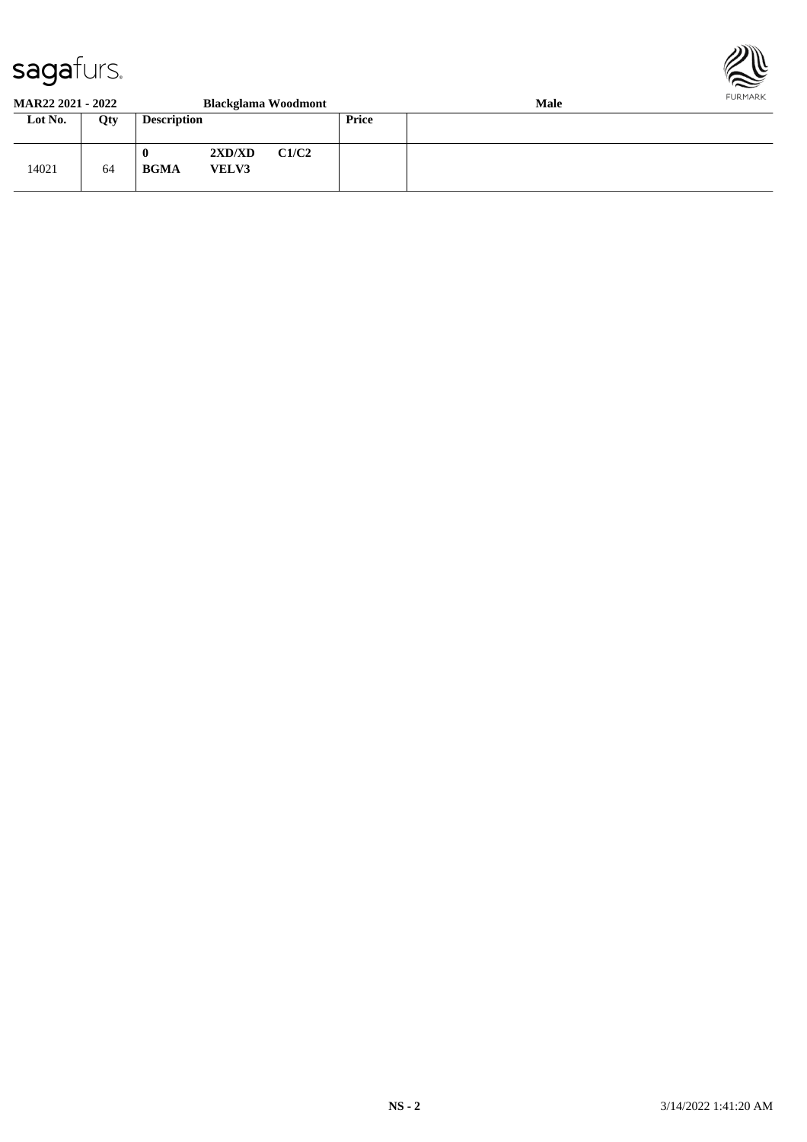

#### **MAR22 2021 - 2022 Blackglama Woodmont Male Lot No. Qty Description Price** 14021 64 **0 2XD/XD C1/C2 BGMA VELV3**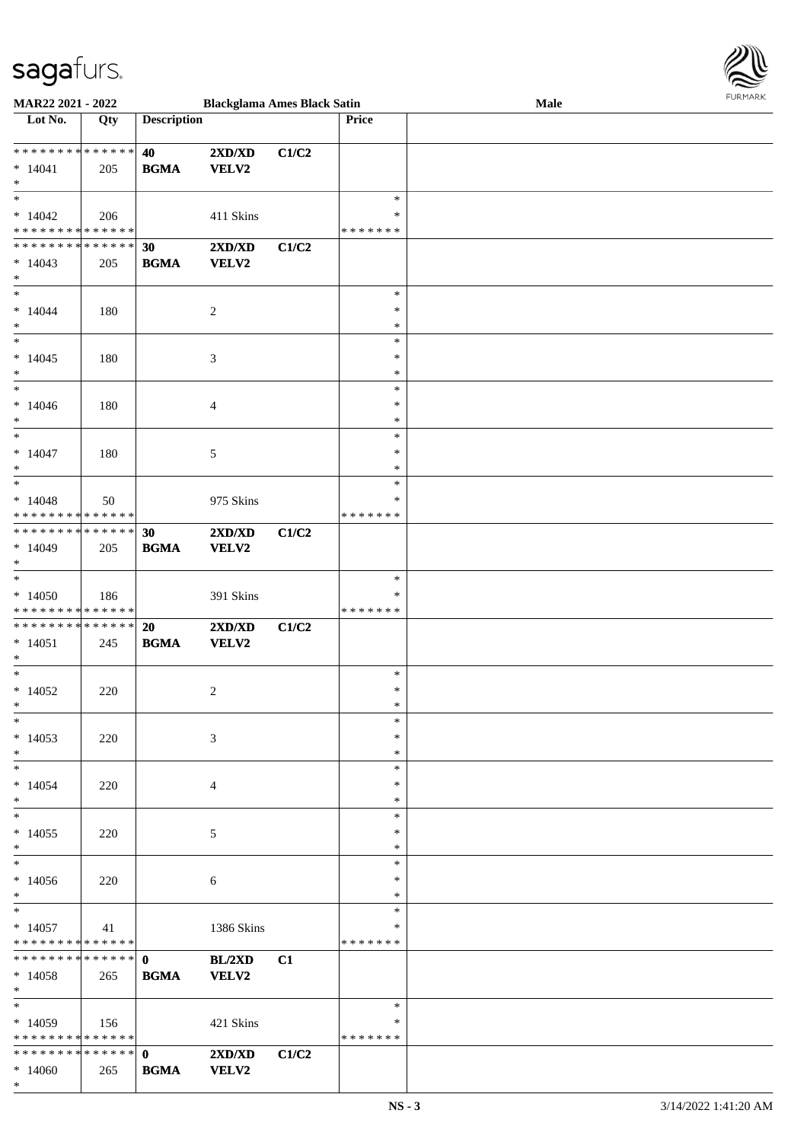\* \*

| Lot No.                                                      | Qty | <b>Description</b>          |                                                  |       | Price                             |  |
|--------------------------------------------------------------|-----|-----------------------------|--------------------------------------------------|-------|-----------------------------------|--|
| **************<br>$* 14041$<br>$\ast$                        | 205 | 40<br><b>BGMA</b>           | 2XD/XD<br><b>VELV2</b>                           | C1/C2 |                                   |  |
| $\ast$<br>$*14042$<br>* * * * * * * * * * * * * *            | 206 |                             | 411 Skins                                        |       | $\ast$<br>∗<br>* * * * * * *      |  |
| ******** <mark>******</mark><br>$*14043$<br>$*$              | 205 | 30<br><b>BGMA</b>           | 2XD/XD<br><b>VELV2</b>                           | C1/C2 |                                   |  |
| $\overline{\ast}$<br>$* 14044$<br>$\ast$                     | 180 |                             | $\overline{c}$                                   |       | $\ast$<br>$\ast$<br>$\ast$        |  |
| $_{\ast}^{-}$<br>$*14045$<br>$\ast$                          | 180 |                             | $\mathfrak{Z}$                                   |       | $\ast$<br>$\ast$<br>$\ast$        |  |
| $\ast$<br>$*14046$<br>$\ast$                                 | 180 |                             | 4                                                |       | $\ast$<br>$\ast$<br>$\ast$        |  |
| $\overline{\phantom{1}}$<br>$* 14047$<br>$\ast$<br>$_{\ast}$ | 180 |                             | 5                                                |       | $\ast$<br>$\ast$<br>$\ast$        |  |
| $*14048$<br>* * * * * * * * * * * * * *                      | 50  |                             | 975 Skins                                        |       | $\ast$<br>∗<br>* * * * * * *      |  |
| * * * * * * * * * * * * * *<br>$*14049$<br>$\ast$            | 205 | 30<br><b>BGMA</b>           | 2XD/XD<br><b>VELV2</b>                           | C1/C2 |                                   |  |
| $\ast$<br>$*14050$<br>* * * * * * * * * * * * * *            | 186 |                             | 391 Skins                                        |       | $\ast$<br>$\ast$<br>* * * * * * * |  |
| **************<br>$*14051$<br>$\ast$                         | 245 | 20<br><b>BGMA</b>           | 2XD/XD<br><b>VELV2</b>                           | C1/C2 |                                   |  |
| $*$<br>$*14052$<br>$*$                                       | 220 |                             | $\overline{c}$                                   |       | $\ast$<br>$\ast$<br>$\ast$        |  |
| $*$<br>$*14053$<br>$\ast$                                    | 220 |                             | 3                                                |       | $\ast$<br>$\ast$<br>$\ast$        |  |
| $\ast$<br>$*14054$<br>$\ast$                                 | 220 |                             | 4                                                |       | $\ast$<br>∗<br>$\ast$             |  |
| $\ast$<br>$*14055$<br>$\ast$                                 | 220 |                             | 5                                                |       | $\ast$<br>*<br>∗                  |  |
| $\ast$<br>$*14056$<br>$\ast$                                 | 220 |                             | 6                                                |       | $\ast$<br>∗<br>$\ast$             |  |
| $\ast$<br>$*14057$<br>* * * * * * * * * * * * * *            | 41  |                             | 1386 Skins                                       |       | $\ast$<br>∗<br>* * * * * * *      |  |
| $* 14058$<br>$*$ $-$                                         | 265 | <b>BGMA</b>                 | BL/2XD<br>VELV2                                  | C1    |                                   |  |
| $\ast$<br>$*14059$<br>* * * * * * * * * * * * * *            | 156 |                             | 421 Skins                                        |       | $\ast$<br>∗<br>* * * * * * *      |  |
| ******** <mark>******</mark><br>$*14060$                     | 265 | $\mathbf{0}$<br><b>BGMA</b> | $2{\bf X}{\bf D}/{\bf X}{\bf D}$<br><b>VELV2</b> | C1/C2 |                                   |  |

**MAR22 2021 - 2022 Blackglama Ames Black Satin Male**

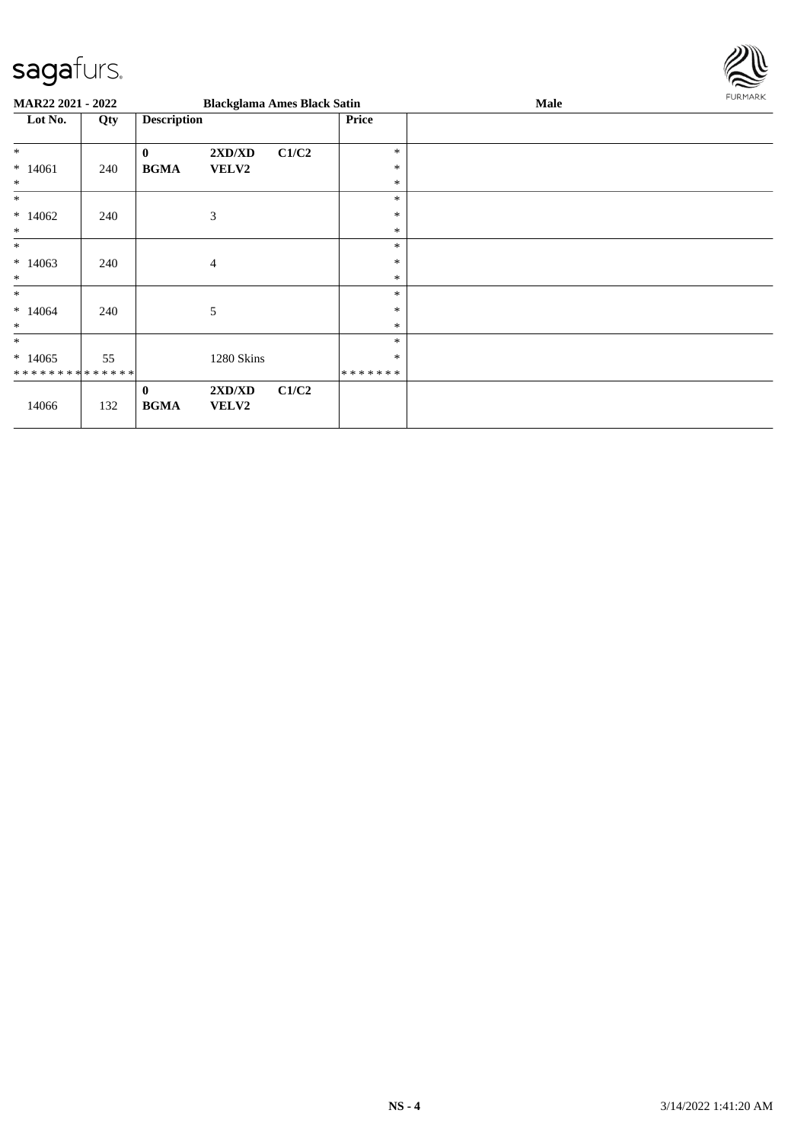

| <b>MAR22 2021 - 2022</b>      |     |                         | <b>Blackglama Ames Black Satin</b> |       |              | Male | FURMARK |
|-------------------------------|-----|-------------------------|------------------------------------|-------|--------------|------|---------|
| Lot No.<br>Qty                |     | <b>Description</b>      |                                    |       | <b>Price</b> |      |         |
| $\ast$                        |     | $\bf{0}$                | 2XD/XD                             | C1/C2 | $\ast$       |      |         |
| $*14061$                      | 240 | <b>BGMA</b>             | <b>VELV2</b>                       |       | $\ast$       |      |         |
| $\ast$                        |     |                         |                                    |       | $\ast$       |      |         |
| $*$                           |     |                         |                                    |       | $\ast$       |      |         |
| $*14062$                      | 240 |                         | 3                                  |       | $\ast$       |      |         |
| $\ast$                        |     |                         |                                    |       | $\ast$       |      |         |
| $\ast$                        |     |                         |                                    |       | $\ast$       |      |         |
| $*14063$                      | 240 |                         | $\overline{4}$                     |       | $\ast$       |      |         |
| $\ast$                        |     |                         |                                    |       | $\ast$       |      |         |
| $\ast$                        |     |                         |                                    |       | $\ast$       |      |         |
| $*14064$                      | 240 |                         | 5                                  |       | $\ast$       |      |         |
| $\ast$                        |     |                         |                                    |       | $\ast$       |      |         |
| $\ast$                        |     |                         |                                    |       | $\ast$       |      |         |
| $*14065$                      | 55  |                         | 1280 Skins                         |       | $\ast$       |      |         |
| * * * * * * * * * * * * * * * |     |                         |                                    |       | *******      |      |         |
| 14066                         | 132 | $\bf{0}$<br><b>BGMA</b> | 2XD/XD<br><b>VELV2</b>             | C1/C2 |              |      |         |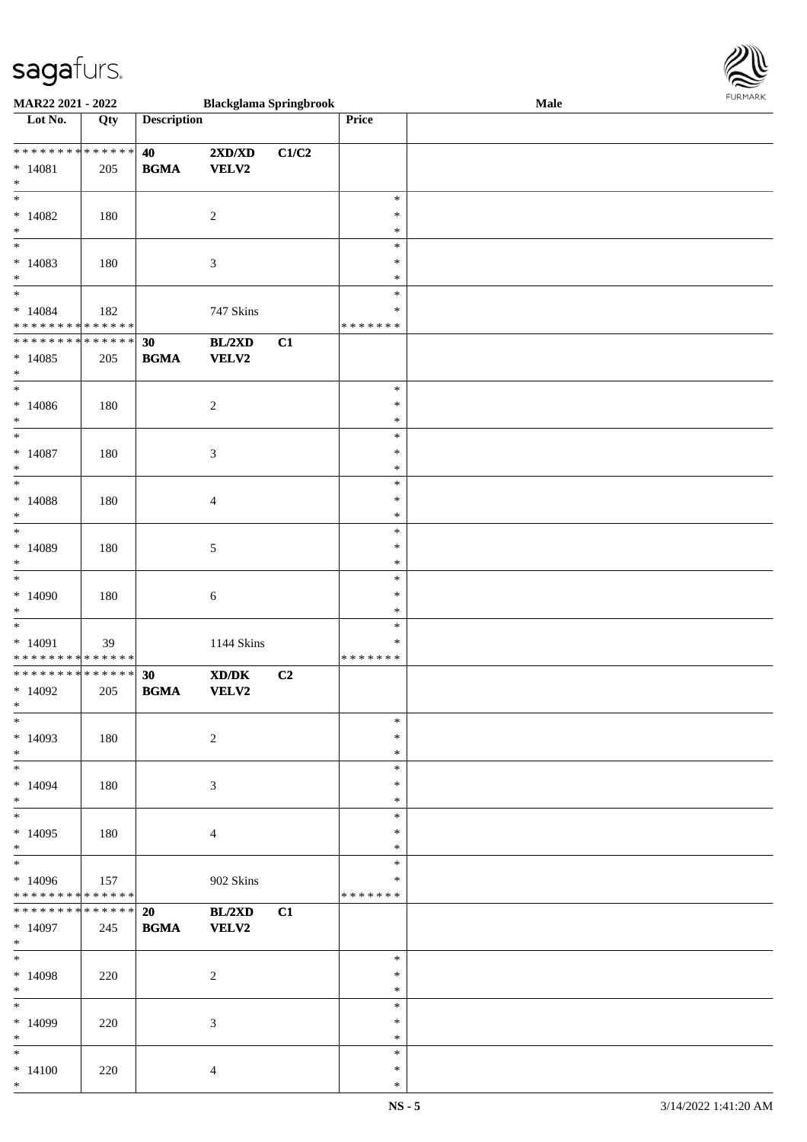

| <b>MAR22 2021 - 2022</b>                   |     |                    | <b>Blackglama Springbrook</b>                               |                |         | Male |  |
|--------------------------------------------|-----|--------------------|-------------------------------------------------------------|----------------|---------|------|--|
| Lot No.                                    | Qty | <b>Description</b> |                                                             |                | Price   |      |  |
|                                            |     |                    |                                                             |                |         |      |  |
| ******** <mark>******</mark>               |     | 40                 | $2{\bf X}{\bf D}/{\bf X}{\bf D}$                            | C1/C2          |         |      |  |
| $* 14081$                                  | 205 | <b>BGMA</b>        | <b>VELV2</b>                                                |                |         |      |  |
| $\ast$                                     |     |                    |                                                             |                |         |      |  |
| $\overline{\ast}$                          |     |                    |                                                             |                | $\ast$  |      |  |
|                                            |     |                    |                                                             |                |         |      |  |
| $*14082$                                   | 180 |                    | $\sqrt{2}$                                                  |                | $\ast$  |      |  |
| $*$                                        |     |                    |                                                             |                | $\ast$  |      |  |
|                                            |     |                    |                                                             |                | $\ast$  |      |  |
| $*14083$                                   | 180 |                    | $\mathfrak{Z}$                                              |                | $\ast$  |      |  |
| $\ast$                                     |     |                    |                                                             |                | $\ast$  |      |  |
| $*$                                        |     |                    |                                                             |                | $\ast$  |      |  |
| $*14084$                                   | 182 |                    | 747 Skins                                                   |                | $\ast$  |      |  |
| * * * * * * * * <mark>* * * * * *</mark>   |     |                    |                                                             |                | ******* |      |  |
| * * * * * * * * <mark>* * * * * * *</mark> |     | 30                 | BL/2XD                                                      | C1             |         |      |  |
| $*14085$                                   | 205 | <b>BGMA</b>        | <b>VELV2</b>                                                |                |         |      |  |
| $*$                                        |     |                    |                                                             |                |         |      |  |
| $\overline{\phantom{0}}$                   |     |                    |                                                             |                |         |      |  |
|                                            |     |                    |                                                             |                | $\ast$  |      |  |
| $*14086$                                   | 180 |                    | $\overline{c}$                                              |                | $\ast$  |      |  |
| $*$                                        |     |                    |                                                             |                | $\ast$  |      |  |
| $\overline{\ast}$                          |     |                    |                                                             |                | $\ast$  |      |  |
| $* 14087$                                  | 180 |                    | $\mathfrak{Z}$                                              |                | $\ast$  |      |  |
| $\ast$                                     |     |                    |                                                             |                | $\ast$  |      |  |
| $\overline{\phantom{0}}$                   |     |                    |                                                             |                | $\ast$  |      |  |
| $*14088$                                   | 180 |                    | $\overline{4}$                                              |                | $\ast$  |      |  |
| $\ast$                                     |     |                    |                                                             |                | $\ast$  |      |  |
| $\overline{\phantom{0}}$                   |     |                    |                                                             |                | $\ast$  |      |  |
|                                            |     |                    |                                                             |                |         |      |  |
| $*14089$                                   | 180 |                    | 5                                                           |                | $\ast$  |      |  |
| $\ast$                                     |     |                    |                                                             |                | $\ast$  |      |  |
| $\ast$                                     |     |                    |                                                             |                | $\ast$  |      |  |
| $*14090$                                   | 180 |                    | 6                                                           |                | $\ast$  |      |  |
| $*$                                        |     |                    |                                                             |                | $\ast$  |      |  |
| $\overline{\phantom{0}}$                   |     |                    |                                                             |                | $\ast$  |      |  |
| $* 14091$                                  | 39  |                    | 1144 Skins                                                  |                | $\ast$  |      |  |
| * * * * * * * * <mark>* * * * * *</mark>   |     |                    |                                                             |                | ******* |      |  |
| * * * * * * * * <mark>* * * * * * *</mark> |     | 30                 | $\boldsymbol{\text{X} \text{D} \text{/} \text{D} \text{K}}$ | C <sub>2</sub> |         |      |  |
| $*14092$                                   | 205 | <b>BGMA</b>        | VELV2                                                       |                |         |      |  |
| $*$                                        |     |                    |                                                             |                |         |      |  |
| $\ast$                                     |     |                    |                                                             |                | $\ast$  |      |  |
| $*14093$                                   | 180 |                    | $\overline{c}$                                              |                | $\ast$  |      |  |
|                                            |     |                    |                                                             |                | $\ast$  |      |  |
| $*$<br>$*$ $-$                             |     |                    |                                                             |                |         |      |  |
|                                            |     |                    |                                                             |                | $\ast$  |      |  |
| $*14094$                                   | 180 |                    | 3                                                           |                | $\ast$  |      |  |
| $\ast$                                     |     |                    |                                                             |                | $\ast$  |      |  |
| $*$                                        |     |                    |                                                             |                | $\ast$  |      |  |
| $*14095$                                   | 180 |                    | $\overline{4}$                                              |                | $\ast$  |      |  |
| $\ast$                                     |     |                    |                                                             |                | $\ast$  |      |  |
| $*$                                        |     |                    |                                                             |                | $\ast$  |      |  |
| $*14096$                                   | 157 |                    | 902 Skins                                                   |                | $\ast$  |      |  |
| * * * * * * * * <mark>* * * * * *</mark>   |     |                    |                                                             |                | ******* |      |  |
| * * * * * * * * * * * * * * *              |     | 20                 | BL/2XD                                                      | C1             |         |      |  |
| $*14097$                                   | 245 | <b>BGMA</b>        | <b>VELV2</b>                                                |                |         |      |  |
| $*$ $-$                                    |     |                    |                                                             |                |         |      |  |
| $\ast$                                     |     |                    |                                                             |                | $\ast$  |      |  |
|                                            |     |                    |                                                             |                | $\ast$  |      |  |
| $*14098$                                   | 220 |                    | $\overline{c}$                                              |                |         |      |  |
| $*$                                        |     |                    |                                                             |                | $\ast$  |      |  |
| $*$                                        |     |                    |                                                             |                | $\ast$  |      |  |
| $*14099$                                   | 220 |                    | $\mathfrak{Z}$                                              |                | $\ast$  |      |  |
| $*$                                        |     |                    |                                                             |                | $\ast$  |      |  |
| $\ddot{x}$                                 |     |                    |                                                             |                | $\ast$  |      |  |
| $* 14100$                                  | 220 |                    | $\overline{4}$                                              |                | $\ast$  |      |  |
| $\ast$                                     |     |                    |                                                             |                | $\ast$  |      |  |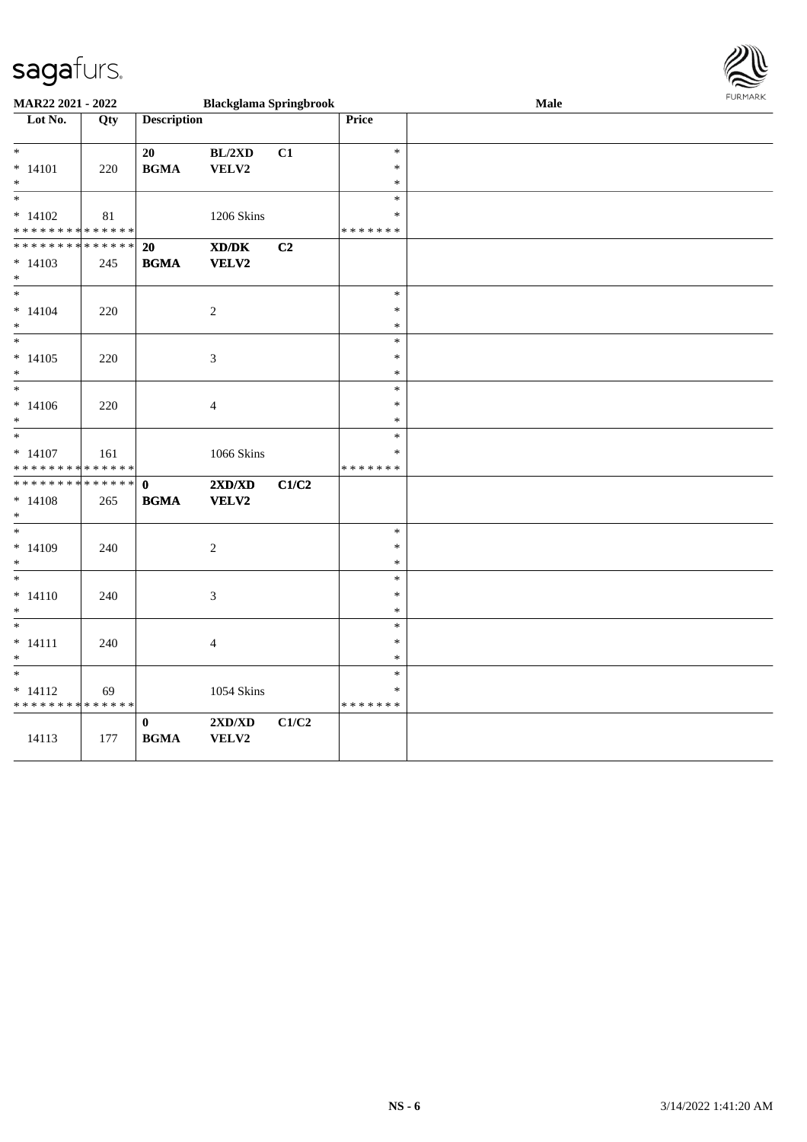

| MAR22 2021 - 2022                          | <b>Blackglama Springbrook</b> |                    |                                                                                                      |       | <b>LOKINKV</b><br>Male |  |  |
|--------------------------------------------|-------------------------------|--------------------|------------------------------------------------------------------------------------------------------|-------|------------------------|--|--|
| Lot No.                                    | $\overline{Q}$ ty             | <b>Description</b> |                                                                                                      |       | Price                  |  |  |
|                                            |                               |                    |                                                                                                      |       |                        |  |  |
| $\ast$                                     |                               | 20                 | BL/2XD                                                                                               | C1    | $\ast$                 |  |  |
| $* 14101$                                  | 220                           | <b>BGMA</b>        | VELV2                                                                                                |       | $\ast$                 |  |  |
| $*$                                        |                               |                    |                                                                                                      |       | $\ast$                 |  |  |
| $\ast$                                     |                               |                    |                                                                                                      |       | $\ast$                 |  |  |
| $* 14102$                                  | 81                            |                    | 1206 Skins                                                                                           |       | $\ast$                 |  |  |
| * * * * * * * * <mark>* * * * * * *</mark> |                               |                    |                                                                                                      |       | * * * * * * *          |  |  |
| * * * * * * * *                            | * * * * * *                   | 20                 | $\boldsymbol{\text{X}}\boldsymbol{\text{D}}\boldsymbol{/}\boldsymbol{\text{D}}\boldsymbol{\text{K}}$ | C2    |                        |  |  |
| $* 14103$                                  | 245                           | <b>BGMA</b>        | VELV2                                                                                                |       |                        |  |  |
| $*$                                        |                               |                    |                                                                                                      |       |                        |  |  |
| $\overline{\phantom{0}}$                   |                               |                    |                                                                                                      |       | $\ast$                 |  |  |
| $* 14104$                                  | 220                           |                    | $\boldsymbol{2}$                                                                                     |       | $\ast$                 |  |  |
| $*$                                        |                               |                    |                                                                                                      |       | $\ast$                 |  |  |
| $\ast$                                     |                               |                    |                                                                                                      |       | $\ast$                 |  |  |
| $* 14105$                                  | 220                           |                    | $\mathfrak{Z}$                                                                                       |       | $\ast$                 |  |  |
| $\ast$                                     |                               |                    |                                                                                                      |       | $\ast$                 |  |  |
|                                            |                               |                    |                                                                                                      |       | $\ast$                 |  |  |
| $* 14106$                                  | 220                           |                    | $\overline{4}$                                                                                       |       | $\ast$                 |  |  |
| $*$                                        |                               |                    |                                                                                                      |       | $\ast$                 |  |  |
| $\overline{\phantom{0}}$                   |                               |                    |                                                                                                      |       | $\ast$                 |  |  |
| $* 14107$                                  | 161                           |                    | 1066 Skins                                                                                           |       | $\ast$                 |  |  |
| * * * * * * * * * * * * * *                |                               |                    |                                                                                                      |       | * * * * * * *          |  |  |
| * * * * * * * * <mark>* * * * * * *</mark> |                               | $\mathbf 0$        | 2XD/XD                                                                                               | C1/C2 |                        |  |  |
| $* 14108$                                  | 265                           | <b>BGMA</b>        | <b>VELV2</b>                                                                                         |       |                        |  |  |
| $*$                                        |                               |                    |                                                                                                      |       |                        |  |  |
| $*$                                        |                               |                    |                                                                                                      |       | $\ast$                 |  |  |
| $* 14109$                                  | 240                           |                    | $\sqrt{2}$                                                                                           |       | $\ast$                 |  |  |
| $*$                                        |                               |                    |                                                                                                      |       | $\ast$                 |  |  |
| $*$                                        |                               |                    |                                                                                                      |       | $\ast$                 |  |  |
| $* 14110$                                  | 240                           |                    | 3                                                                                                    |       | $\ast$                 |  |  |
| $*$                                        |                               |                    |                                                                                                      |       | $\ast$                 |  |  |
|                                            |                               |                    |                                                                                                      |       | $\ast$                 |  |  |
| $* 14111$                                  | 240                           |                    | $\overline{4}$                                                                                       |       | $\ast$                 |  |  |
| $*$                                        |                               |                    |                                                                                                      |       | $\ast$                 |  |  |
|                                            |                               |                    |                                                                                                      |       | $\ast$                 |  |  |
| $* 14112$<br>* * * * * * * * * * * * * *   | 69                            |                    | <b>1054 Skins</b>                                                                                    |       | *<br>*******           |  |  |
|                                            |                               |                    |                                                                                                      |       |                        |  |  |
|                                            |                               | $\pmb{0}$          | $2{\bf X}{\bf D}/{\bf X}{\bf D}$                                                                     | C1/C2 |                        |  |  |
| 14113                                      | 177                           | <b>BGMA</b>        | VELV2                                                                                                |       |                        |  |  |
|                                            |                               |                    |                                                                                                      |       |                        |  |  |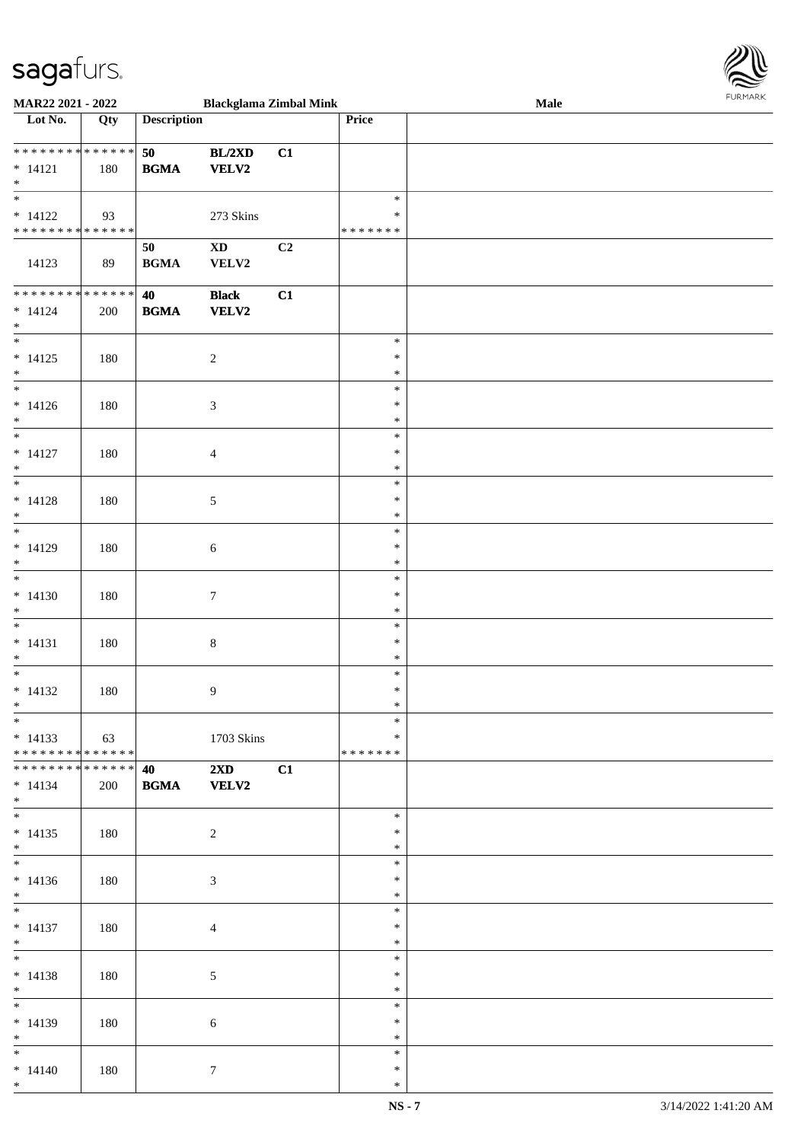

| <b>MAR22 2021 - 2022</b>      |                                     |                                            | <b>Blackglama Zimbal Mink</b> |    |               | <b>Male</b> |
|-------------------------------|-------------------------------------|--------------------------------------------|-------------------------------|----|---------------|-------------|
| Lot No.                       | Qty                                 | <b>Description</b>                         |                               |    | Price         |             |
|                               |                                     |                                            |                               |    |               |             |
| * * * * * * * * * * * * * * * |                                     | 50                                         | BL/2XD                        | C1 |               |             |
|                               |                                     |                                            |                               |    |               |             |
| $* 14121$                     | 180                                 | <b>BGMA</b>                                | <b>VELV2</b>                  |    |               |             |
| $*$                           |                                     |                                            |                               |    |               |             |
|                               |                                     |                                            |                               |    | $\ast$        |             |
| $* 14122$                     | 93                                  |                                            | 273 Skins                     |    | $\ast$        |             |
| * * * * * * * * * * * * * * * |                                     |                                            |                               |    | *******       |             |
|                               |                                     |                                            |                               |    |               |             |
|                               |                                     | 50                                         | $\mathbf{X}\mathbf{D}$        | C2 |               |             |
| 14123                         | 89                                  | <b>BGMA</b>                                | VELV2                         |    |               |             |
|                               |                                     |                                            |                               |    |               |             |
| ******** <mark>******</mark>  |                                     | 40                                         | <b>Black</b>                  | C1 |               |             |
| $* 14124$                     | 200                                 | $\mathbf{B}\mathbf{G}\mathbf{M}\mathbf{A}$ | <b>VELV2</b>                  |    |               |             |
| $*$                           |                                     |                                            |                               |    |               |             |
| $\overline{\ast}$             |                                     |                                            |                               |    | $\ast$        |             |
|                               |                                     |                                            |                               |    |               |             |
| $* 14125$                     | 180                                 |                                            | $\sqrt{2}$                    |    | $\ast$        |             |
| $*$                           |                                     |                                            |                               |    | $\ast$        |             |
| $\frac{1}{1}$                 |                                     |                                            |                               |    | $\ast$        |             |
| $* 14126$                     | 180                                 |                                            | $\mathfrak{Z}$                |    | $\ast$        |             |
| $\ast$                        |                                     |                                            |                               |    | $\ast$        |             |
| $\overline{\phantom{0}}$      |                                     |                                            |                               |    | $\ast$        |             |
|                               |                                     |                                            |                               |    |               |             |
| $* 14127$                     | 180                                 |                                            | $\overline{4}$                |    | $\ast$        |             |
| $*$                           |                                     |                                            |                               |    | $\ast$        |             |
|                               |                                     |                                            |                               |    | $\ast$        |             |
| $* 14128$                     | 180                                 |                                            | $\sqrt{5}$                    |    | $\ast$        |             |
| $*$                           |                                     |                                            |                               |    | $\ast$        |             |
|                               |                                     |                                            |                               |    |               |             |
|                               |                                     |                                            |                               |    | $\ast$        |             |
| $* 14129$                     | 180                                 |                                            | 6                             |    | $\ast$        |             |
| $\ast$                        |                                     |                                            |                               |    | $\ast$        |             |
| $\overline{\phantom{0}}$      |                                     |                                            |                               |    | $\ast$        |             |
| $* 14130$                     | 180                                 |                                            | $\boldsymbol{7}$              |    | $\ast$        |             |
| $\ast$                        |                                     |                                            |                               |    | $\ast$        |             |
|                               |                                     |                                            |                               |    |               |             |
| $*$                           |                                     |                                            |                               |    | $\ast$        |             |
| $* 14131$                     | 180                                 |                                            | $\,8\,$                       |    | $\ast$        |             |
| $*$                           |                                     |                                            |                               |    | $\ast$        |             |
| $\ast$                        |                                     |                                            |                               |    | $\ast$        |             |
| $* 14132$                     | 180                                 |                                            | $\overline{9}$                |    | $\ast$        |             |
| $*$                           |                                     |                                            |                               |    | $\ast$        |             |
| $*$                           |                                     |                                            |                               |    | $\ast$        |             |
|                               |                                     |                                            |                               |    |               |             |
| $* 14133$                     | $\begin{array}{ccc} \end{array}$ 63 |                                            | 1703 Skins                    |    | $\ast$        |             |
| * * * * * * * * * * * * * * * |                                     |                                            |                               |    | * * * * * * * |             |
| * * * * * * * * * * * * * * * |                                     | 40                                         | $2\mathbf{X}\mathbf{D}$       | C1 |               |             |
| $* 14134$                     | 200                                 | <b>BGMA</b>                                | <b>VELV2</b>                  |    |               |             |
| $*$                           |                                     |                                            |                               |    |               |             |
| $*$                           |                                     |                                            |                               |    | $\ast$        |             |
|                               |                                     |                                            |                               |    |               |             |
| $* 14135$                     | 180                                 |                                            | $\overline{2}$                |    | $\ast$        |             |
| $*$                           |                                     |                                            |                               |    | $\ast$        |             |
|                               |                                     |                                            |                               |    | $\ast$        |             |
| $* 14136$                     | 180                                 |                                            | $\mathfrak{Z}$                |    | $\ast$        |             |
| $*$                           |                                     |                                            |                               |    | $\ast$        |             |
| $*$ $*$                       |                                     |                                            |                               |    | $\ast$        |             |
|                               |                                     |                                            |                               |    |               |             |
| $* 14137$                     | 180                                 |                                            | $\overline{4}$                |    | $\ast$        |             |
| $*$                           |                                     |                                            |                               |    | $\ast$        |             |
| $*$                           |                                     |                                            |                               |    | $\ast$        |             |
| $* 14138$                     | 180                                 |                                            | $\mathfrak{S}$                |    | $\ast$        |             |
| $*$                           |                                     |                                            |                               |    | $*$           |             |
| $*$ $-$                       |                                     |                                            |                               |    | $\ast$        |             |
|                               |                                     |                                            |                               |    |               |             |
| $* 14139$                     | 180                                 |                                            | 6                             |    | $\ast$        |             |
| $*$                           |                                     |                                            |                               |    | $\ast$        |             |
| $*$                           |                                     |                                            |                               |    | $\ast$        |             |
| $* 14140$                     | 180                                 |                                            | $\tau$                        |    | $\ast$        |             |
| $*$                           |                                     |                                            |                               |    | $\ast$        |             |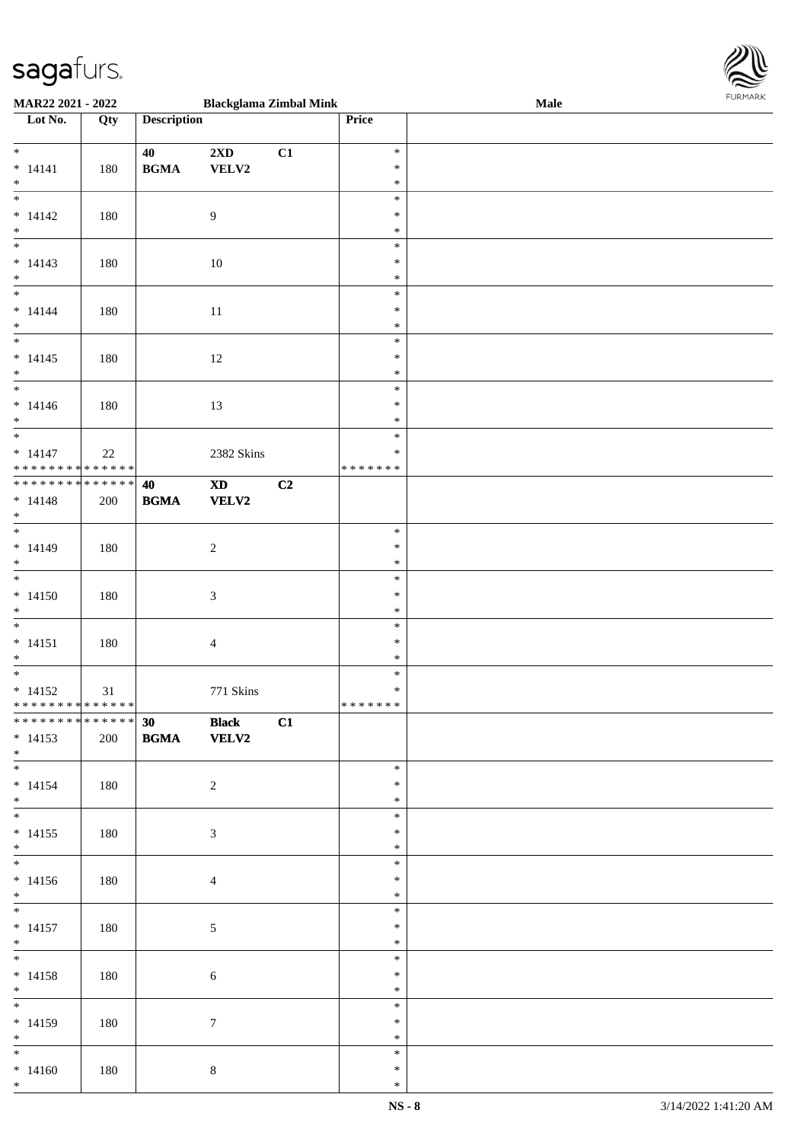

| <b>MAR22 2021 - 2022</b>                   |     |                                            | <b>Blackglama Zimbal Mink</b> |    |               | <b>Male</b> |
|--------------------------------------------|-----|--------------------------------------------|-------------------------------|----|---------------|-------------|
| Lot No.                                    | Qty | <b>Description</b>                         |                               |    | Price         |             |
|                                            |     |                                            |                               |    |               |             |
| $*$                                        |     | 40                                         | 2XD                           | C1 | $\ast$        |             |
| $* 14141$                                  | 180 | $\mathbf{B}\mathbf{G}\mathbf{M}\mathbf{A}$ | VELV2                         |    | $\ast$        |             |
| $*$                                        |     |                                            |                               |    | $\ast$        |             |
|                                            |     |                                            |                               |    |               |             |
|                                            |     |                                            |                               |    | $\ast$        |             |
| $* 14142$                                  | 180 |                                            | 9                             |    | $\ast$        |             |
| $*$                                        |     |                                            |                               |    | $\ast$        |             |
|                                            |     |                                            |                               |    | $\ast$        |             |
| $* 14143$                                  | 180 |                                            | 10                            |    | $\ast$        |             |
| $*$                                        |     |                                            |                               |    | $\ast$        |             |
|                                            |     |                                            |                               |    | $\ast$        |             |
|                                            |     |                                            |                               |    | $\ast$        |             |
| $* 14144$                                  | 180 |                                            | 11                            |    |               |             |
| $*$                                        |     |                                            |                               |    | $\ast$        |             |
| $\overline{\ast}$                          |     |                                            |                               |    | $\ast$        |             |
| $* 14145$                                  | 180 |                                            | 12                            |    | $\ast$        |             |
| $*$                                        |     |                                            |                               |    | $\ast$        |             |
| $\overline{\phantom{0}}$                   |     |                                            |                               |    | $\ast$        |             |
| $* 14146$                                  | 180 |                                            | 13                            |    | $\ast$        |             |
| $*$                                        |     |                                            |                               |    | $\ast$        |             |
| $\overline{\ast}$                          |     |                                            |                               |    | $\ast$        |             |
|                                            |     |                                            |                               |    | $\ast$        |             |
| $* 14147$                                  | 22  |                                            | 2382 Skins                    |    |               |             |
| * * * * * * * * <mark>* * * * * * *</mark> |     |                                            |                               |    | * * * * * * * |             |
| ******** <mark>******</mark>               |     | 40                                         | $\boldsymbol{\mathrm{XD}}$    | C2 |               |             |
| $* 14148$                                  | 200 | <b>BGMA</b>                                | <b>VELV2</b>                  |    |               |             |
| $*$                                        |     |                                            |                               |    |               |             |
| $\overline{\phantom{0}}$                   |     |                                            |                               |    | $\ast$        |             |
| $* 14149$                                  | 180 |                                            | $\sqrt{2}$                    |    | $\ast$        |             |
| $*$                                        |     |                                            |                               |    | $\ast$        |             |
|                                            |     |                                            |                               |    | $\ast$        |             |
|                                            |     |                                            |                               |    | $\ast$        |             |
| $* 14150$                                  | 180 |                                            | $\mathfrak{Z}$                |    |               |             |
| $*$                                        |     |                                            |                               |    | $\ast$        |             |
| $*$                                        |     |                                            |                               |    | $\ast$        |             |
| $* 14151$                                  | 180 |                                            | $\overline{4}$                |    | $\ast$        |             |
| $*$                                        |     |                                            |                               |    | $\ast$        |             |
|                                            |     |                                            |                               |    | $\ast$        |             |
| $* 14152$                                  | 31  |                                            | 771 Skins                     |    | $\ast$        |             |
| * * * * * * * * <mark>* * * * * * *</mark> |     |                                            |                               |    | * * * * * * * |             |
| **************                             |     | 30 Black                                   |                               | C1 |               |             |
|                                            |     |                                            |                               |    |               |             |
| $* 14153$                                  | 200 | <b>BGMA</b>                                | <b>VELV2</b>                  |    |               |             |
| $*$                                        |     |                                            |                               |    |               |             |
|                                            |     |                                            |                               |    | $\ast$        |             |
| $* 14154$                                  | 180 |                                            | $\overline{2}$                |    | $\ast$        |             |
| $*$                                        |     |                                            |                               |    | $\ast$        |             |
| $*$                                        |     |                                            |                               |    | $\ast$        |             |
| $* 14155$                                  | 180 |                                            | $\mathfrak{Z}$                |    | $\ast$        |             |
| $*$                                        |     |                                            |                               |    | $\ast$        |             |
|                                            |     |                                            |                               |    | $\ast$        |             |
| $* 14156$                                  |     |                                            |                               |    | $\ast$        |             |
|                                            | 180 |                                            | $\overline{4}$                |    |               |             |
| $*$                                        |     |                                            |                               |    | $\ast$        |             |
| $*$                                        |     |                                            |                               |    | $\ast$        |             |
| $* 14157$                                  | 180 |                                            | $\sqrt{5}$                    |    | $\ast$        |             |
| $*$                                        |     |                                            |                               |    | $\ast$        |             |
| $*$                                        |     |                                            |                               |    | $\ast$        |             |
| $* 14158$                                  | 180 |                                            | $\sqrt{6}$                    |    | $\ast$        |             |
| $*$                                        |     |                                            |                               |    | $\ast$        |             |
| $\overline{\ast}$                          |     |                                            |                               |    | $\ast$        |             |
|                                            |     |                                            |                               |    | $\ast$        |             |
| $* 14159$                                  | 180 |                                            | $\tau$                        |    |               |             |
| $*$                                        |     |                                            |                               |    | $\ast$        |             |
| $*$                                        |     |                                            |                               |    | $\ast$        |             |
| $* 14160$                                  | 180 |                                            | $\,8\,$                       |    | $\ast$        |             |
| $*$                                        |     |                                            |                               |    | $\ast$        |             |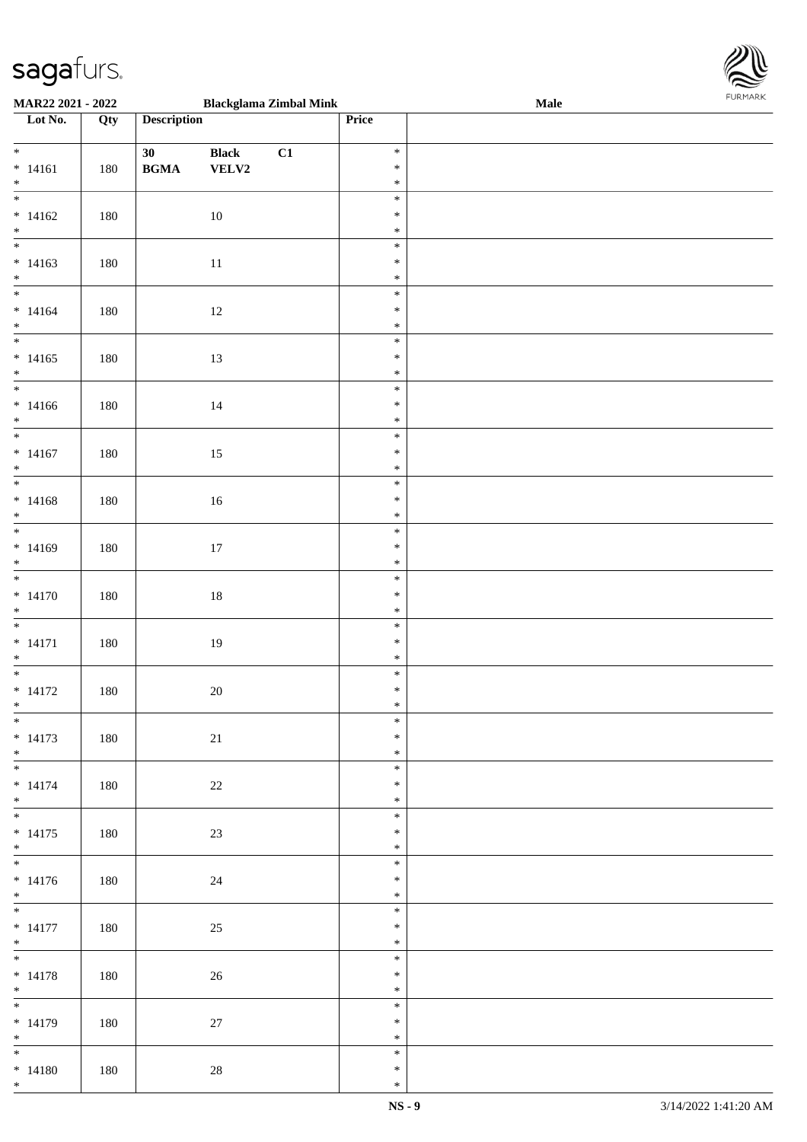

| <b>MAR22 2021 - 2022</b>        |     |                                            |              | <b>Blackglama Zimbal Mink</b> |                  | <b>Male</b> |
|---------------------------------|-----|--------------------------------------------|--------------|-------------------------------|------------------|-------------|
| Lot No.                         | Qty | <b>Description</b>                         |              |                               | Price            |             |
|                                 |     |                                            |              |                               |                  |             |
| $*$                             |     | 30                                         | <b>Black</b> | C1                            | $\ast$           |             |
| $* 14161$                       | 180 | $\mathbf{B}\mathbf{G}\mathbf{M}\mathbf{A}$ | VELV2        |                               | $\ast$           |             |
| $*$                             |     |                                            |              |                               | $\ast$           |             |
|                                 |     |                                            |              |                               | $\ast$           |             |
| $* 14162$                       | 180 |                                            | 10           |                               | $\ast$           |             |
| $*$                             |     |                                            |              |                               | $\ast$           |             |
|                                 |     |                                            |              |                               | $\ast$           |             |
| $* 14163$                       | 180 |                                            | $11\,$       |                               | $\ast$           |             |
| $*$                             |     |                                            |              |                               | $\ast$           |             |
|                                 |     |                                            |              |                               | $\ast$           |             |
| $* 14164$                       | 180 |                                            | 12           |                               | $\ast$           |             |
| $*$                             |     |                                            |              |                               | $\ast$           |             |
| $\overline{\ }$                 |     |                                            |              |                               | $\ast$           |             |
|                                 |     |                                            |              |                               | $\ast$           |             |
| $* 14165$                       | 180 |                                            | 13           |                               |                  |             |
| $*$<br>$\overline{\phantom{0}}$ |     |                                            |              |                               | $\ast$           |             |
|                                 |     |                                            |              |                               | $\ast$           |             |
| $* 14166$                       | 180 |                                            | 14           |                               | $\ast$           |             |
| $*$                             |     |                                            |              |                               | $\ast$           |             |
|                                 |     |                                            |              |                               | $\ast$           |             |
| $* 14167$                       | 180 |                                            | 15           |                               | $\ast$           |             |
| $*$                             |     |                                            |              |                               | $\ast$           |             |
|                                 |     |                                            |              |                               | $\ast$           |             |
| $* 14168$                       | 180 |                                            | 16           |                               | $\ast$           |             |
| $\ast$                          |     |                                            |              |                               | $\ast$           |             |
|                                 |     |                                            |              |                               | $\ast$           |             |
| $* 14169$                       | 180 |                                            | 17           |                               | $\ast$           |             |
| $*$                             |     |                                            |              |                               | $\ast$           |             |
|                                 |     |                                            |              |                               | $\ast$           |             |
| $* 14170$                       | 180 |                                            | $18\,$       |                               | $\ast$           |             |
| $*$                             |     |                                            |              |                               | $\ast$           |             |
|                                 |     |                                            |              |                               | $\ast$           |             |
| $* 14171$                       | 180 |                                            | 19           |                               | $\ast$           |             |
| $*$                             |     |                                            |              |                               | $\ast$           |             |
|                                 |     |                                            |              |                               | $\ast$           |             |
| $* 14172$                       | 180 |                                            | $20\,$       |                               | $\ast$           |             |
| $*$                             |     |                                            |              |                               | $\ast$           |             |
| $\overline{\ast}$               |     |                                            |              |                               | $\ast$           |             |
| $* 14173$                       | 180 |                                            | 21           |                               | $\ast$           |             |
| $*$                             |     |                                            |              |                               | $\ast$           |             |
|                                 |     |                                            |              |                               | $\ast$           |             |
| $* 14174$                       | 180 |                                            | 22           |                               | $\ast$           |             |
| $*$                             |     |                                            |              |                               | $\ast$           |             |
| $*$                             |     |                                            |              |                               | $\ast$           |             |
| $* 14175$                       | 180 |                                            | 23           |                               | $\ast$           |             |
| $*$                             |     |                                            |              |                               | $\ast$           |             |
|                                 |     |                                            |              |                               | $\ast$           |             |
|                                 |     |                                            |              |                               | $\ast$           |             |
| $* 14176$                       | 180 |                                            | 24           |                               |                  |             |
| $*$                             |     |                                            |              |                               | $\ast$<br>$\ast$ |             |
|                                 |     |                                            |              |                               |                  |             |
| $* 14177$                       | 180 |                                            | 25           |                               | $\ast$           |             |
| $*$<br>$*$                      |     |                                            |              |                               | $\ast$           |             |
|                                 |     |                                            |              |                               | $\ast$           |             |
| $* 14178$                       | 180 |                                            | 26           |                               | $\ast$           |             |
| $*$                             |     |                                            |              |                               | $\ast$           |             |
|                                 |     |                                            |              |                               | $\ast$           |             |
| $* 14179$                       | 180 |                                            | 27           |                               | $\ast$           |             |
| $*$                             |     |                                            |              |                               | $\ast$           |             |
|                                 |     |                                            |              |                               | $\ast$           |             |
| $* 14180$                       | 180 |                                            | $28\,$       |                               | $\ast$           |             |
| $*$                             |     |                                            |              |                               | $\ast$           |             |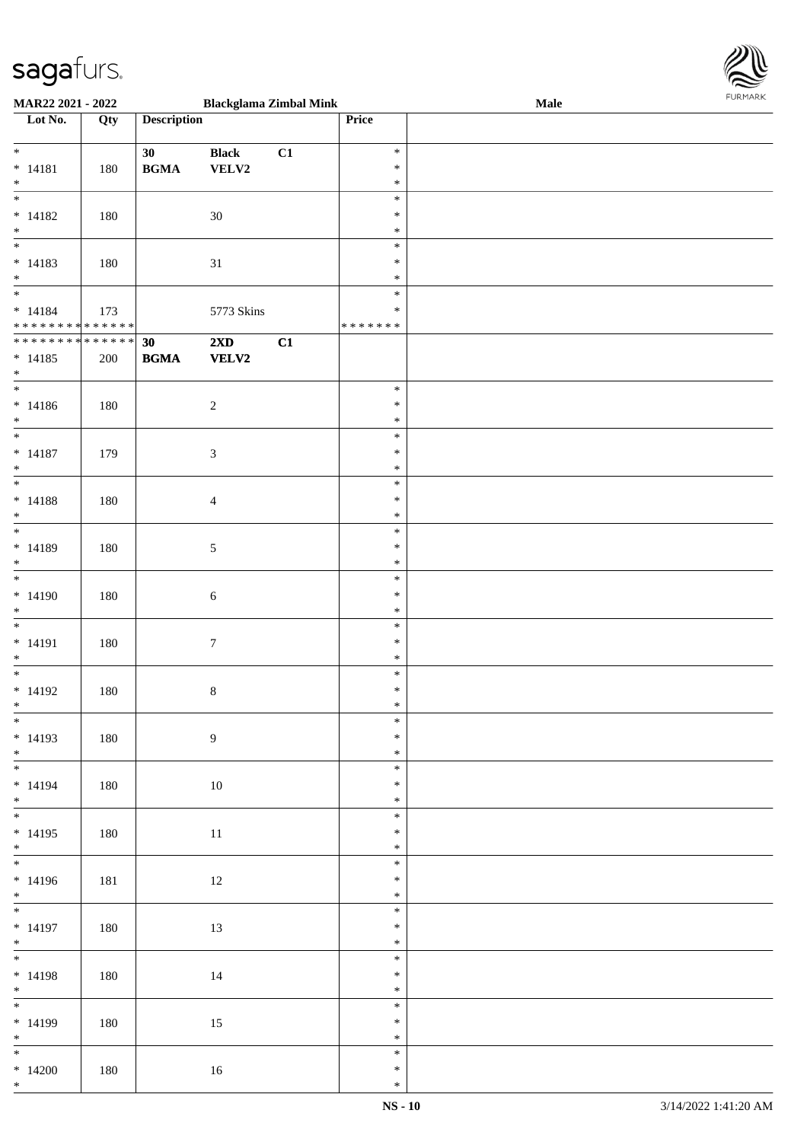

| MAR22 2021 - 2022           |     |                    | <b>Blackglama Zimbal Mink</b> |    |               | <b>Male</b> |  |
|-----------------------------|-----|--------------------|-------------------------------|----|---------------|-------------|--|
| Lot No.                     | Qty | <b>Description</b> |                               |    | Price         |             |  |
|                             |     |                    |                               |    |               |             |  |
| $*$                         |     | 30                 | <b>Black</b>                  | C1 | $\ast$        |             |  |
|                             |     |                    |                               |    |               |             |  |
| $* 14181$                   | 180 | <b>BGMA</b>        | VELV2                         |    | $\ast$        |             |  |
| $\ast$                      |     |                    |                               |    | $\ast$        |             |  |
| $\overline{\phantom{0}}$    |     |                    |                               |    | $\ast$        |             |  |
| $* 14182$                   | 180 |                    | $30\,$                        |    | $\ast$        |             |  |
| $\ast$                      |     |                    |                               |    | $\ast$        |             |  |
| $\overline{\phantom{0}}$    |     |                    |                               |    | $\ast$        |             |  |
|                             |     |                    |                               |    |               |             |  |
| $* 14183$                   | 180 |                    | $31\,$                        |    | $\ast$        |             |  |
| $*$                         |     |                    |                               |    | $\ast$        |             |  |
| $\overline{\phantom{0}}$    |     |                    |                               |    | $\ast$        |             |  |
| $* 14184$                   | 173 |                    | 5773 Skins                    |    | $\ast$        |             |  |
| * * * * * * * * * * * * * * |     |                    |                               |    | * * * * * * * |             |  |
| * * * * * * * * * * * * * * |     | 30                 | $2\mathbf{X}\mathbf{D}$       | C1 |               |             |  |
|                             |     |                    |                               |    |               |             |  |
| $* 14185$                   | 200 | <b>BGMA</b>        | VELV2                         |    |               |             |  |
| $*$                         |     |                    |                               |    |               |             |  |
| $\overline{\phantom{0}}$    |     |                    |                               |    | $\ast$        |             |  |
| $* 14186$                   | 180 |                    | $\boldsymbol{2}$              |    | $\ast$        |             |  |
| $*$                         |     |                    |                               |    | $\ast$        |             |  |
| $\overline{\phantom{0}}$    |     |                    |                               |    | $\ast$        |             |  |
|                             |     |                    |                               |    |               |             |  |
| $* 14187$                   | 179 |                    | $\mathfrak{Z}$                |    | $\ast$        |             |  |
| $*$                         |     |                    |                               |    | $\ast$        |             |  |
| $\overline{\ast}$           |     |                    |                               |    | $\ast$        |             |  |
| $* 14188$                   | 180 |                    | $\overline{4}$                |    | $\ast$        |             |  |
| $\ast$                      |     |                    |                               |    | $\ast$        |             |  |
| $\overline{\ast}$           |     |                    |                               |    | $\ast$        |             |  |
|                             |     |                    |                               |    |               |             |  |
| $* 14189$                   | 180 |                    | 5                             |    | $\ast$        |             |  |
| $*$                         |     |                    |                               |    | $\ast$        |             |  |
| $\overline{\phantom{0}}$    |     |                    |                               |    | $\ast$        |             |  |
| $* 14190$                   | 180 |                    | $\sqrt{6}$                    |    | $\ast$        |             |  |
| $*$                         |     |                    |                               |    | $\ast$        |             |  |
| $*$                         |     |                    |                               |    | $\ast$        |             |  |
|                             |     |                    |                               |    |               |             |  |
| $* 14191$                   | 180 |                    | $\boldsymbol{7}$              |    | $\ast$        |             |  |
| $*$                         |     |                    |                               |    | $\ast$        |             |  |
| $*$                         |     |                    |                               |    | $\ast$        |             |  |
| $* 14192$                   | 180 |                    | $\,8\,$                       |    | $\ast$        |             |  |
| $*$                         |     |                    |                               |    | $\ast$        |             |  |
| $\ast$                      |     |                    |                               |    | $\ast$        |             |  |
| $* 14193$                   | 180 |                    | $\overline{9}$                |    | $\ast$        |             |  |
|                             |     |                    |                               |    |               |             |  |
| $*$                         |     |                    |                               |    | $\ast$        |             |  |
|                             |     |                    |                               |    | $\ast$        |             |  |
| $* 14194$                   | 180 |                    | 10                            |    | $\ast$        |             |  |
| $*$                         |     |                    |                               |    | $\ast$        |             |  |
|                             |     |                    |                               |    | $\ast$        |             |  |
| $* 14195$                   | 180 |                    | 11                            |    | $\ast$        |             |  |
| $*$                         |     |                    |                               |    | $\ast$        |             |  |
|                             |     |                    |                               |    |               |             |  |
|                             |     |                    |                               |    | $\ast$        |             |  |
| $* 14196$                   | 181 |                    | 12                            |    | $\ast$        |             |  |
| $*$                         |     |                    |                               |    | $\ast$        |             |  |
|                             |     |                    |                               |    | $\ast$        |             |  |
| $* 14197$                   | 180 |                    | 13                            |    | $\ast$        |             |  |
|                             |     |                    |                               |    |               |             |  |
| $*$ $*$<br>$*$              |     |                    |                               |    | $\ast$        |             |  |
|                             |     |                    |                               |    | $\ast$        |             |  |
| $* 14198$                   | 180 |                    | 14                            |    | $\ast$        |             |  |
| $*$                         |     |                    |                               |    | $\ast$        |             |  |
|                             |     |                    |                               |    | $\ast$        |             |  |
| $* 14199$                   | 180 |                    | 15                            |    | $\ast$        |             |  |
| $*$                         |     |                    |                               |    | $\ast$        |             |  |
|                             |     |                    |                               |    |               |             |  |
|                             |     |                    |                               |    | $\ast$        |             |  |
| $*14200$                    | 180 |                    | 16                            |    | $\ast$        |             |  |
| $*$                         |     |                    |                               |    | $\ast$        |             |  |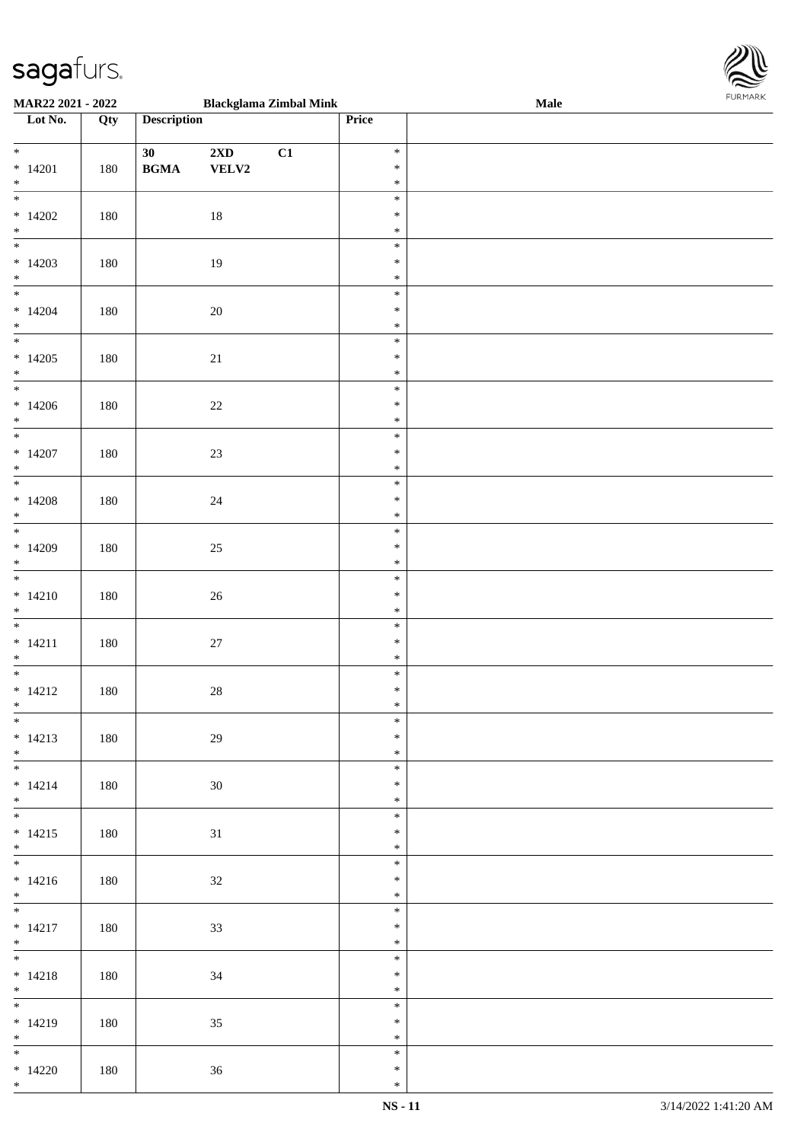

| <b>MAR22 2021 - 2022</b> |     |                                            |                         | <b>Blackglama Zimbal Mink</b> |        | <b>Male</b> |
|--------------------------|-----|--------------------------------------------|-------------------------|-------------------------------|--------|-------------|
| Lot No.                  | Qty | <b>Description</b>                         |                         |                               | Price  |             |
|                          |     |                                            |                         |                               |        |             |
| $*$                      |     | 30                                         | $2\mathbf{X}\mathbf{D}$ | C1                            | $\ast$ |             |
| $* 14201$                | 180 | $\mathbf{B}\mathbf{G}\mathbf{M}\mathbf{A}$ | VELV2                   |                               | $\ast$ |             |
| $*$                      |     |                                            |                         |                               | $\ast$ |             |
|                          |     |                                            |                         |                               | $\ast$ |             |
| $*14202$                 | 180 |                                            | 18                      |                               | $\ast$ |             |
| $*$                      |     |                                            |                         |                               | $\ast$ |             |
|                          |     |                                            |                         |                               | $\ast$ |             |
| $*14203$                 | 180 |                                            | 19                      |                               | $\ast$ |             |
| $*$                      |     |                                            |                         |                               | $\ast$ |             |
|                          |     |                                            |                         |                               | $\ast$ |             |
|                          |     |                                            |                         |                               |        |             |
| $*14204$                 | 180 |                                            | 20                      |                               | $\ast$ |             |
| $*$                      |     |                                            |                         |                               | $\ast$ |             |
|                          |     |                                            |                         |                               | $\ast$ |             |
| $*14205$                 | 180 |                                            | 21                      |                               | $\ast$ |             |
| $*$                      |     |                                            |                         |                               | $\ast$ |             |
| $\overline{\phantom{0}}$ |     |                                            |                         |                               | $\ast$ |             |
| $*14206$                 | 180 |                                            | $22\,$                  |                               | $\ast$ |             |
| $*$                      |     |                                            |                         |                               | $\ast$ |             |
|                          |     |                                            |                         |                               | $\ast$ |             |
| $*14207$                 | 180 |                                            | $23\,$                  |                               | $\ast$ |             |
| $*$                      |     |                                            |                         |                               | $\ast$ |             |
|                          |     |                                            |                         |                               | $\ast$ |             |
| $*14208$                 | 180 |                                            | $24\,$                  |                               | $\ast$ |             |
| $*$                      |     |                                            |                         |                               | $\ast$ |             |
|                          |     |                                            |                         |                               | $\ast$ |             |
| $*14209$                 | 180 |                                            | $25\,$                  |                               | $\ast$ |             |
| $*$                      |     |                                            |                         |                               | $\ast$ |             |
|                          |     |                                            |                         |                               | $\ast$ |             |
|                          |     |                                            |                         |                               | $\ast$ |             |
| $* 14210$                | 180 |                                            | $26\,$                  |                               |        |             |
| $*$                      |     |                                            |                         |                               | $\ast$ |             |
| $*$                      |     |                                            |                         |                               | $\ast$ |             |
| $* 14211$                | 180 |                                            | $27\,$                  |                               | $\ast$ |             |
| $*$                      |     |                                            |                         |                               | $\ast$ |             |
|                          |     |                                            |                         |                               | $\ast$ |             |
| $* 14212$                | 180 |                                            | $28\,$                  |                               | $\ast$ |             |
| $*$                      |     |                                            |                         |                               | $\ast$ |             |
| $\overline{\ast}$        |     |                                            |                         |                               | $\ast$ |             |
| $* 14213$                | 180 |                                            | 29                      |                               | $\ast$ |             |
| $*$                      |     |                                            |                         |                               | $\ast$ |             |
|                          |     |                                            |                         |                               | $\ast$ |             |
| $* 14214$                | 180 |                                            | 30                      |                               | $\ast$ |             |
| $*$                      |     |                                            |                         |                               | $\ast$ |             |
| $*$                      |     |                                            |                         |                               | $\ast$ |             |
| $* 14215$                | 180 |                                            | 31                      |                               | $\ast$ |             |
| $*$                      |     |                                            |                         |                               | $\ast$ |             |
|                          |     |                                            |                         |                               | $\ast$ |             |
| $* 14216$                | 180 |                                            |                         |                               | $\ast$ |             |
| $*$ $\qquad$             |     |                                            | 32                      |                               | $\ast$ |             |
| $*$                      |     |                                            |                         |                               |        |             |
|                          |     |                                            |                         |                               | $\ast$ |             |
| $* 14217$                | 180 |                                            | 33                      |                               | $\ast$ |             |
| $*$                      |     |                                            |                         |                               | $\ast$ |             |
| $*$                      |     |                                            |                         |                               | $\ast$ |             |
| $* 14218$                | 180 |                                            | 34                      |                               | $\ast$ |             |
| $*$                      |     |                                            |                         |                               | $\ast$ |             |
|                          |     |                                            |                         |                               | $\ast$ |             |
| $* 14219$                | 180 |                                            | 35                      |                               | $\ast$ |             |
| $*$                      |     |                                            |                         |                               | $\ast$ |             |
|                          |     |                                            |                         |                               | $\ast$ |             |
| $*14220$                 | 180 |                                            | 36                      |                               | $\ast$ |             |
| $*$                      |     |                                            |                         |                               | $\ast$ |             |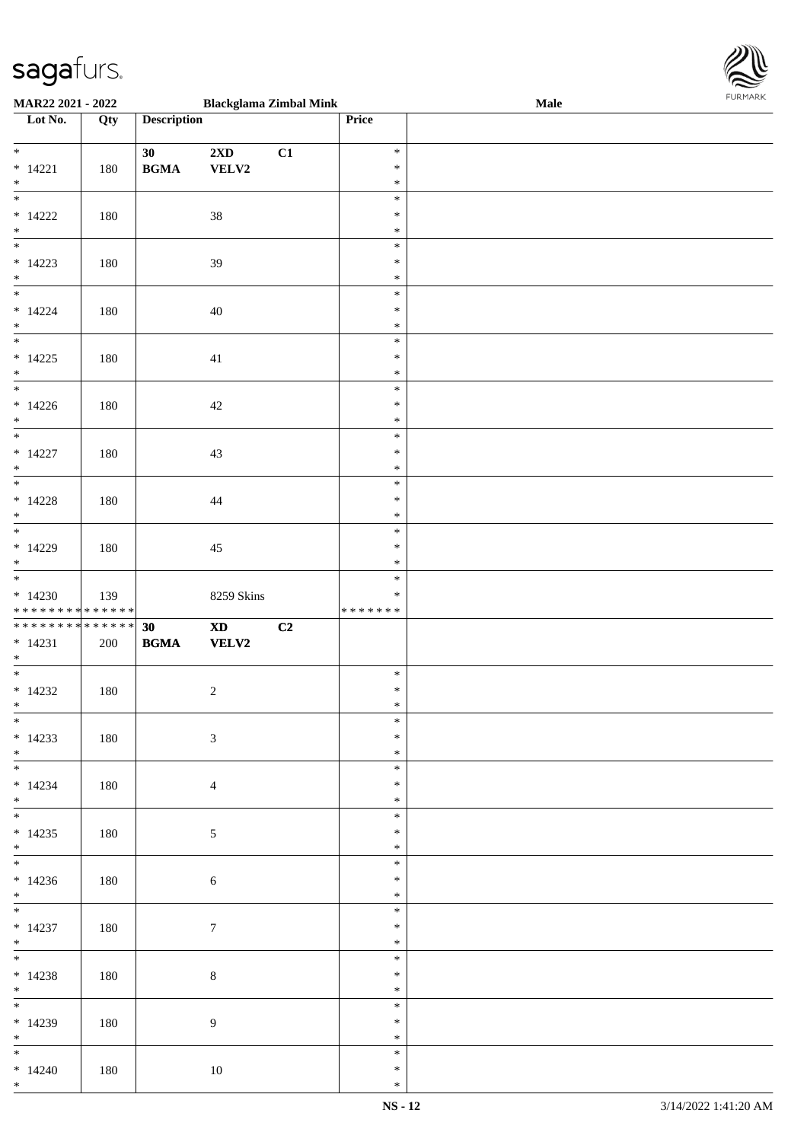

| <b>MAR22 2021 - 2022</b>                   |     |                                            | <b>Blackglama Zimbal Mink</b> |    |         | Male |
|--------------------------------------------|-----|--------------------------------------------|-------------------------------|----|---------|------|
| Lot No.                                    | Qty | <b>Description</b>                         |                               |    | Price   |      |
|                                            |     |                                            |                               |    |         |      |
| $*$                                        |     | 30                                         | $2{\bf X}{\bf D}$             | C1 | $\ast$  |      |
| $* 14221$                                  | 180 | <b>BGMA</b>                                | VELV2                         |    | $\ast$  |      |
| $*$                                        |     |                                            |                               |    | $\ast$  |      |
|                                            |     |                                            |                               |    | $\ast$  |      |
|                                            |     |                                            |                               |    |         |      |
| $* 14222$                                  | 180 |                                            | $38\,$                        |    | $\ast$  |      |
| $*$                                        |     |                                            |                               |    | $\ast$  |      |
|                                            |     |                                            |                               |    | $\ast$  |      |
| $*14223$                                   | 180 |                                            | 39                            |    | $\ast$  |      |
| $*$                                        |     |                                            |                               |    | $\ast$  |      |
|                                            |     |                                            |                               |    | $\ast$  |      |
| $* 14224$                                  | 180 |                                            | 40                            |    | $\ast$  |      |
| $*$                                        |     |                                            |                               |    | $\ast$  |      |
| $\overline{\ast}$                          |     |                                            |                               |    | $\ast$  |      |
| $* 14225$                                  | 180 |                                            |                               |    | $\ast$  |      |
|                                            |     |                                            | 41                            |    | $\ast$  |      |
| $*$<br>$\overline{\phantom{0}}$            |     |                                            |                               |    |         |      |
|                                            |     |                                            |                               |    | $\ast$  |      |
| $*14226$                                   | 180 |                                            | 42                            |    | $\ast$  |      |
| $\ast$                                     |     |                                            |                               |    | $\ast$  |      |
| $\overline{\phantom{0}}$                   |     |                                            |                               |    | $\ast$  |      |
| $* 14227$                                  | 180 |                                            | 43                            |    | $\ast$  |      |
| $*$                                        |     |                                            |                               |    | $\ast$  |      |
|                                            |     |                                            |                               |    | $\ast$  |      |
| $* 14228$                                  | 180 |                                            | 44                            |    | $\ast$  |      |
| $*$                                        |     |                                            |                               |    | $\ast$  |      |
|                                            |     |                                            |                               |    | $\ast$  |      |
|                                            |     |                                            |                               |    | $\ast$  |      |
| $*14229$                                   | 180 |                                            | 45                            |    |         |      |
| $*$                                        |     |                                            |                               |    | $\ast$  |      |
|                                            |     |                                            |                               |    | $\ast$  |      |
| $*14230$                                   | 139 |                                            | 8259 Skins                    |    | $\ast$  |      |
| * * * * * * * * * * * * * *                |     |                                            |                               |    | ******* |      |
| * * * * * * * * <mark>* * * * * * *</mark> |     | 30                                         | $\boldsymbol{\mathrm{XD}}$    | C2 |         |      |
| $* 14231$                                  | 200 | $\mathbf{B}\mathbf{G}\mathbf{M}\mathbf{A}$ | <b>VELV2</b>                  |    |         |      |
| $*$                                        |     |                                            |                               |    |         |      |
| $*$                                        |     |                                            |                               |    | $\ast$  |      |
| $*14232$                                   | 180 |                                            | $\sqrt{2}$                    |    | $\ast$  |      |
| $*$                                        |     |                                            |                               |    | $\ast$  |      |
| $*$                                        |     |                                            |                               |    | $\ast$  |      |
| $*14233$                                   | 180 |                                            | $\mathfrak{Z}$                |    | $\ast$  |      |
| $*$                                        |     |                                            |                               |    | $\ast$  |      |
|                                            |     |                                            |                               |    | $\ast$  |      |
|                                            |     |                                            |                               |    | $\ast$  |      |
| $*14234$<br>$*$                            | 180 |                                            | $\overline{4}$                |    | $\ast$  |      |
|                                            |     |                                            |                               |    |         |      |
|                                            |     |                                            |                               |    | $\ast$  |      |
| $*14235$                                   | 180 |                                            | $\mathfrak{S}$                |    | $\ast$  |      |
| $*$                                        |     |                                            |                               |    | $\ast$  |      |
|                                            |     |                                            |                               |    | $\ast$  |      |
| $*14236$                                   | 180 |                                            | 6                             |    | $\ast$  |      |
| $*$                                        |     |                                            |                               |    | $\ast$  |      |
|                                            |     |                                            |                               |    | $\ast$  |      |
| $* 14237$                                  | 180 |                                            | $\tau$                        |    | $\ast$  |      |
| $*$                                        |     |                                            |                               |    | $\ast$  |      |
| $*$                                        |     |                                            |                               |    | $\ast$  |      |
|                                            | 180 |                                            |                               |    | $\ast$  |      |
| $* 14238$                                  |     |                                            | $\,8\,$                       |    | $\ast$  |      |
| $*$ $*$                                    |     |                                            |                               |    |         |      |
|                                            |     |                                            |                               |    | $\ast$  |      |
| $*14239$                                   | 180 |                                            | $\overline{9}$                |    | $\ast$  |      |
| $*$                                        |     |                                            |                               |    | $\ast$  |      |
| $*$ $*$                                    |     |                                            |                               |    | $\ast$  |      |
| $*14240$                                   | 180 |                                            | $10\,$                        |    | $\ast$  |      |
| $*$                                        |     |                                            |                               |    | $\ast$  |      |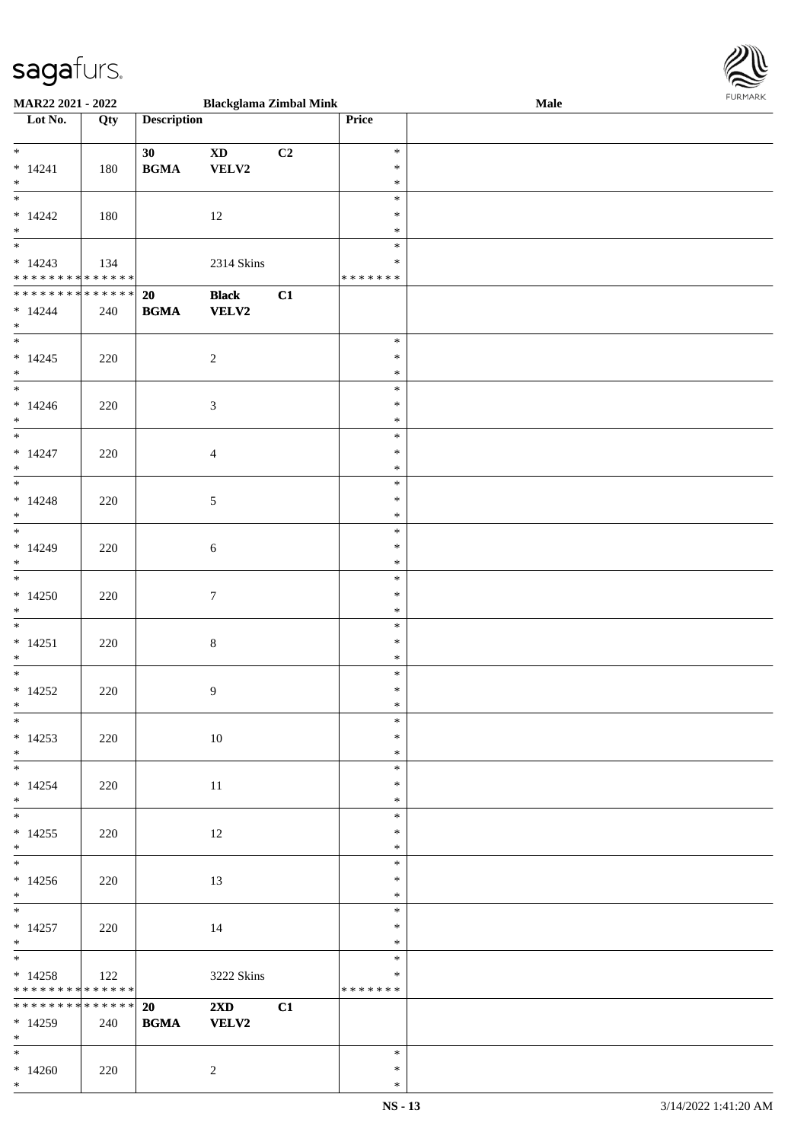

| MAR22 2021 - 2022                               |        |                    | <b>Blackglama Zimbal Mink</b> |    |         | .<br>Male |  |
|-------------------------------------------------|--------|--------------------|-------------------------------|----|---------|-----------|--|
| Lot No.                                         | Qty    | <b>Description</b> |                               |    | Price   |           |  |
|                                                 |        |                    |                               |    |         |           |  |
| $*$                                             |        | 30                 | $\boldsymbol{\mathrm{XD}}$    | C2 | $\ast$  |           |  |
|                                                 |        |                    |                               |    |         |           |  |
| $* 14241$                                       | 180    | <b>BGMA</b>        | VELV2                         |    | $\ast$  |           |  |
| $*$                                             |        |                    |                               |    | $\ast$  |           |  |
| $\overline{\phantom{0}}$                        |        |                    |                               |    | $\ast$  |           |  |
| $* 14242$                                       | 180    |                    | 12                            |    | $\ast$  |           |  |
|                                                 |        |                    |                               |    |         |           |  |
| $*$ $*$                                         |        |                    |                               |    | $\ast$  |           |  |
|                                                 |        |                    |                               |    | $\ast$  |           |  |
| $* 14243$                                       | 134    |                    | 2314 Skins                    |    | $\ast$  |           |  |
| * * * * * * * * * * * * * *                     |        |                    |                               |    | ******* |           |  |
|                                                 |        |                    |                               |    |         |           |  |
| ******** <mark>******</mark>                    |        | 20                 | <b>Black</b>                  | C1 |         |           |  |
| $* 14244$                                       | 240    | <b>BGMA</b>        | <b>VELV2</b>                  |    |         |           |  |
| $*$                                             |        |                    |                               |    |         |           |  |
|                                                 |        |                    |                               |    | $\ast$  |           |  |
|                                                 |        |                    |                               |    |         |           |  |
| $* 14245$                                       | 220    |                    | $\overline{2}$                |    | $\ast$  |           |  |
|                                                 |        |                    |                               |    | $\ast$  |           |  |
| $\begin{array}{c c}\n* & \\ * & \\ \end{array}$ |        |                    |                               |    | $\ast$  |           |  |
|                                                 |        |                    |                               |    | $\ast$  |           |  |
| $* 14246$                                       | 220    |                    | $\mathfrak{Z}$                |    |         |           |  |
| $\ast$                                          |        |                    |                               |    | $\ast$  |           |  |
| $\overline{\phantom{0}}$                        |        |                    |                               |    | $\ast$  |           |  |
| $* 14247$                                       | 220    |                    | $\overline{4}$                |    | $\ast$  |           |  |
|                                                 |        |                    |                               |    |         |           |  |
| $*$                                             |        |                    |                               |    | $\ast$  |           |  |
|                                                 |        |                    |                               |    | $\ast$  |           |  |
| $* 14248$                                       | 220    |                    | $\mathfrak{S}$                |    | $\ast$  |           |  |
| $*$                                             |        |                    |                               |    | $\ast$  |           |  |
|                                                 |        |                    |                               |    |         |           |  |
|                                                 |        |                    |                               |    | $\ast$  |           |  |
| $* 14249$                                       | 220    |                    | $\boldsymbol{6}$              |    | $\ast$  |           |  |
| $*$                                             |        |                    |                               |    | $\ast$  |           |  |
|                                                 |        |                    |                               |    | $\ast$  |           |  |
|                                                 |        |                    |                               |    |         |           |  |
| $*14250$                                        | 220    |                    | $\boldsymbol{7}$              |    | $\ast$  |           |  |
| $*$                                             |        |                    |                               |    | $\ast$  |           |  |
| $*$                                             |        |                    |                               |    | $\ast$  |           |  |
| $* 14251$                                       | 220    |                    | $\,8\,$                       |    | $\ast$  |           |  |
|                                                 |        |                    |                               |    |         |           |  |
| $*$                                             |        |                    |                               |    | $\ast$  |           |  |
| $*$                                             |        |                    |                               |    | $\ast$  |           |  |
| $*14252$                                        | 220    |                    | $\overline{9}$                |    | $\ast$  |           |  |
| $*$                                             |        |                    |                               |    | $\ast$  |           |  |
| $*$                                             |        |                    |                               |    | $\ast$  |           |  |
|                                                 |        |                    |                               |    |         |           |  |
| $*14253$                                        | 220    |                    | $10\,$                        |    | $\ast$  |           |  |
| $*$                                             |        |                    |                               |    | $\ast$  |           |  |
| $*$                                             |        |                    |                               |    | $\ast$  |           |  |
|                                                 |        |                    |                               |    | $\ast$  |           |  |
| $*14254$                                        | 220    |                    | 11                            |    |         |           |  |
| $*$                                             |        |                    |                               |    | $\ast$  |           |  |
|                                                 |        |                    |                               |    | $\ast$  |           |  |
| $*14255$                                        | 220    |                    | 12                            |    | $\ast$  |           |  |
| $*$                                             |        |                    |                               |    | $\ast$  |           |  |
|                                                 |        |                    |                               |    |         |           |  |
|                                                 |        |                    |                               |    | $\ast$  |           |  |
| $*14256$                                        | 220    |                    | 13                            |    | $\ast$  |           |  |
| $*$                                             |        |                    |                               |    | $\ast$  |           |  |
| $*$                                             |        |                    |                               |    | $\ast$  |           |  |
|                                                 |        |                    |                               |    |         |           |  |
| $* 14257$                                       | 220    |                    | 14                            |    | $\ast$  |           |  |
| $*$ $-$                                         |        |                    |                               |    | $\ast$  |           |  |
| $*$ and $*$                                     |        |                    |                               |    | $\ast$  |           |  |
| $* 14258$                                       | 122    |                    | 3222 Skins                    |    | $\ast$  |           |  |
| * * * * * * * * <mark>* * * * * * *</mark>      |        |                    |                               |    | ******* |           |  |
|                                                 |        |                    |                               |    |         |           |  |
| * * * * * * * *                                 | ****** | 20                 | $2\mathbf{X}\mathbf{D}$       | C1 |         |           |  |
| $*14259$                                        | 240    | <b>BGMA</b>        | <b>VELV2</b>                  |    |         |           |  |
| $*$                                             |        |                    |                               |    |         |           |  |
| $*$                                             |        |                    |                               |    | $\ast$  |           |  |
|                                                 |        |                    |                               |    |         |           |  |
| $*14260$                                        | 220    |                    | 2                             |    | $\ast$  |           |  |
| $*$                                             |        |                    |                               |    | $\ast$  |           |  |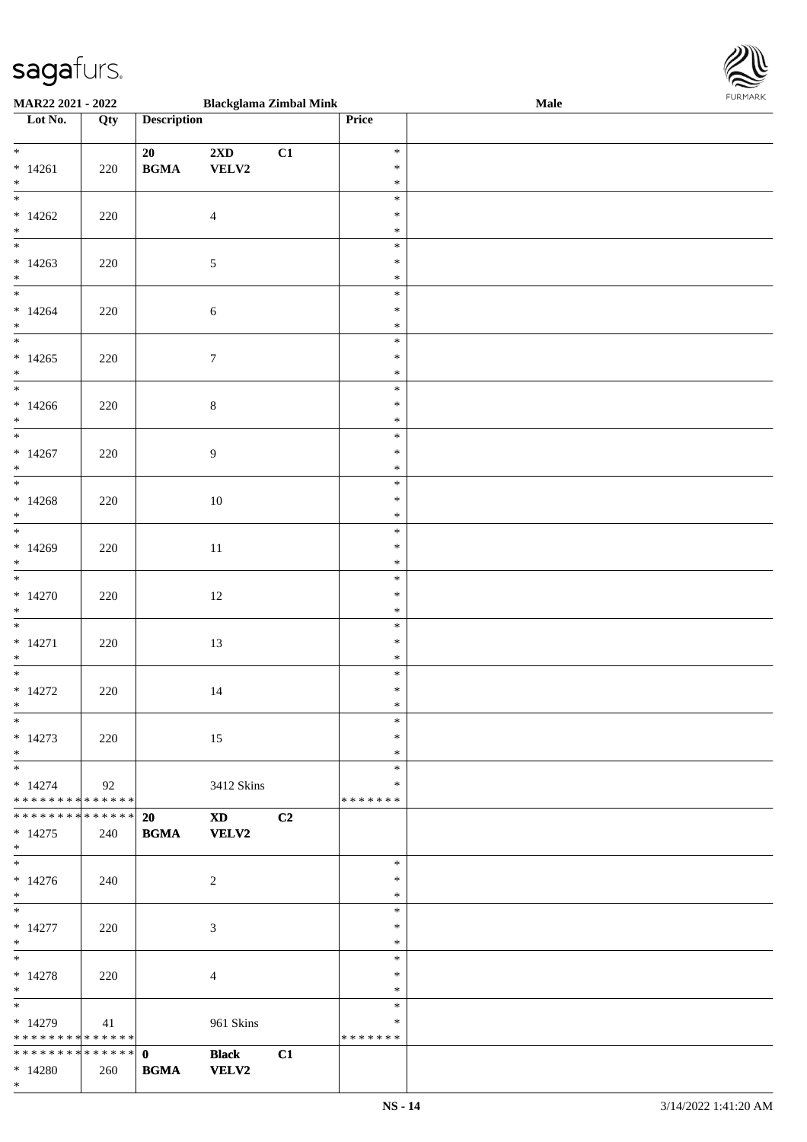

| <b>MAR22 2021 - 2022</b>                   |     |                                            | <b>Blackglama Zimbal Mink</b>                                                                                                                                                                                                  |    |         | <b>Male</b> |
|--------------------------------------------|-----|--------------------------------------------|--------------------------------------------------------------------------------------------------------------------------------------------------------------------------------------------------------------------------------|----|---------|-------------|
| Lot No.                                    | Qty | <b>Description</b>                         |                                                                                                                                                                                                                                |    | Price   |             |
|                                            |     |                                            |                                                                                                                                                                                                                                |    |         |             |
| $*$                                        |     | 20                                         | $2\mathbf{X}\mathbf{D}$                                                                                                                                                                                                        | C1 | $\ast$  |             |
| $* 14261$                                  | 220 | $\mathbf{B}\mathbf{G}\mathbf{M}\mathbf{A}$ | VELV2                                                                                                                                                                                                                          |    | $\ast$  |             |
| $*$                                        |     |                                            |                                                                                                                                                                                                                                |    | $\ast$  |             |
|                                            |     |                                            |                                                                                                                                                                                                                                |    | $\ast$  |             |
| $*14262$                                   |     |                                            |                                                                                                                                                                                                                                |    | $\ast$  |             |
|                                            | 220 |                                            | $\overline{4}$                                                                                                                                                                                                                 |    |         |             |
| $*$                                        |     |                                            |                                                                                                                                                                                                                                |    | $\ast$  |             |
|                                            |     |                                            |                                                                                                                                                                                                                                |    | $\ast$  |             |
| $*14263$                                   | 220 |                                            | $\mathfrak{S}$                                                                                                                                                                                                                 |    | $\ast$  |             |
| $*$                                        |     |                                            |                                                                                                                                                                                                                                |    | $\ast$  |             |
| $*$                                        |     |                                            |                                                                                                                                                                                                                                |    | $\ast$  |             |
| $*14264$                                   | 220 |                                            | $\sqrt{6}$                                                                                                                                                                                                                     |    | $\ast$  |             |
| $*$                                        |     |                                            |                                                                                                                                                                                                                                |    | $\ast$  |             |
| $\overline{\ast}$                          |     |                                            |                                                                                                                                                                                                                                |    | $\ast$  |             |
| $*14265$                                   | 220 |                                            | $\boldsymbol{7}$                                                                                                                                                                                                               |    | $\ast$  |             |
| $*$                                        |     |                                            |                                                                                                                                                                                                                                |    | $\ast$  |             |
| $\overline{\phantom{0}}$                   |     |                                            |                                                                                                                                                                                                                                |    | $\ast$  |             |
| $*14266$                                   |     |                                            |                                                                                                                                                                                                                                |    | $\ast$  |             |
| $*$                                        | 220 |                                            | $\,8\,$                                                                                                                                                                                                                        |    | $\ast$  |             |
| $\overline{\ast}$                          |     |                                            |                                                                                                                                                                                                                                |    |         |             |
|                                            |     |                                            |                                                                                                                                                                                                                                |    | $\ast$  |             |
| $*14267$                                   | 220 |                                            | $\overline{9}$                                                                                                                                                                                                                 |    | $\ast$  |             |
| $*$                                        |     |                                            |                                                                                                                                                                                                                                |    | $\ast$  |             |
|                                            |     |                                            |                                                                                                                                                                                                                                |    | $\ast$  |             |
| $*14268$                                   | 220 |                                            | 10                                                                                                                                                                                                                             |    | $\ast$  |             |
| $\ast$                                     |     |                                            |                                                                                                                                                                                                                                |    | $\ast$  |             |
| $\overline{\phantom{0}}$                   |     |                                            |                                                                                                                                                                                                                                |    | $\ast$  |             |
| $*14269$                                   | 220 |                                            | 11                                                                                                                                                                                                                             |    | $\ast$  |             |
| $*$                                        |     |                                            |                                                                                                                                                                                                                                |    | $\ast$  |             |
|                                            |     |                                            |                                                                                                                                                                                                                                |    | $\ast$  |             |
| $*14270$                                   | 220 |                                            | 12                                                                                                                                                                                                                             |    | $\ast$  |             |
| $*$                                        |     |                                            |                                                                                                                                                                                                                                |    | $\ast$  |             |
| $*$                                        |     |                                            |                                                                                                                                                                                                                                |    | $\ast$  |             |
|                                            |     |                                            |                                                                                                                                                                                                                                |    | $\ast$  |             |
| $* 14271$                                  | 220 |                                            | 13                                                                                                                                                                                                                             |    |         |             |
| $*$<br>$\overline{\phantom{0}}$            |     |                                            |                                                                                                                                                                                                                                |    | $\ast$  |             |
|                                            |     |                                            |                                                                                                                                                                                                                                |    | $\ast$  |             |
| $* 14272$                                  | 220 |                                            | 14                                                                                                                                                                                                                             |    | $\ast$  |             |
| $*$                                        |     |                                            |                                                                                                                                                                                                                                |    | $\ast$  |             |
| $*$                                        |     |                                            |                                                                                                                                                                                                                                |    | $\ast$  |             |
| $*14273$                                   | 220 |                                            | 15                                                                                                                                                                                                                             |    | $\ast$  |             |
| $*$                                        |     |                                            |                                                                                                                                                                                                                                |    | $\ast$  |             |
| $*$                                        |     |                                            |                                                                                                                                                                                                                                |    | $\ast$  |             |
| $*14274$                                   | 92  |                                            | 3412 Skins                                                                                                                                                                                                                     |    | ∗       |             |
| * * * * * * * * <mark>* * * * * * *</mark> |     |                                            |                                                                                                                                                                                                                                |    | ******* |             |
| * * * * * * * * * * * * * * <mark>*</mark> |     | <b>20</b>                                  | XD and the set of the set of the set of the set of the set of the set of the set of the set of the set of the set of the set of the set of the set of the set of the set of the set of the set of the set of the set of the se | C2 |         |             |
| $* 14275$                                  | 240 | <b>BGMA</b>                                | <b>VELV2</b>                                                                                                                                                                                                                   |    |         |             |
| $*$                                        |     |                                            |                                                                                                                                                                                                                                |    |         |             |
| $*$                                        |     |                                            |                                                                                                                                                                                                                                |    | $\ast$  |             |
| $* 14276$                                  | 240 |                                            | 2                                                                                                                                                                                                                              |    | $\ast$  |             |
| $*$                                        |     |                                            |                                                                                                                                                                                                                                |    | $\ast$  |             |
| $*$ $-$                                    |     |                                            |                                                                                                                                                                                                                                |    | $\ast$  |             |
| $* 14277$                                  | 220 |                                            | 3                                                                                                                                                                                                                              |    | $\ast$  |             |
| $*$                                        |     |                                            |                                                                                                                                                                                                                                |    | $\ast$  |             |
| $*$ and $*$                                |     |                                            |                                                                                                                                                                                                                                |    | $\ast$  |             |
| $* 14278$                                  |     |                                            |                                                                                                                                                                                                                                |    | $\ast$  |             |
| $*$                                        | 220 |                                            | $\overline{4}$                                                                                                                                                                                                                 |    | $\ast$  |             |
|                                            |     |                                            |                                                                                                                                                                                                                                |    | $\ast$  |             |
|                                            |     |                                            |                                                                                                                                                                                                                                |    |         |             |
| $*14279$                                   | 41  |                                            | 961 Skins                                                                                                                                                                                                                      |    | ∗       |             |
| * * * * * * * * * * * * * * <mark>*</mark> |     |                                            |                                                                                                                                                                                                                                |    | ******* |             |
|                                            |     |                                            | <b>Black</b>                                                                                                                                                                                                                   | C1 |         |             |
| $*14280$                                   | 260 | <b>BGMA</b>                                | <b>VELV2</b>                                                                                                                                                                                                                   |    |         |             |
| $*$                                        |     |                                            |                                                                                                                                                                                                                                |    |         |             |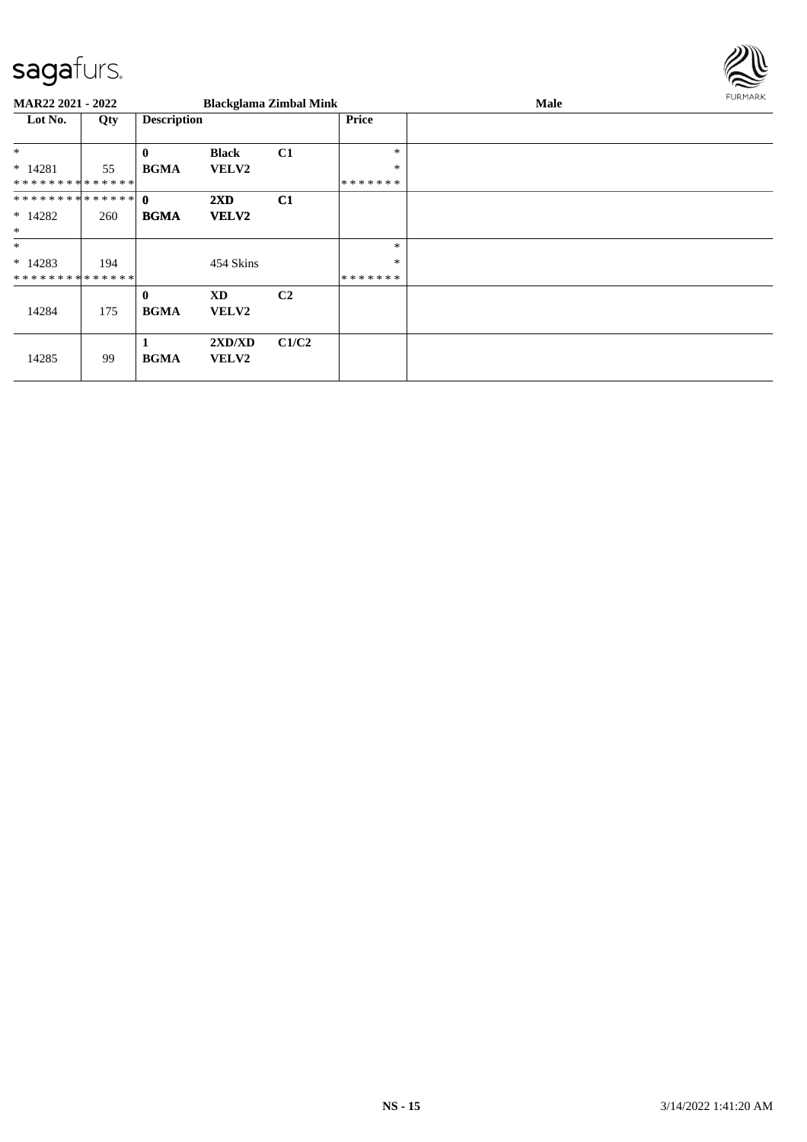

| MAR22 2021 - 2022           |     |                             | <b>Blackglama Zimbal Mink</b> |                |               | Male | FURMARK |
|-----------------------------|-----|-----------------------------|-------------------------------|----------------|---------------|------|---------|
| Lot No.                     | Qty | <b>Description</b>          |                               |                | <b>Price</b>  |      |         |
| $*$                         |     | $\mathbf{0}$                | <b>Black</b>                  | C1             | $\ast$        |      |         |
| $* 14281$                   | 55  | <b>BGMA</b>                 | <b>VELV2</b>                  |                | $\ast$        |      |         |
| * * * * * * * * * * * * * * |     |                             |                               |                | * * * * * * * |      |         |
|                             |     |                             | 2XD                           | C1             |               |      |         |
| $*14282$                    | 260 | <b>BGMA</b>                 | <b>VELV2</b>                  |                |               |      |         |
| $\ast$                      |     |                             |                               |                |               |      |         |
| $\ast$                      |     |                             |                               |                | $\ast$        |      |         |
| $*14283$                    | 194 |                             | 454 Skins                     |                | $\ast$        |      |         |
| * * * * * * * * * * * * * * |     |                             |                               |                | *******       |      |         |
| 14284                       | 175 | $\mathbf{0}$<br><b>BGMA</b> | <b>XD</b><br><b>VELV2</b>     | C <sub>2</sub> |               |      |         |
| 14285                       | 99  | <b>BGMA</b>                 | 2XD/XD<br><b>VELV2</b>        | C1/C2          |               |      |         |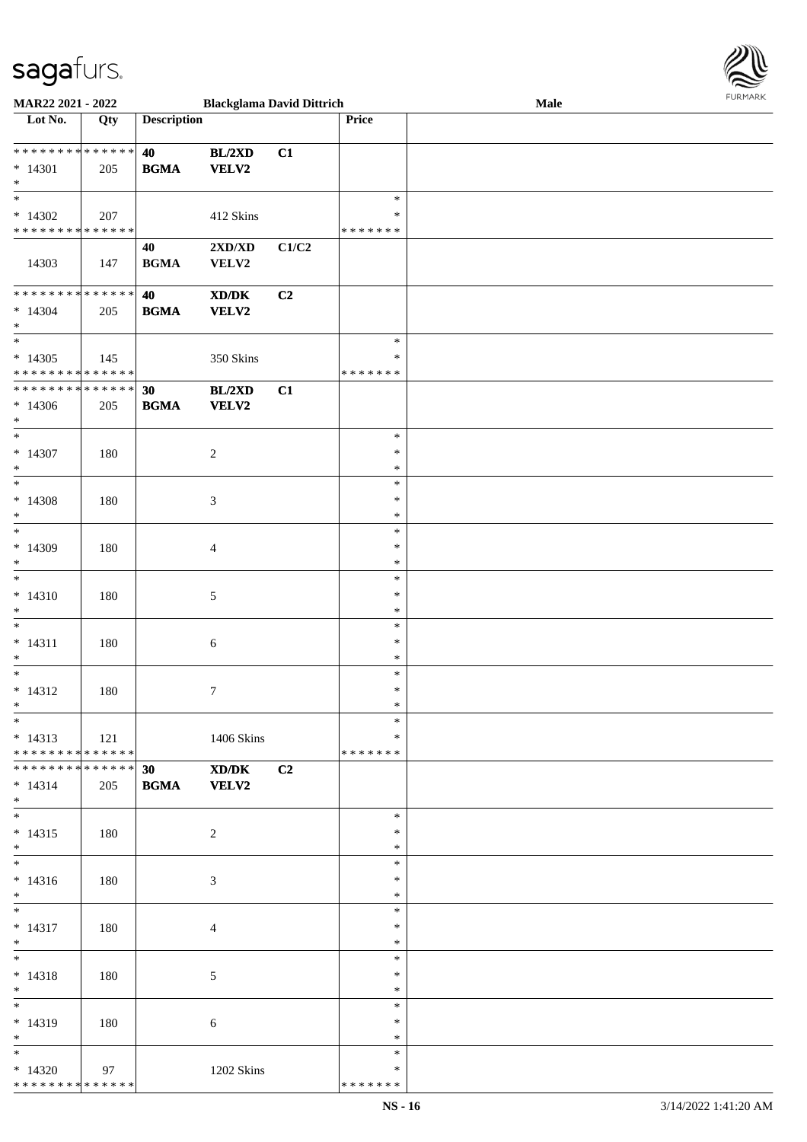| MAR22 2021 - 2022                                                                 |             |                    | <b>Blackglama David Dittrich</b>                    |                |                                      | $\bf Male$ | <b>FURMARK</b> |
|-----------------------------------------------------------------------------------|-------------|--------------------|-----------------------------------------------------|----------------|--------------------------------------|------------|----------------|
| Lot No.                                                                           | Qty         | <b>Description</b> |                                                     |                | Price                                |            |                |
| **************<br>$* 14301$<br>$\ast$                                             | 205         | 40<br><b>BGMA</b>  | BL/2XD<br><b>VELV2</b>                              | C1             |                                      |            |                |
| $\overline{\ast}$<br>$*14302$<br>* * * * * * * * * * * * * *                      | 207         |                    | 412 Skins                                           |                | $\ast$<br>$\ast$<br>* * * * * * *    |            |                |
| 14303                                                                             | 147         | 40<br><b>BGMA</b>  | 2XD/XD<br>VELV2                                     | C1/C2          |                                      |            |                |
| **************<br>$* 14304$<br>$\ast$<br>$\ast$                                   | 205         | 40<br><b>BGMA</b>  | $\bold{X}\bold{D}/\bold{D}\bold{K}$<br><b>VELV2</b> | C <sub>2</sub> | $\ast$                               |            |                |
| $*14305$<br>* * * * * * * * * * * * * *                                           | 145         |                    | 350 Skins                                           |                | $\ast$<br>* * * * * * *              |            |                |
| * * * * * * * * * * * * * * *<br>$*14306$<br>$\ast$<br>$\overline{\phantom{a}^*}$ | 205         | 30<br><b>BGMA</b>  | BL/2XD<br>VELV2                                     | C1             |                                      |            |                |
| $* 14307$<br>$\ast$<br>$_{\ast}^{-}$                                              | 180         |                    | $\boldsymbol{2}$                                    |                | $\ast$<br>$\ast$<br>$\ast$           |            |                |
| $* 14308$<br>$\ast$<br>$\overline{\phantom{a}^*}$                                 | 180         |                    | $\mathfrak{Z}$                                      |                | $\ast$<br>$\ast$<br>$\ast$<br>$\ast$ |            |                |
| $*14309$<br>$\ast$<br>$_{\ast}$                                                   | 180         |                    | $\overline{4}$                                      |                | $\ast$<br>$\ast$<br>$\ast$           |            |                |
| $* 14310$<br>$\ast$<br>$\ast$                                                     | 180         |                    | $5\,$                                               |                | $\ast$<br>$\ast$<br>$\ast$           |            |                |
| $* 14311$<br>$\ast$<br>$\ast$                                                     | 180         |                    | 6                                                   |                | $\ast$<br>$\ast$<br>$\ast$           |            |                |
| $* 14312$<br>$*$<br>$\overline{\phantom{0}}$                                      | 180         |                    | 7                                                   |                | $\ast$<br>∗<br>$\ast$                |            |                |
| $* 14313$<br>* * * * * * * * * * * * * *                                          | $\vert$ 121 |                    | 1406 Skins                                          |                | *<br>* * * * * * *                   |            |                |
| **************<br>$* 14314$<br>$*$<br>$\overline{\phantom{0}}$                    | 205         | 30<br><b>BGMA</b>  | XD/DK<br><b>VELV2</b>                               | C <sub>2</sub> |                                      |            |                |
| $* 14315$<br>$*$<br>$\overline{\phantom{0}}$                                      | 180         |                    | $\overline{2}$                                      |                | $\ast$<br>$\ast$<br>$\ast$           |            |                |
| $* 14316$<br>$*$                                                                  | 180         |                    | $\mathfrak{Z}$                                      |                | $\ast$<br>$\ast$<br>$\ast$           |            |                |
| $\ast$<br>$* 14317$<br>$\ast$<br>$\overline{\phantom{a}^*}$                       | 180         |                    | $\overline{4}$                                      |                | $\ast$<br>$\ast$<br>$\ast$           |            |                |
| $* 14318$<br>$\ast$<br>$_{\ast}^{-}$                                              | 180         |                    | 5                                                   |                | $\ast$<br>$\ast$<br>$\ast$           |            |                |
| $* 14319$<br>$*$                                                                  | 180         |                    | 6                                                   |                | $\ast$<br>$\ast$<br>$\ast$           |            |                |
| $\ast$<br>$*14320$<br>* * * * * * * * * * * * * * *                               | 97          |                    | 1202 Skins                                          |                | $\ast$<br>$\ast$<br>* * * * * * *    |            |                |

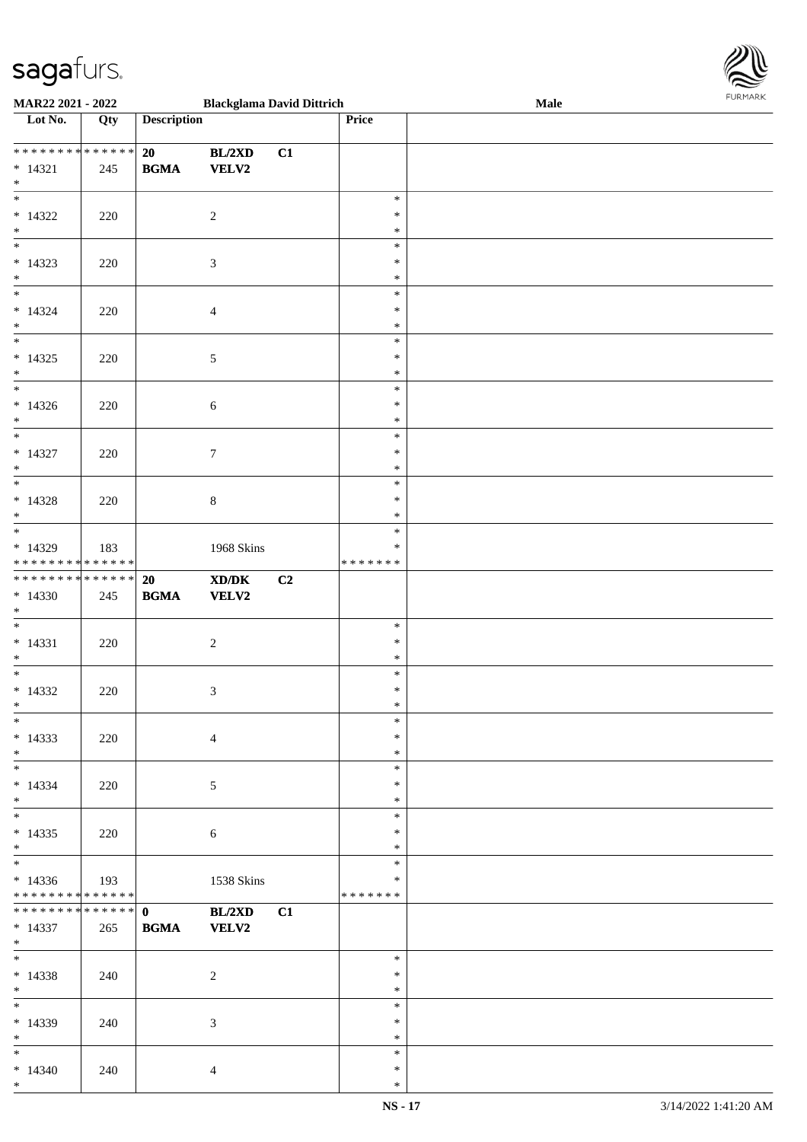

| MAR22 2021 - 2022                          |     |                    | <b>Blackglama David Dittrich</b>                                                                     |                |         | Male |
|--------------------------------------------|-----|--------------------|------------------------------------------------------------------------------------------------------|----------------|---------|------|
| Lot No.                                    | Qty | <b>Description</b> |                                                                                                      |                | Price   |      |
|                                            |     |                    |                                                                                                      |                |         |      |
| * * * * * * * * * * * * * *                |     | 20                 | BL/2XD                                                                                               | C1             |         |      |
|                                            |     | <b>BGMA</b>        | <b>VELV2</b>                                                                                         |                |         |      |
| $* 14321$                                  | 245 |                    |                                                                                                      |                |         |      |
| $\ast$                                     |     |                    |                                                                                                      |                |         |      |
| $\overline{\phantom{0}}$                   |     |                    |                                                                                                      |                | $\ast$  |      |
| $*14322$                                   | 220 |                    | $\overline{2}$                                                                                       |                | $\ast$  |      |
| $\ast$                                     |     |                    |                                                                                                      |                | $\ast$  |      |
| $\overline{\phantom{0}}$                   |     |                    |                                                                                                      |                | $\ast$  |      |
| $* 14323$                                  | 220 |                    | $\sqrt{3}$                                                                                           |                | $\ast$  |      |
| $*$                                        |     |                    |                                                                                                      |                | $\ast$  |      |
| $*$                                        |     |                    |                                                                                                      |                |         |      |
|                                            |     |                    |                                                                                                      |                | $\ast$  |      |
| $* 14324$                                  | 220 |                    | $\overline{4}$                                                                                       |                | $\ast$  |      |
| $\ast$                                     |     |                    |                                                                                                      |                | $\ast$  |      |
| $\overline{\ast}$                          |     |                    |                                                                                                      |                | $\ast$  |      |
| $* 14325$                                  | 220 |                    | $\sqrt{5}$                                                                                           |                | $\ast$  |      |
| $\ast$                                     |     |                    |                                                                                                      |                | $\ast$  |      |
| $\ast$                                     |     |                    |                                                                                                      |                | $\ast$  |      |
|                                            |     |                    |                                                                                                      |                |         |      |
| $*14326$                                   | 220 |                    | $\sqrt{6}$                                                                                           |                | $\ast$  |      |
| $*$                                        |     |                    |                                                                                                      |                | $\ast$  |      |
| $\ast$                                     |     |                    |                                                                                                      |                | $\ast$  |      |
| $* 14327$                                  | 220 |                    | $\boldsymbol{7}$                                                                                     |                | $\ast$  |      |
| $\ast$                                     |     |                    |                                                                                                      |                | $\ast$  |      |
| $\ast$                                     |     |                    |                                                                                                      |                | $\ast$  |      |
|                                            |     |                    |                                                                                                      |                | $\ast$  |      |
| $* 14328$                                  | 220 |                    | $8\,$                                                                                                |                |         |      |
| $*$                                        |     |                    |                                                                                                      |                | $\ast$  |      |
| $*$                                        |     |                    |                                                                                                      |                | $\ast$  |      |
| * 14329                                    | 183 |                    | 1968 Skins                                                                                           |                | $\ast$  |      |
| * * * * * * * * * * * * * *                |     |                    |                                                                                                      |                | ******* |      |
| * * * * * * * * * * * * * * *              |     | 20                 | $\boldsymbol{\text{X}}\boldsymbol{\text{D}}\boldsymbol{/}\boldsymbol{\text{D}}\boldsymbol{\text{K}}$ | C <sub>2</sub> |         |      |
| $*14330$                                   | 245 | <b>BGMA</b>        | VELV2                                                                                                |                |         |      |
| $*$                                        |     |                    |                                                                                                      |                |         |      |
| $*$                                        |     |                    |                                                                                                      |                | $\ast$  |      |
|                                            |     |                    |                                                                                                      |                |         |      |
| $* 14331$                                  | 220 |                    | $\sqrt{2}$                                                                                           |                | $\ast$  |      |
| $*$                                        |     |                    |                                                                                                      |                | $\ast$  |      |
| $*$                                        |     |                    |                                                                                                      |                | $\ast$  |      |
| $*14332$                                   | 220 |                    | $\mathfrak{Z}$                                                                                       |                | $\ast$  |      |
| $*$                                        |     |                    |                                                                                                      |                | $\ast$  |      |
| $*$                                        |     |                    |                                                                                                      |                | $\ast$  |      |
| $* 14333$                                  |     |                    |                                                                                                      |                | $\ast$  |      |
|                                            | 220 |                    | $\overline{4}$                                                                                       |                |         |      |
| $*$                                        |     |                    |                                                                                                      |                | $\ast$  |      |
| $*$                                        |     |                    |                                                                                                      |                | $\ast$  |      |
| $* 14334$                                  | 220 |                    | 5                                                                                                    |                | $\ast$  |      |
| $*$                                        |     |                    |                                                                                                      |                | $\ast$  |      |
| $*$                                        |     |                    |                                                                                                      |                | $\ast$  |      |
| $* 14335$                                  | 220 |                    | $6\phantom{1}6$                                                                                      |                | $\ast$  |      |
| $*$                                        |     |                    |                                                                                                      |                | $\ast$  |      |
| $\overline{\phantom{0}}$                   |     |                    |                                                                                                      |                | $\ast$  |      |
|                                            |     |                    |                                                                                                      |                |         |      |
| $*14336$                                   | 193 |                    | 1538 Skins                                                                                           |                | $\ast$  |      |
| * * * * * * * * * * * * * *                |     |                    |                                                                                                      |                | ******* |      |
| * * * * * * * * <mark>* * * * * * *</mark> |     | $\mathbf{0}$       | BL/2XD                                                                                               | C1             |         |      |
| $* 14337$                                  | 265 | <b>BGMA</b>        | <b>VELV2</b>                                                                                         |                |         |      |
| $*$                                        |     |                    |                                                                                                      |                |         |      |
| $*$                                        |     |                    |                                                                                                      |                | $\ast$  |      |
| $* 14338$                                  |     |                    | $\overline{2}$                                                                                       |                | $\ast$  |      |
|                                            | 240 |                    |                                                                                                      |                | $\ast$  |      |
| $*$                                        |     |                    |                                                                                                      |                |         |      |
| $*$                                        |     |                    |                                                                                                      |                | $\ast$  |      |
| * 14339                                    | 240 |                    | 3                                                                                                    |                | $\ast$  |      |
| $*$                                        |     |                    |                                                                                                      |                | $\ast$  |      |
| $*$                                        |     |                    |                                                                                                      |                | $\ast$  |      |
| $* 14340$                                  | 240 |                    | $\overline{4}$                                                                                       |                | $\ast$  |      |
| $*$                                        |     |                    |                                                                                                      |                | $\ast$  |      |
|                                            |     |                    |                                                                                                      |                |         |      |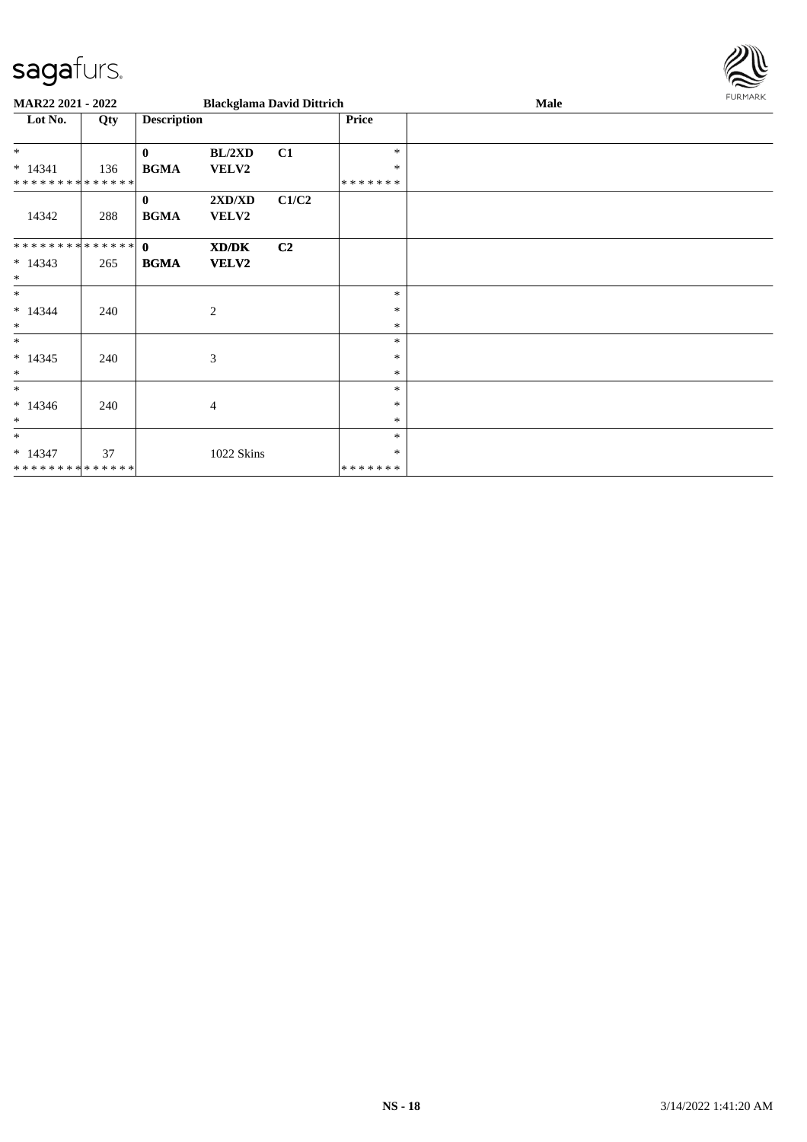

| MAR22 2021 - 2022                        |     |                             |                       | <b>Blackglama David Dittrich</b> |                            | Male | FURMARK |
|------------------------------------------|-----|-----------------------------|-----------------------|----------------------------------|----------------------------|------|---------|
| Lot No.                                  | Qty | <b>Description</b>          |                       |                                  | Price                      |      |         |
| $*$                                      |     | $\mathbf{0}$                | BL/2XD                | C1                               | $\ast$                     |      |         |
| $* 14341$<br>* * * * * * * * * * * * * * | 136 | <b>BGMA</b>                 | VELV2                 |                                  | $\ast$<br>* * * * * * *    |      |         |
| 14342                                    | 288 | $\mathbf{0}$<br><b>BGMA</b> | 2XD/XD<br>VELV2       | C1/C2                            |                            |      |         |
| ************** 0<br>$* 14343$<br>$\ast$  | 265 | <b>BGMA</b>                 | XD/DK<br><b>VELV2</b> | C <sub>2</sub>                   |                            |      |         |
| $\ast$<br>$* 14344$<br>$\ast$            | 240 |                             | 2                     |                                  | $\ast$<br>$\ast$<br>$\ast$ |      |         |
| $\ast$<br>$* 14345$<br>$\ast$            | 240 |                             | 3                     |                                  | $\ast$<br>$\ast$<br>$\ast$ |      |         |
| $\ast$<br>$* 14346$<br>$\ast$            | 240 |                             | $\overline{4}$        |                                  | $\ast$<br>$\ast$<br>$\ast$ |      |         |
| $\ast$<br>$* 14347$<br>**************    | 37  |                             | 1022 Skins            |                                  | $\ast$<br>∗<br>*******     |      |         |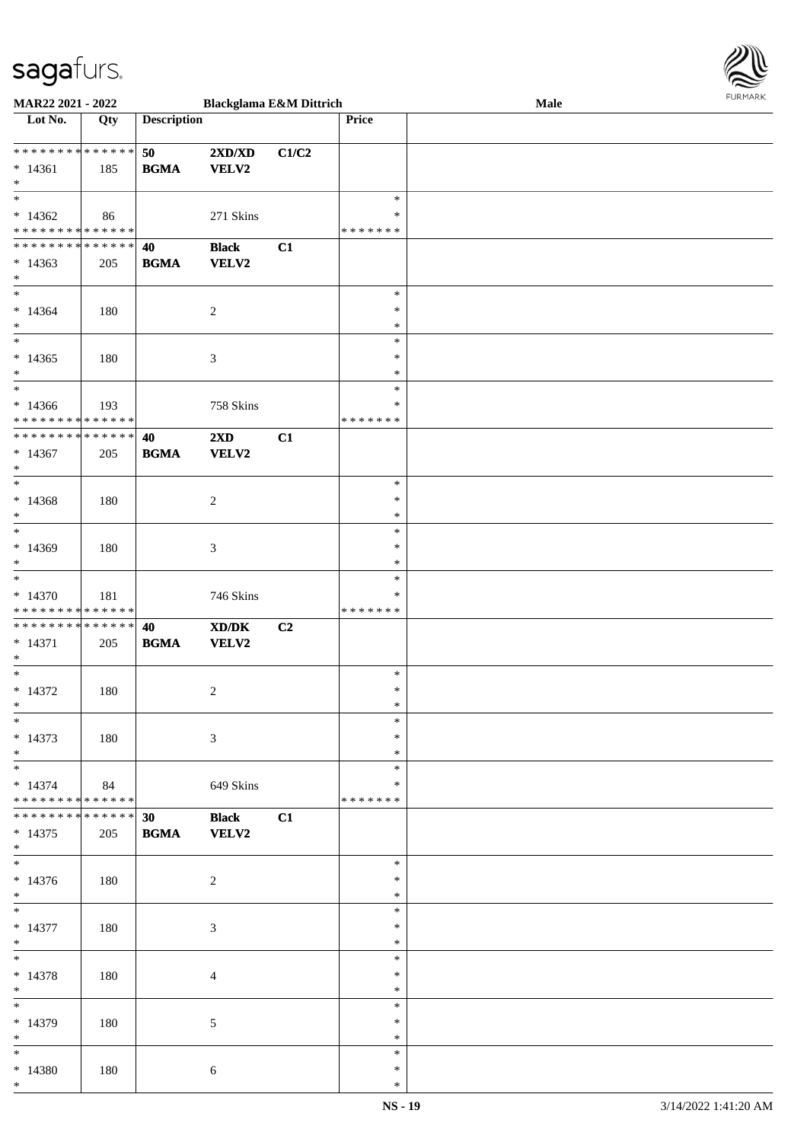| MAR22 2021 - 2022                          |     |                                            |                  | <b>Blackglama E&amp;M Dittrich</b> |                  | Male |  |
|--------------------------------------------|-----|--------------------------------------------|------------------|------------------------------------|------------------|------|--|
| $\overline{\phantom{a}}$ Lot No.           | Qty | <b>Description</b>                         |                  |                                    | Price            |      |  |
|                                            |     |                                            |                  |                                    |                  |      |  |
| * * * * * * * * <mark>* * * * * * *</mark> |     | 50                                         | 2XD/XD           | C1/C2                              |                  |      |  |
| $* 14361$                                  | 185 | <b>BGMA</b>                                | <b>VELV2</b>     |                                    |                  |      |  |
| $*$                                        |     |                                            |                  |                                    |                  |      |  |
| $*$                                        |     |                                            |                  |                                    | $\ast$           |      |  |
| $*14362$                                   | 86  |                                            | 271 Skins        |                                    | $\ast$           |      |  |
| * * * * * * * * * * * * * *                |     |                                            |                  |                                    | * * * * * * *    |      |  |
| * * * * * * * * * * * * * * *              |     | 40                                         | <b>Black</b>     | C1                                 |                  |      |  |
| $*14363$                                   | 205 | <b>BGMA</b>                                | <b>VELV2</b>     |                                    |                  |      |  |
| $*$<br>$*$                                 |     |                                            |                  |                                    |                  |      |  |
|                                            |     |                                            |                  |                                    | $\ast$           |      |  |
| $*14364$                                   | 180 |                                            | $\boldsymbol{2}$ |                                    | $\ast$           |      |  |
| $\ast$                                     |     |                                            |                  |                                    | $\ast$           |      |  |
|                                            |     |                                            |                  |                                    | $\ast$           |      |  |
| $*14365$                                   | 180 |                                            | $\mathfrak{Z}$   |                                    | $\ast$           |      |  |
| $*$<br>$*$                                 |     |                                            |                  |                                    | $\ast$<br>$\ast$ |      |  |
|                                            |     |                                            |                  |                                    | ∗                |      |  |
| $*14366$<br>* * * * * * * * * * * * * *    | 193 |                                            | 758 Skins        |                                    | * * * * * * *    |      |  |
| * * * * * * * * * * * * * *                |     | 40                                         | 2XD              | C1                                 |                  |      |  |
| $*14367$                                   | 205 |                                            | <b>VELV2</b>     |                                    |                  |      |  |
| $*$                                        |     | <b>BGMA</b>                                |                  |                                    |                  |      |  |
| $*$                                        |     |                                            |                  |                                    | $\ast$           |      |  |
| $*14368$                                   | 180 |                                            | $\boldsymbol{2}$ |                                    | $\ast$           |      |  |
| $\ast$                                     |     |                                            |                  |                                    | $\ast$           |      |  |
|                                            |     |                                            |                  |                                    | $\ast$           |      |  |
| $*14369$                                   | 180 |                                            | 3                |                                    | $\ast$           |      |  |
| $*$                                        |     |                                            |                  |                                    | $\ast$           |      |  |
| $*$                                        |     |                                            |                  |                                    | $\ast$           |      |  |
| $*14370$                                   | 181 |                                            | 746 Skins        |                                    | ∗                |      |  |
| * * * * * * * * * * * * * *                |     |                                            |                  |                                    | * * * * * * *    |      |  |
| * * * * * * * * * * * * * *                |     | 40                                         | XD/DK            | C <sub>2</sub>                     |                  |      |  |
| $* 14371$                                  | 205 | $\mathbf{B}\mathbf{G}\mathbf{M}\mathbf{A}$ | VELV2            |                                    |                  |      |  |
| $*$                                        |     |                                            |                  |                                    |                  |      |  |
| $*$                                        |     |                                            |                  |                                    | $\ast$           |      |  |
| $* 14372$                                  | 180 |                                            | $\boldsymbol{2}$ |                                    | $\ast$           |      |  |
| $*$                                        |     |                                            |                  |                                    | $\ast$           |      |  |
| $*$                                        |     |                                            |                  |                                    | $\ast$           |      |  |
| $* 14373$                                  | 180 |                                            | 3                |                                    | $\ast$           |      |  |
| $*$                                        |     |                                            |                  |                                    | $\ast$           |      |  |
| $\ast$                                     |     |                                            |                  |                                    | $\ast$           |      |  |
| $* 14374$                                  | 84  |                                            | 649 Skins        |                                    | $\ast$           |      |  |
| * * * * * * * * * * * * * *                |     |                                            |                  |                                    | * * * * * * *    |      |  |
| * * * * * * * * * * * * * * *              |     | 30                                         | <b>Black</b>     | C1                                 |                  |      |  |
| $* 14375$                                  | 205 | <b>BGMA</b>                                | <b>VELV2</b>     |                                    |                  |      |  |
| $*$                                        |     |                                            |                  |                                    |                  |      |  |
|                                            |     |                                            |                  |                                    | $\ast$           |      |  |
| $* 14376$                                  | 180 |                                            | $\sqrt{2}$       |                                    | $\ast$           |      |  |
| $*$                                        |     |                                            |                  |                                    | $\ast$           |      |  |
| $*$                                        |     |                                            |                  |                                    | $\ast$           |      |  |
| $* 14377$                                  | 180 |                                            | $\mathfrak{Z}$   |                                    | $\ast$           |      |  |
| $*$                                        |     |                                            |                  |                                    | $\ast$           |      |  |
| $*$                                        |     |                                            |                  |                                    | $\ast$           |      |  |
| $* 14378$                                  | 180 |                                            | $\overline{4}$   |                                    | $\ast$           |      |  |
| $*$                                        |     |                                            |                  |                                    | $\ast$           |      |  |
| $*$                                        |     |                                            |                  |                                    | $\ast$           |      |  |
| * 14379                                    | 180 |                                            | $\mathfrak{S}$   |                                    | $\ast$           |      |  |
| $*$                                        |     |                                            |                  |                                    | $\ast$           |      |  |
| $*$                                        |     |                                            |                  |                                    | $\ast$           |      |  |
| * 14380                                    | 180 |                                            | 6                |                                    | $\ast$           |      |  |
| $*$                                        |     |                                            |                  |                                    | $\ast$           |      |  |

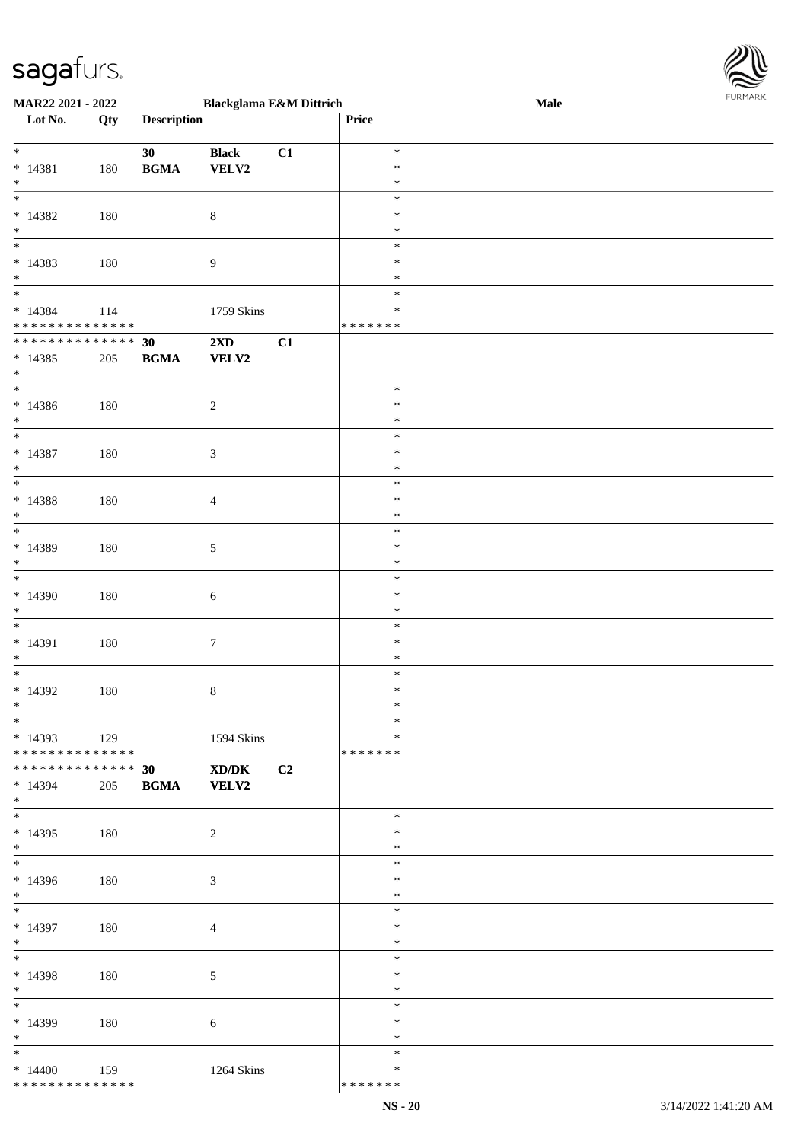

| MAR22 2021 - 2022             |             |                    | <b>Blackglama E&amp;M Dittrich</b> |    |         | Male |
|-------------------------------|-------------|--------------------|------------------------------------|----|---------|------|
| Lot No.                       | Qty         | <b>Description</b> |                                    |    | Price   |      |
|                               |             |                    |                                    |    |         |      |
| $\ast$                        |             | 30                 | <b>Black</b>                       | C1 | $\ast$  |      |
|                               |             |                    |                                    |    |         |      |
| $* 14381$                     | 180         | <b>BGMA</b>        | VELV2                              |    | $\ast$  |      |
| $\ast$                        |             |                    |                                    |    | $\ast$  |      |
| $\overline{\ast}$             |             |                    |                                    |    | $\ast$  |      |
| $*14382$                      | 180         |                    | $\,8\,$                            |    | ∗       |      |
| $\ast$                        |             |                    |                                    |    | ∗       |      |
| $\overline{\phantom{0}}$      |             |                    |                                    |    |         |      |
|                               |             |                    |                                    |    | $\ast$  |      |
| $* 14383$                     | 180         |                    | $\boldsymbol{9}$                   |    | $\ast$  |      |
| $*$                           |             |                    |                                    |    | $\ast$  |      |
| $*$                           |             |                    |                                    |    | $\ast$  |      |
|                               |             |                    |                                    |    |         |      |
| $* 14384$                     | 114         |                    | 1759 Skins                         |    | $\ast$  |      |
| * * * * * * * * * * * * * *   |             |                    |                                    |    | ******* |      |
| * * * * * * * * * * * * * *   |             | 30                 | $2\mathbf{X}\mathbf{D}$            | C1 |         |      |
| $* 14385$                     | 205         | <b>BGMA</b>        | <b>VELV2</b>                       |    |         |      |
|                               |             |                    |                                    |    |         |      |
| $*$                           |             |                    |                                    |    |         |      |
| $*$                           |             |                    |                                    |    | $\ast$  |      |
| $* 14386$                     | 180         |                    | $\sqrt{2}$                         |    | $\ast$  |      |
| $*$                           |             |                    |                                    |    | $\ast$  |      |
| $\overline{\ast}$             |             |                    |                                    |    | $\ast$  |      |
|                               |             |                    |                                    |    |         |      |
| $* 14387$                     | 180         |                    | $\ensuremath{\mathfrak{Z}}$        |    | $\ast$  |      |
| $\ast$                        |             |                    |                                    |    | $\ast$  |      |
| $\overline{\ast}$             |             |                    |                                    |    | $\ast$  |      |
| $* 14388$                     |             |                    |                                    |    | ∗       |      |
|                               | 180         |                    | $\overline{4}$                     |    |         |      |
| $\ast$                        |             |                    |                                    |    | ∗       |      |
| $\overline{\ast}$             |             |                    |                                    |    | $\ast$  |      |
| $*14389$                      | 180         |                    | $\mathfrak{S}$                     |    | ∗       |      |
| $*$                           |             |                    |                                    |    | $\ast$  |      |
|                               |             |                    |                                    |    |         |      |
| $\ast$                        |             |                    |                                    |    | $\ast$  |      |
| $*14390$                      | 180         |                    | 6                                  |    | $\ast$  |      |
| $*$                           |             |                    |                                    |    | $\ast$  |      |
| $\ast$                        |             |                    |                                    |    | $\ast$  |      |
|                               |             |                    |                                    |    |         |      |
| $* 14391$                     | 180         |                    | $\boldsymbol{7}$                   |    | $\ast$  |      |
| $*$                           |             |                    |                                    |    | $\ast$  |      |
| $*$                           |             |                    |                                    |    | $\ast$  |      |
| $*14392$                      | 180         |                    | $\,8\,$                            |    | $\ast$  |      |
|                               |             |                    |                                    |    |         |      |
| $*$                           |             |                    |                                    |    | $\ast$  |      |
| $*$                           |             |                    |                                    |    | $\ast$  |      |
| $*14393$                      | 129         |                    | 1594 Skins                         |    | $\ast$  |      |
| * * * * * * * * * * * * * * * |             |                    |                                    |    | ******* |      |
| * * * * * * * * * * * * * * * |             |                    |                                    |    |         |      |
|                               |             | 30                 | XD/DK                              | C2 |         |      |
| * 14394                       | 205         | <b>BGMA VELV2</b>  |                                    |    |         |      |
| $*$                           |             |                    |                                    |    |         |      |
| $*$                           |             |                    |                                    |    | $\ast$  |      |
| $*14395$                      | 180         |                    | $\overline{c}$                     |    | ∗       |      |
| $*$                           |             |                    |                                    |    | $\ast$  |      |
| $\overline{\ast}$             |             |                    |                                    |    |         |      |
|                               |             |                    |                                    |    | $\ast$  |      |
| $*14396$                      | 180         |                    | $\mathfrak{Z}$                     |    | ∗       |      |
| $*$                           |             |                    |                                    |    | $\ast$  |      |
| $*$ $-$                       |             |                    |                                    |    | $\ast$  |      |
|                               |             |                    |                                    |    |         |      |
| $*14397$                      | 180         |                    | $\overline{4}$                     |    | $\ast$  |      |
| $*$                           |             |                    |                                    |    | $\ast$  |      |
| $*$                           |             |                    |                                    |    | $\ast$  |      |
| * 14398                       |             |                    |                                    |    | $\ast$  |      |
|                               | 180         |                    | $\mathfrak{S}$                     |    |         |      |
| $*$                           |             |                    |                                    |    | $\ast$  |      |
| $*$ $*$                       |             |                    |                                    |    | $\ast$  |      |
| * 14399                       | 180         |                    | $\sqrt{6}$                         |    | $\ast$  |      |
| $*$                           |             |                    |                                    |    | $\ast$  |      |
|                               |             |                    |                                    |    |         |      |
| $*$                           |             |                    |                                    |    | $\ast$  |      |
| $*14400$                      | $\vert$ 159 |                    | 1264 Skins                         |    | ∗       |      |
| * * * * * * * * * * * * * *   |             |                    |                                    |    | ******* |      |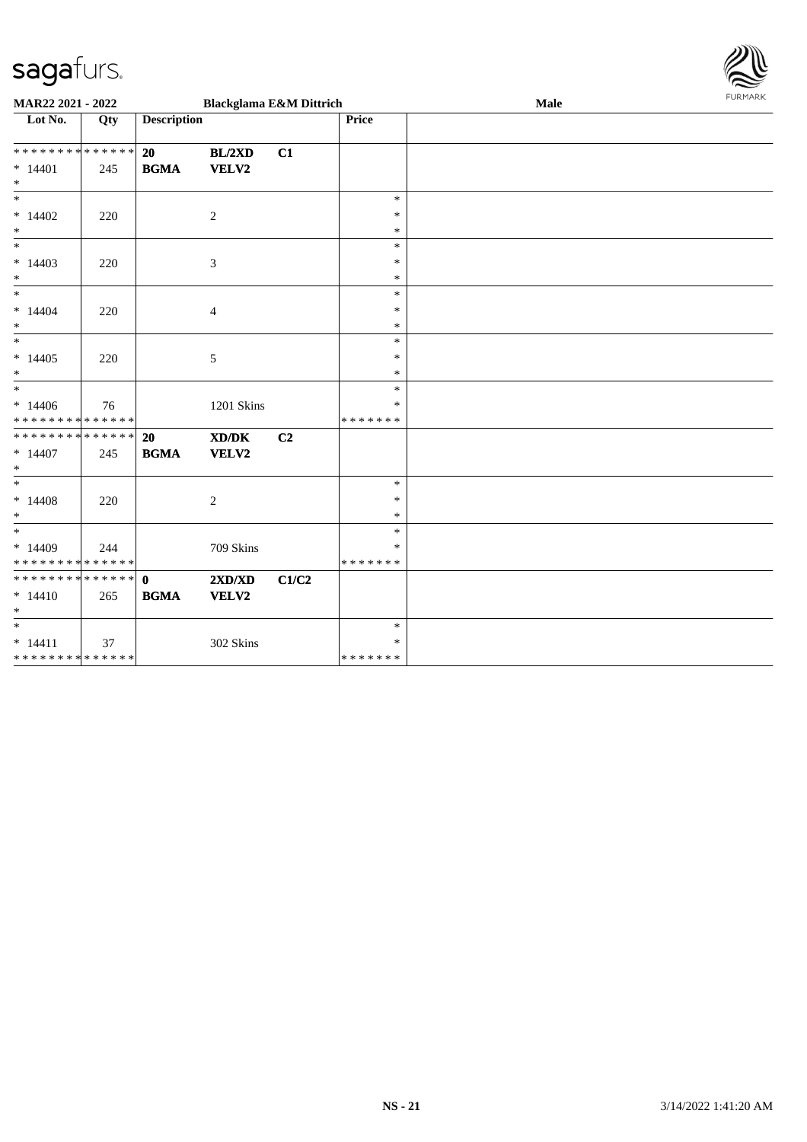

| MAR22 2021 - 2022             |     |                    | <b>Blackglama E&amp;M Dittrich</b> |       |               | Male | <b>FURMARK</b> |
|-------------------------------|-----|--------------------|------------------------------------|-------|---------------|------|----------------|
| Lot No.                       | Qty | <b>Description</b> |                                    |       | Price         |      |                |
| ******** <mark>******</mark>  |     | 20                 | BL/2XD                             | C1    |               |      |                |
| $* 14401$                     | 245 | <b>BGMA</b>        | VELV2                              |       |               |      |                |
| $*$                           |     |                    |                                    |       |               |      |                |
| $*$                           |     |                    |                                    |       | $\ast$        |      |                |
| $*14402$                      | 220 |                    | 2                                  |       | $\ast$        |      |                |
| $\ast$                        |     |                    |                                    |       | $\ast$        |      |                |
| $*$                           |     |                    |                                    |       | $\ast$        |      |                |
| $*14403$                      | 220 |                    | 3                                  |       | $\ast$        |      |                |
| $*$                           |     |                    |                                    |       | $\ast$        |      |                |
| $\overline{\phantom{0}}$      |     |                    |                                    |       | $\ast$        |      |                |
| $* 14404$                     | 220 |                    | 4                                  |       | $\ast$        |      |                |
| $*$                           |     |                    |                                    |       | $\ast$        |      |                |
| $*$                           |     |                    |                                    |       | $\ast$        |      |                |
| $*14405$                      | 220 |                    | 5                                  |       | ∗             |      |                |
| $*$                           |     |                    |                                    |       | $\ast$        |      |                |
| $*$                           |     |                    |                                    |       | $\ast$        |      |                |
| $*14406$                      | 76  |                    | 1201 Skins                         |       | $\ast$        |      |                |
| * * * * * * * * * * * * * *   |     |                    |                                    |       | * * * * * * * |      |                |
| ******** <mark>******</mark>  |     | 20                 | XD/DK                              | C2    |               |      |                |
| $*14407$                      | 245 | <b>BGMA</b>        | VELV2                              |       |               |      |                |
| $*$                           |     |                    |                                    |       |               |      |                |
| $*$                           |     |                    |                                    |       | $\ast$        |      |                |
| $* 14408$                     | 220 |                    | 2                                  |       | $\ast$        |      |                |
| $*$                           |     |                    |                                    |       | $\ast$        |      |                |
| $*$                           |     |                    |                                    |       | $\ast$        |      |                |
| $*14409$                      | 244 |                    | 709 Skins                          |       | $\ast$        |      |                |
| * * * * * * * * * * * * * * * |     |                    |                                    |       | * * * * * * * |      |                |
| * * * * * * * * * * * * * * * |     | $\mathbf{0}$       | $2{\bf X}{\bf D}/{\bf X}{\bf D}$   | C1/C2 |               |      |                |
| $*14410$                      | 265 | <b>BGMA</b>        | VELV2                              |       |               |      |                |
| $*$                           |     |                    |                                    |       |               |      |                |
| $*$                           |     |                    |                                    |       | $\ast$        |      |                |
| $* 14411$                     | 37  |                    | 302 Skins                          |       | $\ast$        |      |                |
| * * * * * * * * * * * * * * * |     |                    |                                    |       | *******       |      |                |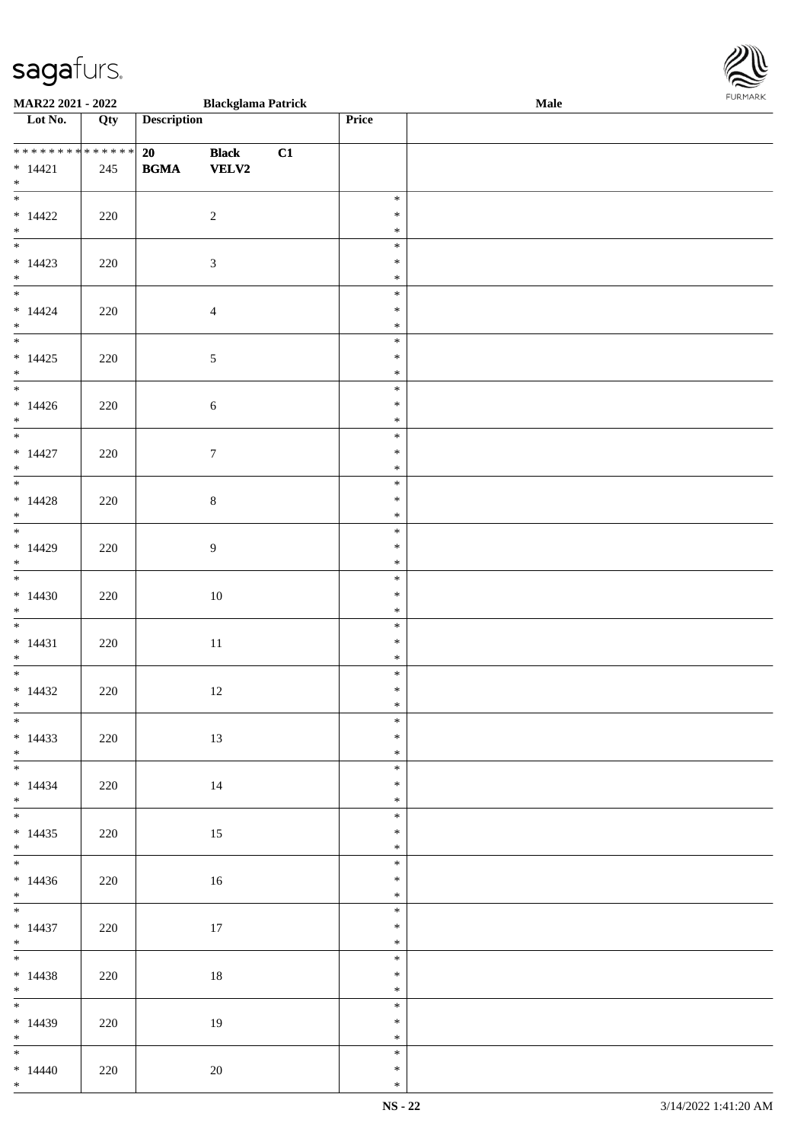| **************<br>$* 14421$<br>$*$               | 245 | 20<br><b>BGMA</b> VELV2 | <b>Black</b>     | C1 |                            |  |
|--------------------------------------------------|-----|-------------------------|------------------|----|----------------------------|--|
| $\overline{\phantom{0}}$<br>$*14422$<br>$*$      | 220 |                         | $\overline{2}$   |    | $\ast$<br>$\ast$<br>$\ast$ |  |
| $*14423$<br>$*$ $-$                              | 220 |                         | $\mathfrak{Z}$   |    | $\ast$<br>$\ast$<br>$\ast$ |  |
| $*14424$<br>$*$                                  | 220 |                         | $\overline{4}$   |    | $\ast$<br>$\ast$<br>$\ast$ |  |
| $\overline{\phantom{0}}$<br>$*14425$<br>$*$      | 220 |                         | $5\overline{)}$  |    | $\ast$<br>$\ast$<br>$\ast$ |  |
| $*14426$<br>$*$                                  | 220 |                         | 6                |    | $\ast$<br>$\ast$<br>$\ast$ |  |
| $* 14427$<br>$*$ $*$                             | 220 |                         | $\mathcal{I}$    |    | $\ast$<br>$\ast$<br>$\ast$ |  |
| $\overline{\phantom{0}}$<br>$*14428$<br>$*$ $*$  | 220 |                         | $8\,$            |    | $\ast$<br>$\ast$<br>$\ast$ |  |
| $*$<br>$*14429$<br>$*$                           | 220 |                         | $\boldsymbol{9}$ |    | $\ast$<br>$\ast$<br>$\ast$ |  |
| $*$<br>$*14430$<br>$*$                           | 220 |                         | $10\,$           |    | $\ast$<br>$\ast$<br>$\ast$ |  |
| $\overline{\phantom{0}}$<br>$* 14431$<br>$*$     | 220 |                         | $11\,$           |    | $\ast$<br>$\ast$<br>$\ast$ |  |
| $*14432$<br>$*$<br>$\overline{\phantom{0}}$      | 220 |                         | 12               |    | $\ast$<br>$\ast$<br>$\ast$ |  |
| $*14433$<br>$\ast$<br>$\overline{\phantom{a}^*}$ | 220 |                         | 13               |    | $\ast$<br>$\ast$<br>$\ast$ |  |
| $* 14434$<br>$*$<br>$\overline{\phantom{0}}$     | 220 |                         | $14\,$           |    | $\ast$<br>$\ast$<br>$\ast$ |  |
| $*14435$<br>$*$<br>$\overline{\phantom{0}}$      | 220 |                         | 15               |    | $\ast$<br>$\ast$<br>$\ast$ |  |
| $*14436$<br>$*$<br>$\overline{\phantom{0}}$      | 220 |                         | 16               |    | $\ast$<br>$\ast$<br>$\ast$ |  |
| $* 14437$<br>$*$<br>$\overline{\phantom{0}}$     | 220 |                         | 17               |    | $\ast$<br>$\ast$<br>$\ast$ |  |
| $* 14438$<br>$*$<br>$\overline{\phantom{0}}$     | 220 |                         | 18               |    | $\ast$<br>$\ast$<br>$\ast$ |  |
| $*14439$<br>$*$<br>$\overline{\phantom{a}^*}$    | 220 |                         | 19               |    | $\ast$<br>$\ast$<br>$\ast$ |  |
| $*14440$<br>$*$                                  | 220 |                         | $20\,$           |    | $\ast$<br>$\ast$<br>$\ast$ |  |

 $\overline{\phantom{a}}$ 

**MAR22 2021 - 2022 Blackglama Patrick Male**

**Lot No. Qty Description Price**

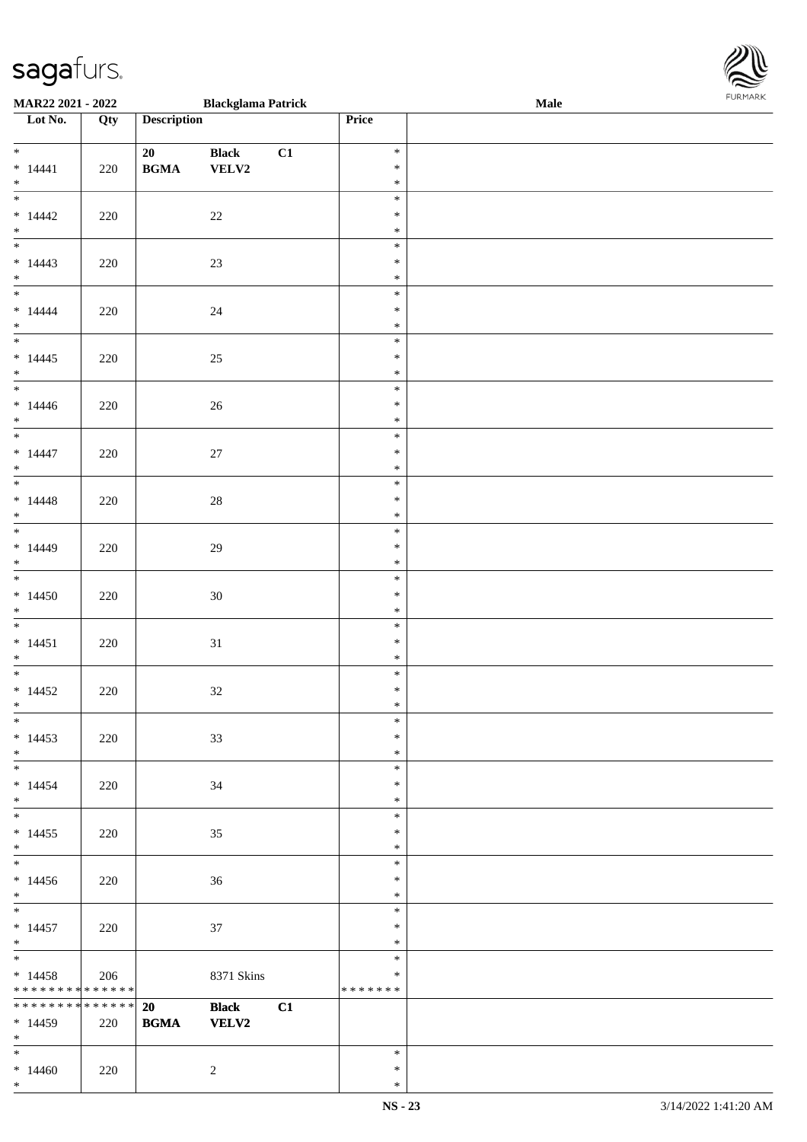| <b>MAR22 2021 - 2022</b>                   |     |                                            | <b>Blackglama Patrick</b> |    |                  | Male |  |
|--------------------------------------------|-----|--------------------------------------------|---------------------------|----|------------------|------|--|
| Lot No.                                    | Qty | <b>Description</b>                         |                           |    | Price            |      |  |
|                                            |     |                                            |                           |    |                  |      |  |
| $\ddot{x}$                                 |     | 20                                         | <b>Black</b>              | C1 | $\ast$           |      |  |
| $* 14441$                                  | 220 | $\mathbf{B}\mathbf{G}\mathbf{M}\mathbf{A}$ | <b>VELV2</b>              |    | $\ast$           |      |  |
| $*$                                        |     |                                            |                           |    | $\ast$           |      |  |
| $\ddot{x}$                                 |     |                                            |                           |    | $\ast$           |      |  |
| $*14442$                                   | 220 |                                            | 22                        |    | $\ast$           |      |  |
| $*$                                        |     |                                            |                           |    | $\ast$           |      |  |
|                                            |     |                                            |                           |    | $\ast$           |      |  |
| $*14443$                                   | 220 |                                            | 23                        |    | $\ast$           |      |  |
| $*$                                        |     |                                            |                           |    | $\ast$           |      |  |
| $\overline{\phantom{0}}$                   |     |                                            |                           |    | $\ast$           |      |  |
| $* 14444$                                  | 220 |                                            | 24                        |    | $\ast$           |      |  |
| $*$                                        |     |                                            |                           |    | $\ast$           |      |  |
| $\overline{\mathbf{r}}$                    |     |                                            |                           |    | $\ast$           |      |  |
| $*14445$                                   | 220 |                                            | 25                        |    | $\ast$           |      |  |
| $\ast$                                     |     |                                            |                           |    | $\ast$           |      |  |
| $\overline{\phantom{0}}$                   |     |                                            |                           |    | $\ast$           |      |  |
| $*14446$                                   | 220 |                                            | 26                        |    | $\ast$           |      |  |
| $*$                                        |     |                                            |                           |    | $\ast$           |      |  |
| $\overline{\phantom{0}}$                   |     |                                            |                           |    | $\ast$           |      |  |
| $*14447$                                   | 220 |                                            | 27                        |    | $\ast$           |      |  |
| $*$                                        |     |                                            |                           |    | $\ast$           |      |  |
| $\overline{\ast}$                          |     |                                            |                           |    | $\ast$           |      |  |
| $*14448$                                   | 220 |                                            | 28                        |    | $\ast$           |      |  |
| $*$                                        |     |                                            |                           |    | $\ast$           |      |  |
|                                            |     |                                            |                           |    | $\ast$           |      |  |
| $* 14449$                                  | 220 |                                            | 29                        |    | $\ast$           |      |  |
| $\ast$                                     |     |                                            |                           |    | $\ast$           |      |  |
| $*$                                        |     |                                            |                           |    | $\ast$           |      |  |
| $*14450$                                   | 220 |                                            | 30                        |    | $\ast$           |      |  |
| $*$                                        |     |                                            |                           |    | $\ast$           |      |  |
|                                            |     |                                            |                           |    | $\ast$           |      |  |
| $* 14451$                                  | 220 |                                            | 31                        |    | $\ast$           |      |  |
| $*$                                        |     |                                            |                           |    | $\ast$           |      |  |
|                                            |     |                                            |                           |    | $\ast$           |      |  |
| $*14452$                                   | 220 |                                            | 32                        |    | $\ast$           |      |  |
| $*$                                        |     |                                            |                           |    | $\ast$           |      |  |
| $\ast$                                     |     |                                            |                           |    | $\ast$           |      |  |
| $*14453$                                   | 220 |                                            | 33                        |    | $\ast$           |      |  |
| $*$                                        |     |                                            |                           |    | $\ast$           |      |  |
| $\ast$                                     |     |                                            |                           |    | $\ast$           |      |  |
| $*14454$                                   | 220 |                                            | 34                        |    | $\ast$           |      |  |
| $\ddot{x}$<br>$*$                          |     |                                            |                           |    | $\ast$           |      |  |
|                                            |     |                                            |                           |    | $\ast$           |      |  |
| $*14455$                                   | 220 |                                            | 35                        |    | $\ast$<br>$\ast$ |      |  |
| $*$<br>$\overline{\mathbf{r}^*}$           |     |                                            |                           |    | $\ast$           |      |  |
|                                            |     |                                            |                           |    | $\ast$           |      |  |
| $*14456$<br>$*$                            | 220 |                                            | 36                        |    | $\ast$           |      |  |
| $\ddot{x}$                                 |     |                                            |                           |    | $\ast$           |      |  |
| $*14457$                                   | 220 |                                            | 37                        |    | $\ast$           |      |  |
| $*$                                        |     |                                            |                           |    | $\ast$           |      |  |
| $\ddot{x}$                                 |     |                                            |                           |    | $\ast$           |      |  |
| $*14458$                                   | 206 |                                            | 8371 Skins                |    | $\ast$           |      |  |
| * * * * * * * * <mark>* * * * * * *</mark> |     |                                            |                           |    | *******          |      |  |
| * * * * * * * * <mark>* * * * * * *</mark> |     | 20                                         | <b>Black</b>              | C1 |                  |      |  |
| $*14459$                                   | 220 | <b>BGMA</b>                                | <b>VELV2</b>              |    |                  |      |  |
| $*$                                        |     |                                            |                           |    |                  |      |  |
| $*$ $-$                                    |     |                                            |                           |    | $\ast$           |      |  |
| $*14460$                                   | 220 |                                            | $\overline{2}$            |    | $\ast$           |      |  |

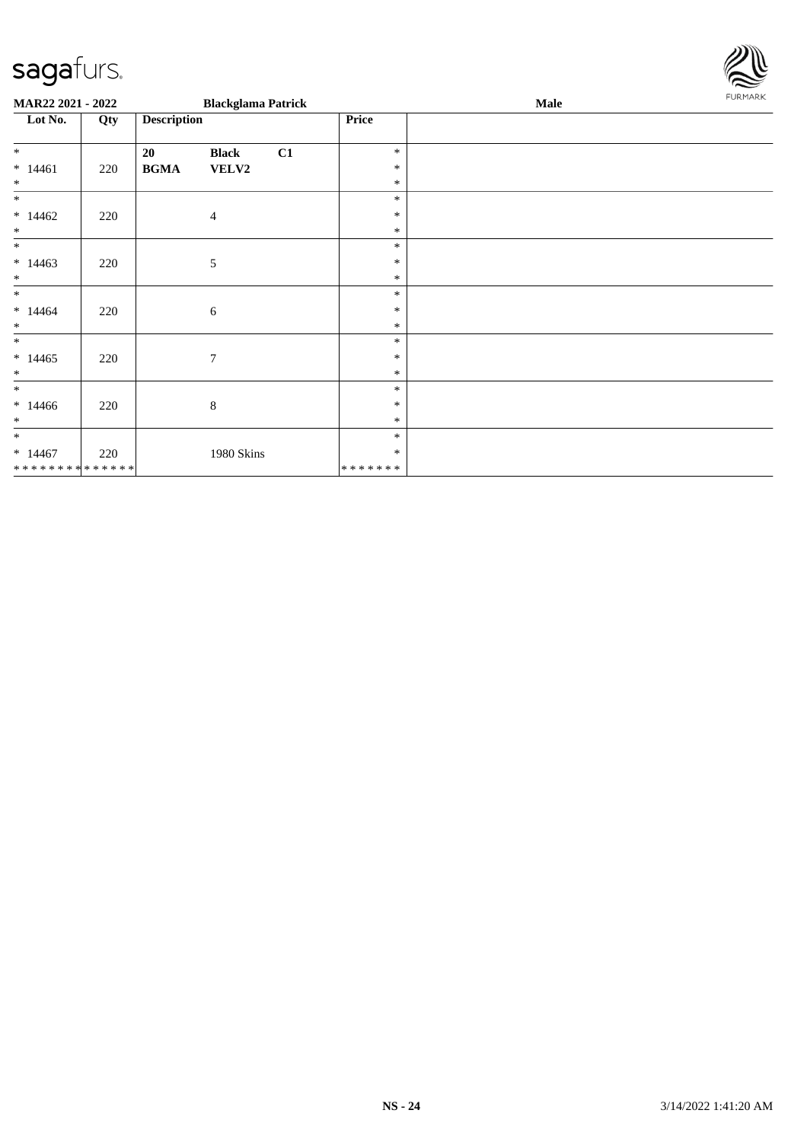

| MAR22 2021 - 2022                        |     |                    | <b>Blackglama Patrick</b> |    |                  | <b>Male</b> | <b>FURMARK</b> |
|------------------------------------------|-----|--------------------|---------------------------|----|------------------|-------------|----------------|
| Lot No.                                  | Qty | <b>Description</b> |                           |    | Price            |             |                |
| $*$                                      |     | 20                 | <b>Black</b>              | C1 | $\ast$           |             |                |
| $* 14461$<br>$\ast$                      | 220 | <b>BGMA</b>        | VELV2                     |    | $\ast$<br>$\ast$ |             |                |
| $\ast$                                   |     |                    |                           |    | $\ast$           |             |                |
| $*14462$<br>$\ast$                       | 220 |                    | $\overline{4}$            |    | $\ast$<br>$\ast$ |             |                |
| $\ast$                                   |     |                    |                           |    | $\ast$           |             |                |
| $*14463$                                 | 220 |                    | 5                         |    | $\ast$           |             |                |
| $\ast$<br>$\ast$                         |     |                    |                           |    | $\ast$<br>$\ast$ |             |                |
| $* 14464$<br>$\ast$                      | 220 |                    | 6                         |    | ∗<br>$\ast$      |             |                |
| $*$                                      |     |                    |                           |    | $\ast$           |             |                |
| $*14465$<br>$\ast$                       | 220 |                    | $\overline{7}$            |    | $\ast$<br>$\ast$ |             |                |
| $\ast$                                   |     |                    |                           |    | $\ast$           |             |                |
| $*14466$<br>$\ast$                       | 220 |                    | 8                         |    | $\ast$<br>$\ast$ |             |                |
| $\ast$                                   |     |                    |                           |    | $\ast$           |             |                |
| $*14467$<br>******** <mark>******</mark> | 220 |                    | 1980 Skins                |    | ∗<br>*******     |             |                |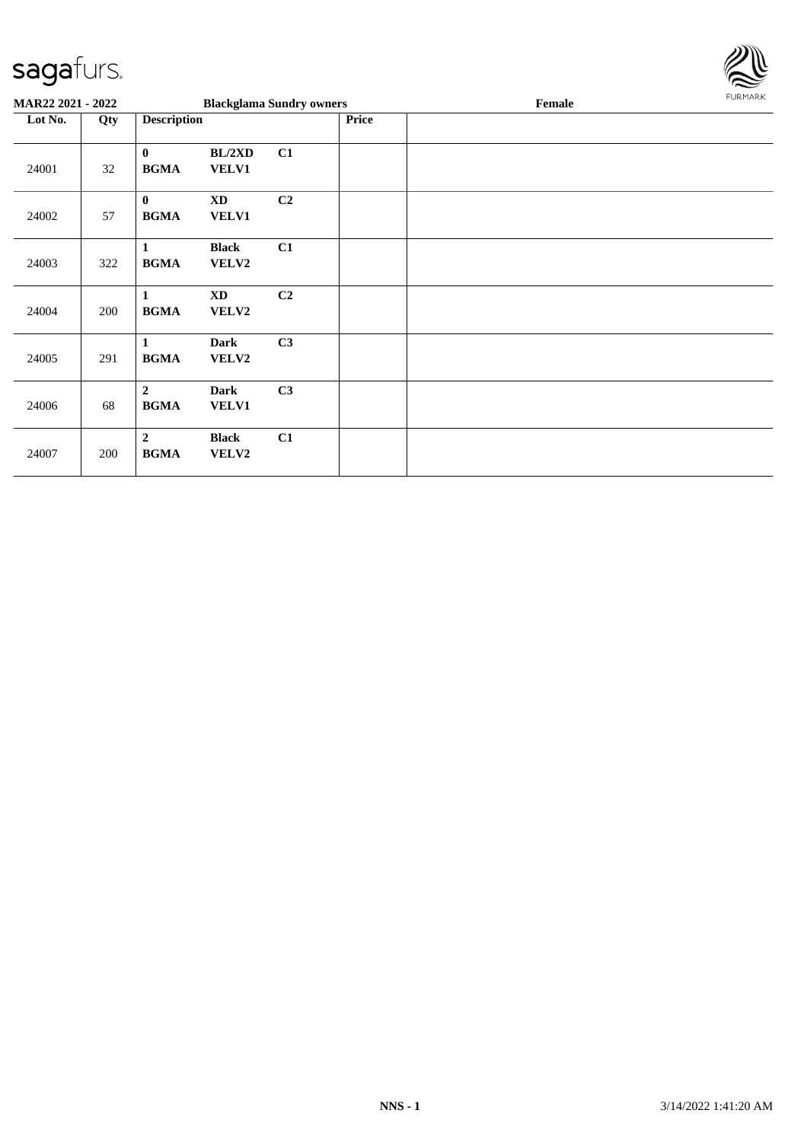

| MAR22 2021 - 2022 |     |                               |                       | <b>Blackglama Sundry owners</b> |       | Female | <b>FURMARK</b> |
|-------------------|-----|-------------------------------|-----------------------|---------------------------------|-------|--------|----------------|
| Lot No.           | Qty | <b>Description</b>            |                       |                                 | Price |        |                |
| 24001             | 32  | $\bf{0}$<br><b>BGMA</b>       | BL/2XD<br>VELV1       | C1                              |       |        |                |
| 24002             | 57  | $\bf{0}$<br><b>BGMA</b>       | <b>XD</b><br>VELV1    | C2                              |       |        |                |
| 24003             | 322 | 1<br><b>BGMA</b>              | <b>Black</b><br>VELV2 | C1                              |       |        |                |
| 24004             | 200 | 1<br><b>BGMA</b>              | <b>XD</b><br>VELV2    | C2                              |       |        |                |
| 24005             | 291 | 1<br><b>BGMA</b>              | <b>Dark</b><br>VELV2  | C3                              |       |        |                |
| 24006             | 68  | $\overline{2}$<br><b>BGMA</b> | <b>Dark</b><br>VELV1  | C3                              |       |        |                |
| 24007             | 200 | $\overline{2}$<br><b>BGMA</b> | <b>Black</b><br>VELV2 | C1                              |       |        |                |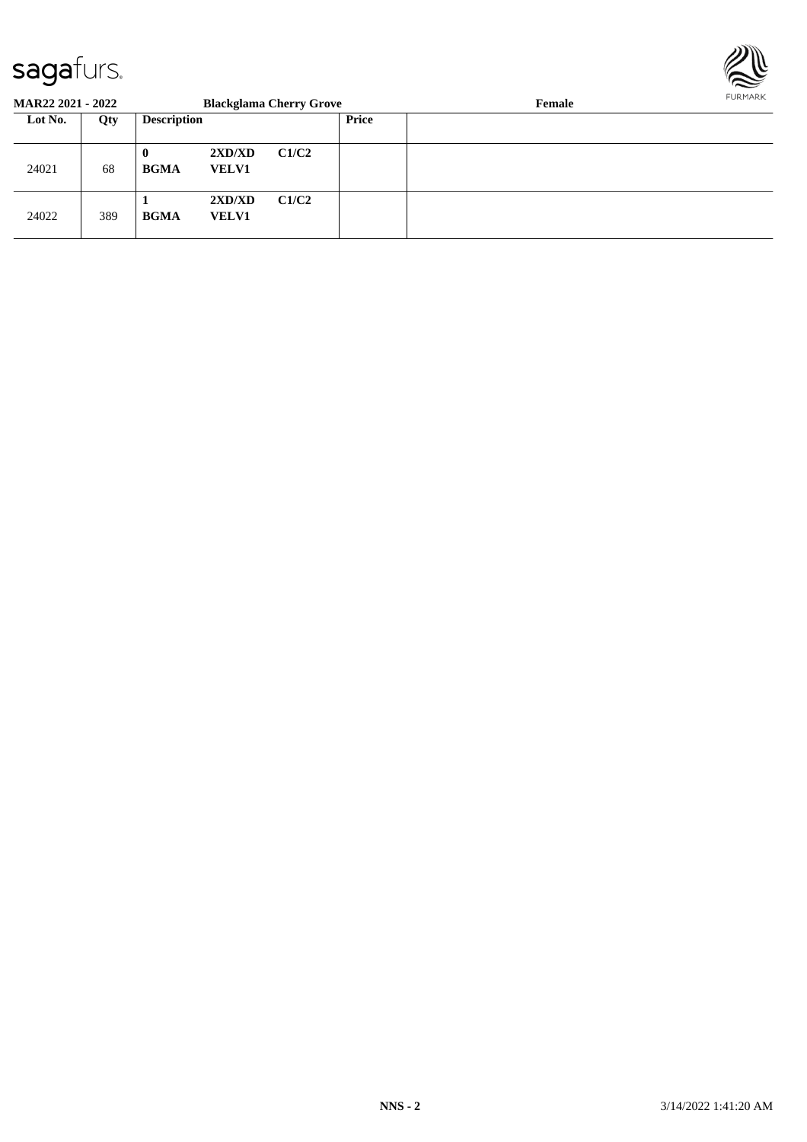

| <b>MAR22 2021 - 2022</b> |     |                    |                        | <b>Blackglama Cherry Grove</b> |       | Female | FURMARK |
|--------------------------|-----|--------------------|------------------------|--------------------------------|-------|--------|---------|
| Lot No.                  | Qty | <b>Description</b> |                        |                                | Price |        |         |
| 24021                    | 68  | 0<br><b>BGMA</b>   | 2XD/XD<br><b>VELV1</b> | C1/C2                          |       |        |         |
| 24022                    | 389 | <b>BGMA</b>        | 2XD/XD<br><b>VELV1</b> | C1/C2                          |       |        |         |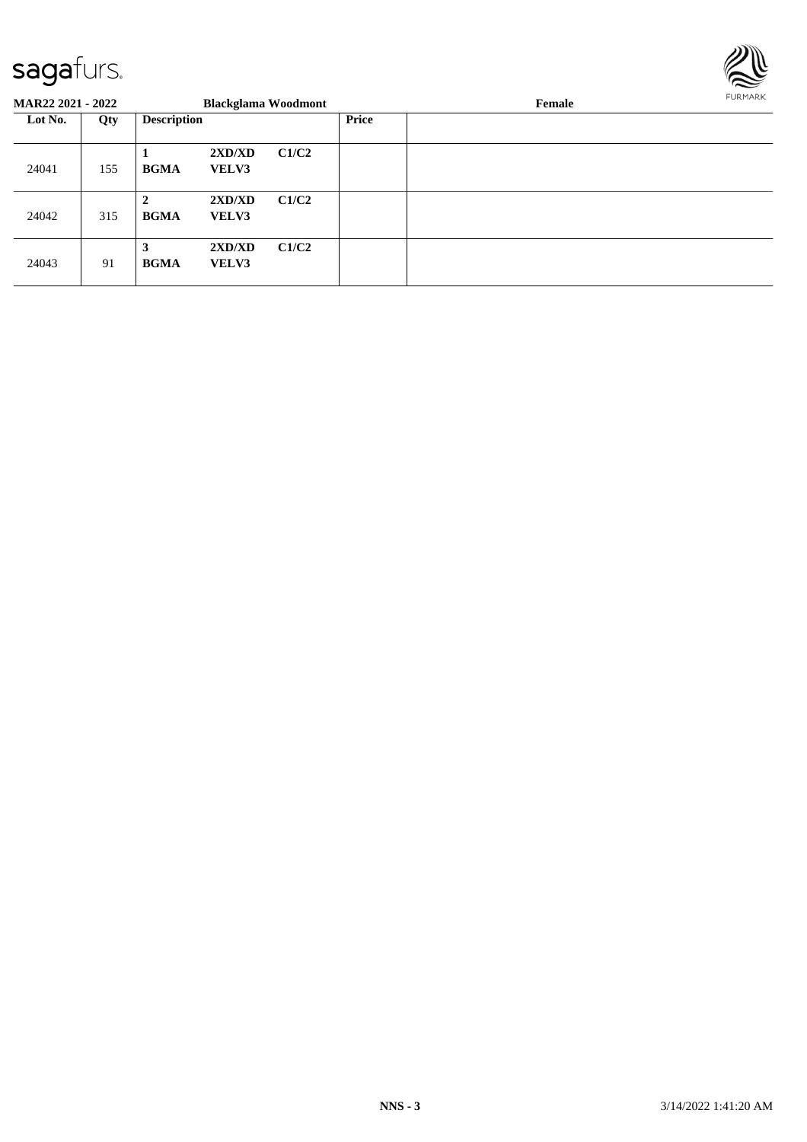

| <b>MAR22 2021 - 2022</b> |     |                             | <b>Blackglama Woodmont</b> |       |              | Female | FURMARK |  |
|--------------------------|-----|-----------------------------|----------------------------|-------|--------------|--------|---------|--|
| Lot No.                  | Qty | <b>Description</b>          |                            |       | <b>Price</b> |        |         |  |
| 24041                    | 155 | Л<br><b>BGMA</b>            | 2XD/XD<br><b>VELV3</b>     | C1/C2 |              |        |         |  |
| 24042                    | 315 | $\mathbf{2}$<br><b>BGMA</b> | 2XD/XD<br><b>VELV3</b>     | C1/C2 |              |        |         |  |
| 24043                    | 91  | 3<br><b>BGMA</b>            | 2XD/XD<br><b>VELV3</b>     | C1/C2 |              |        |         |  |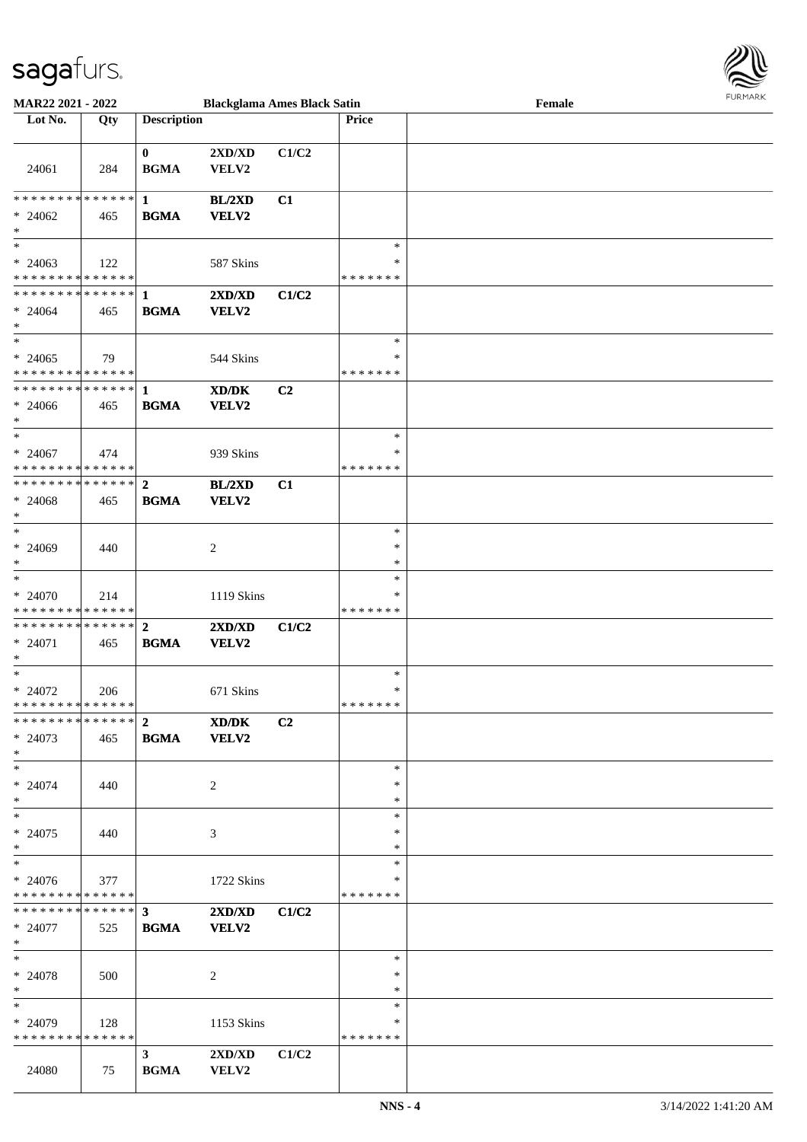

| <b>MAR22 2021 - 2022</b>                   |     |                                            | <b>Blackglama Ames Black Satin</b> |       |               | Female | 1011111111 |
|--------------------------------------------|-----|--------------------------------------------|------------------------------------|-------|---------------|--------|------------|
| Lot No.                                    | Qty | <b>Description</b>                         |                                    |       | <b>Price</b>  |        |            |
|                                            |     |                                            |                                    |       |               |        |            |
|                                            |     | $\mathbf{0}$                               | 2XD/XD                             | C1/C2 |               |        |            |
| 24061                                      | 284 | <b>BGMA</b>                                | VELV2                              |       |               |        |            |
|                                            |     |                                            |                                    |       |               |        |            |
|                                            |     |                                            |                                    |       |               |        |            |
|                                            |     |                                            | <b>BL/2XD</b>                      | C1    |               |        |            |
| $* 24062$                                  | 465 | <b>BGMA</b>                                | VELV2                              |       |               |        |            |
| $\ast$                                     |     |                                            |                                    |       |               |        |            |
| $\ast$                                     |     |                                            |                                    |       | $\ast$        |        |            |
| $* 24063$                                  | 122 |                                            | 587 Skins                          |       | ∗             |        |            |
| * * * * * * * * <mark>* * * * * *</mark> * |     |                                            |                                    |       | * * * * * * * |        |            |
|                                            |     |                                            | 2XD/XD                             | C1/C2 |               |        |            |
| $* 24064$                                  | 465 | <b>BGMA</b>                                | VELV2                              |       |               |        |            |
| $*$                                        |     |                                            |                                    |       |               |        |            |
| $\ddot{x}$                                 |     |                                            |                                    |       | $\ast$        |        |            |
|                                            |     |                                            |                                    |       |               |        |            |
| $* 24065$                                  | 79  |                                            | 544 Skins                          |       | $\ast$        |        |            |
| * * * * * * * * <mark>* * * * * *</mark>   |     |                                            |                                    |       | * * * * * * * |        |            |
|                                            |     |                                            | XD/DK                              | C2    |               |        |            |
| $* 24066$                                  | 465 | <b>BGMA</b>                                | VELV2                              |       |               |        |            |
| $\ast$                                     |     |                                            |                                    |       |               |        |            |
| $\ast$                                     |     |                                            |                                    |       | $\ast$        |        |            |
| $* 24067$                                  | 474 |                                            | 939 Skins                          |       | $\ast$        |        |            |
| * * * * * * * * <mark>* * * * * *</mark>   |     |                                            |                                    |       | * * * * * * * |        |            |
| ************** 2                           |     |                                            | BL/2XD                             | C1    |               |        |            |
|                                            |     |                                            |                                    |       |               |        |            |
| $* 24068$                                  | 465 | <b>BGMA</b>                                | VELV2                              |       |               |        |            |
| $\ast$                                     |     |                                            |                                    |       |               |        |            |
| $\ast$                                     |     |                                            |                                    |       | $\ast$        |        |            |
| $* 24069$                                  | 440 |                                            | 2                                  |       | $\ast$        |        |            |
| $\ast$                                     |     |                                            |                                    |       | $\ast$        |        |            |
| $\overline{\ast}$                          |     |                                            |                                    |       | $\ast$        |        |            |
| $* 24070$                                  | 214 |                                            | 1119 Skins                         |       | *             |        |            |
| * * * * * * * * <mark>* * * * * * *</mark> |     |                                            |                                    |       | * * * * * * * |        |            |
|                                            |     |                                            | 2XD/XD                             | C1/C2 |               |        |            |
| $* 24071$                                  | 465 | <b>BGMA</b>                                | VELV2                              |       |               |        |            |
| $*$                                        |     |                                            |                                    |       |               |        |            |
| $\ast$                                     |     |                                            |                                    |       | $\ast$        |        |            |
| $* 24072$                                  | 206 |                                            | 671 Skins                          |       | $\ast$        |        |            |
| * * * * * * * * * * * * * * *              |     |                                            |                                    |       | * * * * * * * |        |            |
|                                            |     |                                            | XD/DK                              | C2    |               |        |            |
|                                            |     |                                            |                                    |       |               |        |            |
| $* 24073$                                  | 465 | <b>BGMA</b>                                | VELV2                              |       |               |        |            |
| $\ast$                                     |     |                                            |                                    |       |               |        |            |
| $\ast$                                     |     |                                            |                                    |       | $\ast$        |        |            |
| $* 24074$                                  | 440 |                                            | 2                                  |       | $\ast$        |        |            |
| $\ast$                                     |     |                                            |                                    |       | $\ast$        |        |            |
| $\ast$                                     |     |                                            |                                    |       | $\ast$        |        |            |
| $* 24075$                                  | 440 |                                            | 3                                  |       | $\ast$        |        |            |
| $\ast$                                     |     |                                            |                                    |       | $\ast$        |        |            |
| $\ast$                                     |     |                                            |                                    |       | $\ast$        |        |            |
| $* 24076$                                  | 377 |                                            | 1722 Skins                         |       | ∗             |        |            |
| * * * * * * * * * * * * * * *              |     |                                            |                                    |       | *******       |        |            |
|                                            |     |                                            | 2XD/XD                             |       |               |        |            |
|                                            |     |                                            |                                    | C1/C2 |               |        |            |
| $* 24077$                                  | 525 | <b>BGMA</b>                                | VELV2                              |       |               |        |            |
| $*$                                        |     |                                            |                                    |       |               |        |            |
| $*$ $-$                                    |     |                                            |                                    |       | $\ast$        |        |            |
| * 24078                                    | 500 |                                            | 2                                  |       | $\ast$        |        |            |
| $\ast$                                     |     |                                            |                                    |       | $\ast$        |        |            |
| $*$                                        |     |                                            |                                    |       | $\ast$        |        |            |
| $* 24079$                                  | 128 |                                            | 1153 Skins                         |       | ∗             |        |            |
| * * * * * * * * * * * * * * *              |     |                                            |                                    |       | *******       |        |            |
|                                            |     | 3 <sup>1</sup>                             | 2XD/XD                             | C1/C2 |               |        |            |
| 24080                                      | 75  | $\mathbf{B}\mathbf{G}\mathbf{M}\mathbf{A}$ | ${\bf VELV2}$                      |       |               |        |            |
|                                            |     |                                            |                                    |       |               |        |            |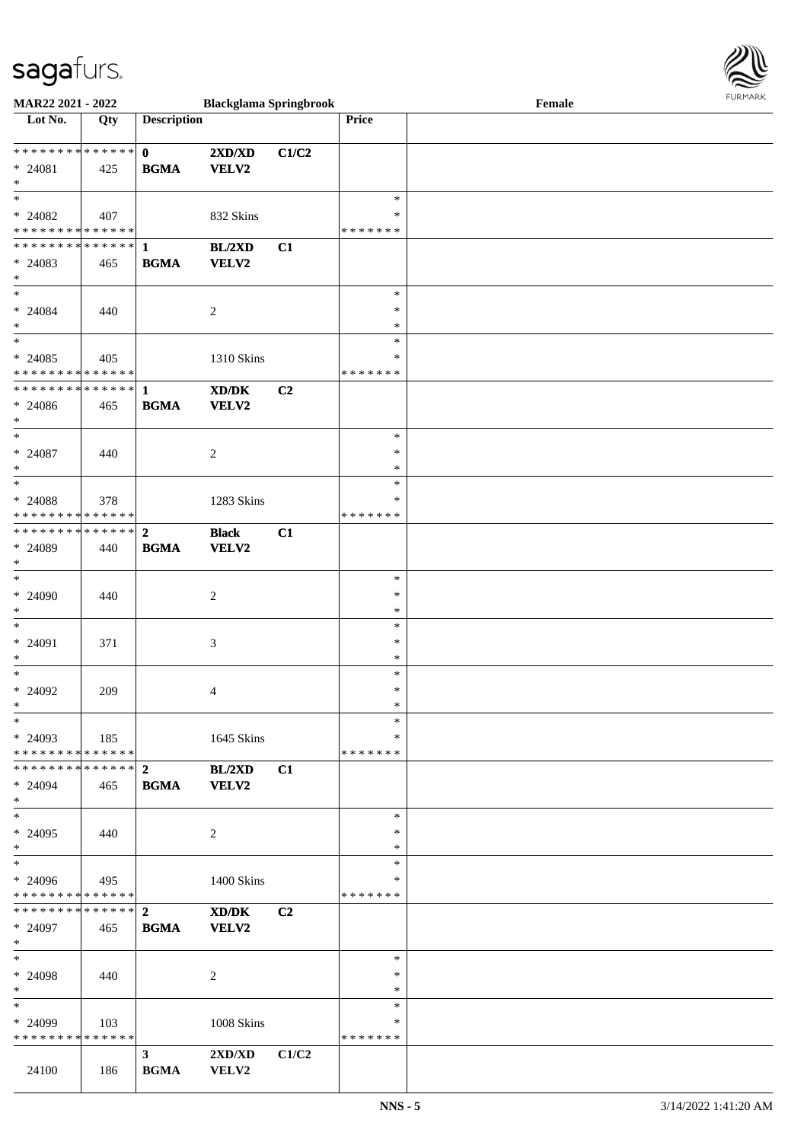

| <b>MAR22 2021 - 2022</b>                   |     |                    | <b>Blackglama Springbrook</b> |       |               | Female |  |
|--------------------------------------------|-----|--------------------|-------------------------------|-------|---------------|--------|--|
| Lot No.                                    | Qty | <b>Description</b> |                               |       | Price         |        |  |
|                                            |     |                    |                               |       |               |        |  |
|                                            |     | $\mathbf{0}$       | 2XD/XD                        | C1/C2 |               |        |  |
| $* 24081$                                  | 425 | <b>BGMA</b>        | <b>VELV2</b>                  |       |               |        |  |
| $\ast$                                     |     |                    |                               |       |               |        |  |
| $\ast$                                     |     |                    |                               |       | $\ast$        |        |  |
| $* 24082$                                  | 407 |                    | 832 Skins                     |       | ∗             |        |  |
| * * * * * * * * <mark>* * * * * *</mark>   |     |                    |                               |       | * * * * * * * |        |  |
|                                            |     |                    | <b>BL/2XD</b>                 | C1    |               |        |  |
| $* 24083$                                  | 465 | <b>BGMA</b>        | VELV2                         |       |               |        |  |
| $\ast$                                     |     |                    |                               |       |               |        |  |
| $\ddot{x}$                                 |     |                    |                               |       | $\ast$        |        |  |
| $* 24084$                                  | 440 |                    | 2                             |       | $\ast$        |        |  |
| $*$                                        |     |                    |                               |       | $\ast$        |        |  |
| $\ddot{x}$                                 |     |                    |                               |       | $\ast$        |        |  |
| $* 24085$                                  | 405 |                    | 1310 Skins                    |       | $\ast$        |        |  |
| * * * * * * * * <mark>* * * * * *</mark>   |     |                    |                               |       | *******       |        |  |
|                                            |     |                    | XD/DK                         | C2    |               |        |  |
| $* 24086$                                  | 465 | <b>BGMA</b>        | VELV2                         |       |               |        |  |
| $\ast$                                     |     |                    |                               |       |               |        |  |
| $\ast$                                     |     |                    |                               |       | $\ast$        |        |  |
| $* 24087$                                  | 440 |                    | 2                             |       | $\ast$        |        |  |
| $\ast$                                     |     |                    |                               |       | $\ast$        |        |  |
| $\ast$                                     |     |                    |                               |       | $\ast$        |        |  |
|                                            |     |                    |                               |       | ∗             |        |  |
| $* 24088$                                  | 378 |                    | 1283 Skins                    |       |               |        |  |
| * * * * * * * * <mark>* * * * * * *</mark> |     |                    |                               |       | *******       |        |  |
|                                            |     |                    | <b>Black</b>                  | C1    |               |        |  |
| * 24089                                    | 440 | <b>BGMA</b>        | VELV2                         |       |               |        |  |
| $\ast$<br>$\ast$                           |     |                    |                               |       |               |        |  |
|                                            |     |                    |                               |       | $\ast$        |        |  |
| $* 24090$                                  | 440 |                    | 2                             |       | $\ast$        |        |  |
| $\ast$                                     |     |                    |                               |       | $\ast$        |        |  |
| $\ast$                                     |     |                    |                               |       | $\ast$        |        |  |
| * 24091                                    | 371 |                    | 3                             |       | $\ast$        |        |  |
| $\ast$                                     |     |                    |                               |       | $\ast$        |        |  |
| $*$                                        |     |                    |                               |       | $\ast$        |        |  |
| $* 24092$                                  | 209 |                    | 4                             |       | $\ast$        |        |  |
| $\ast$                                     |     |                    |                               |       | $\ast$        |        |  |
| $\ast$                                     |     |                    |                               |       | $\ast$        |        |  |
| $*$ 24093                                  | 185 |                    | 1645 Skins                    |       | $\ast$        |        |  |
| * * * * * * * * <mark>* * * * * *</mark> * |     |                    |                               |       | * * * * * * * |        |  |
|                                            |     |                    | <b>BL/2XD</b>                 | C1    |               |        |  |
| $* 24094$                                  | 465 | <b>BGMA</b>        | <b>VELV2</b>                  |       |               |        |  |
| $\ast$                                     |     |                    |                               |       |               |        |  |
| $*$                                        |     |                    |                               |       | $\ast$        |        |  |
| $* 24095$                                  | 440 |                    | 2                             |       | $\ast$        |        |  |
| $\ast$                                     |     |                    |                               |       | $\ast$        |        |  |
| $*$                                        |     |                    |                               |       | $\ast$        |        |  |
| $* 24096$                                  | 495 |                    | 1400 Skins                    |       | ∗             |        |  |
| * * * * * * * * * * * * * * *              |     |                    |                               |       | *******       |        |  |
|                                            |     |                    | XD/DK                         | C2    |               |        |  |
| $* 24097$                                  | 465 | <b>BGMA</b>        | VELV2                         |       |               |        |  |
| $*$                                        |     |                    |                               |       |               |        |  |
| $*$ $-$                                    |     |                    |                               |       | $\ast$        |        |  |
| $* 24098$                                  | 440 |                    | 2                             |       | $\ast$        |        |  |
| $\ast$                                     |     |                    |                               |       | $\ast$        |        |  |
| $*$                                        |     |                    |                               |       | $\ast$        |        |  |
| $*$ 24099                                  | 103 |                    | 1008 Skins                    |       | ∗             |        |  |
| * * * * * * * * * * * * * * *              |     |                    |                               |       | *******       |        |  |
|                                            |     | 3 <sup>1</sup>     | 2XD/XD                        | C1/C2 |               |        |  |
| 24100                                      | 186 | <b>BGMA</b>        | VELV2                         |       |               |        |  |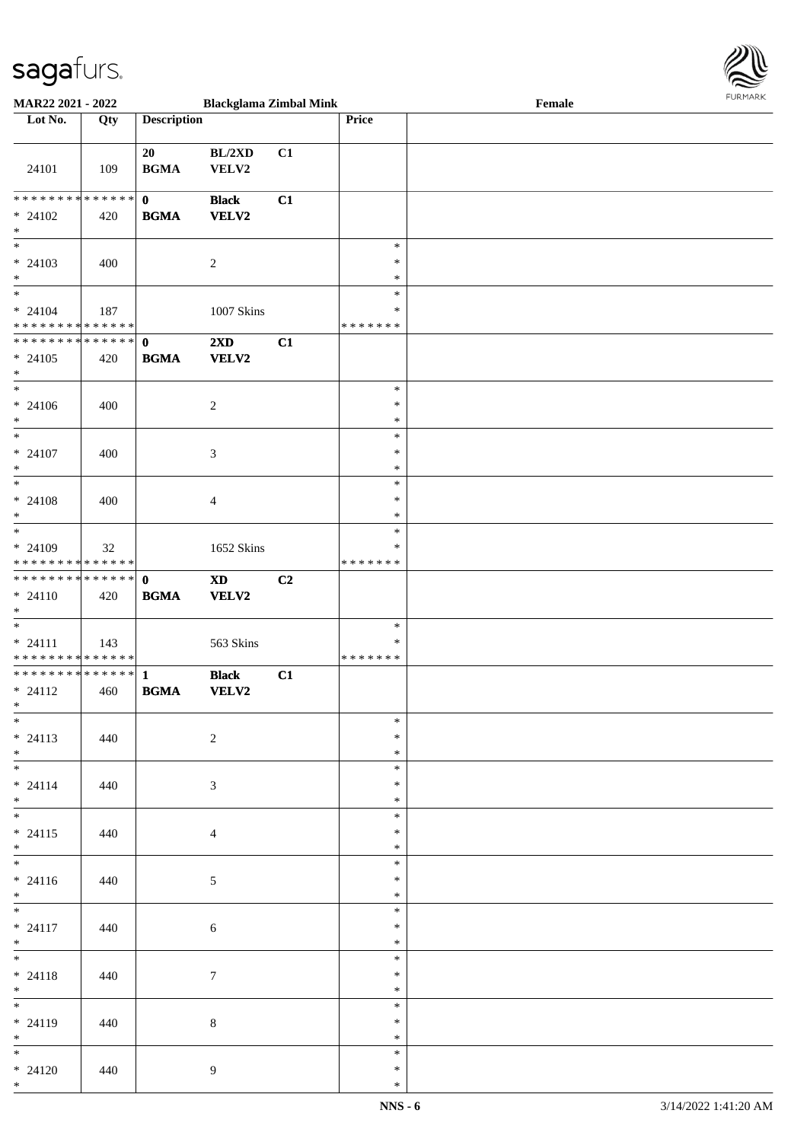

| <b>MAR22 2021 - 2022</b>                                          |     |                             | <b>Blackglama Zimbal Mink</b> |                |                         | Female |  |
|-------------------------------------------------------------------|-----|-----------------------------|-------------------------------|----------------|-------------------------|--------|--|
| Lot No.                                                           | Qty | <b>Description</b>          |                               |                | Price                   |        |  |
|                                                                   |     |                             |                               |                |                         |        |  |
| 24101                                                             | 109 | 20<br><b>BGMA</b>           | BL/2XD<br>VELV2               | C1             |                         |        |  |
|                                                                   |     |                             |                               |                |                         |        |  |
| * * * * * * * * <mark>* * * * * * *</mark><br>$* 24102$<br>$\ast$ | 420 | $\mathbf{0}$<br><b>BGMA</b> | <b>Black</b><br><b>VELV2</b>  | C1             |                         |        |  |
|                                                                   |     |                             |                               |                | $\ast$                  |        |  |
| $* 24103$<br>$\ast$                                               | 400 |                             | $\sqrt{2}$                    |                | $\ast$<br>$\ast$        |        |  |
| $*$                                                               |     |                             |                               |                | $\ast$                  |        |  |
| $* 24104$<br>* * * * * * * * <mark>* * * * * *</mark>             | 187 |                             | 1007 Skins                    |                | $\ast$<br>*******       |        |  |
|                                                                   |     |                             |                               |                |                         |        |  |
| $* 24105$<br>$\ast$                                               | 420 | <b>BGMA</b>                 | 2XD<br>VELV2                  | C1             |                         |        |  |
| $\overline{\ast}$                                                 |     |                             |                               |                | $\ast$                  |        |  |
| $* 24106$<br>$\ast$                                               | 400 |                             | $\overline{c}$                |                | $\ast$<br>$\ast$        |        |  |
| $\overline{\ast}$                                                 |     |                             |                               |                | $\ast$                  |        |  |
| $* 24107$<br>$\ast$                                               | 400 |                             | 3                             |                | $\ast$<br>$\ast$        |        |  |
| $\overline{\phantom{0}}$                                          |     |                             |                               |                | $\ast$                  |        |  |
| $* 24108$<br>$\ast$                                               | 400 |                             | $\overline{4}$                |                | $\ast$<br>$\ast$        |        |  |
| $\overline{\phantom{0}}$                                          |     |                             |                               |                | $\ast$                  |        |  |
| $* 24109$<br>* * * * * * * * * * * * * * *                        | 32  |                             | 1652 Skins                    |                | $\ast$<br>*******       |        |  |
|                                                                   |     |                             | $\mathbf{X}\mathbf{D}$        | C <sub>2</sub> |                         |        |  |
| $* 24110$<br>$*$                                                  | 420 | <b>BGMA</b>                 | VELV2                         |                |                         |        |  |
| $\ast$                                                            |     |                             |                               |                | $\ast$                  |        |  |
| $* 24111$                                                         | 143 |                             | 563 Skins                     |                | $\ast$                  |        |  |
| * * * * * * * * <mark>* * * * * *</mark>                          |     |                             |                               |                | * * * * * * *           |        |  |
|                                                                   |     |                             | <b>Black</b>                  | C1             |                         |        |  |
| $* 24112$<br>$\ast$                                               | 460 | <b>BGMA</b>                 | <b>VELV2</b>                  |                |                         |        |  |
| $*$                                                               |     |                             |                               |                | $\ast$                  |        |  |
| $* 24113$<br>$*$                                                  | 440 |                             | $\overline{2}$                |                | $\ast$<br>$*$           |        |  |
| $\ast$                                                            |     |                             |                               |                | $\ast$                  |        |  |
| $* 24114$                                                         | 440 |                             | 3                             |                | $\ast$                  |        |  |
| $\ast$                                                            |     |                             |                               |                | $\ast$                  |        |  |
| $\ddot{x}$                                                        |     |                             |                               |                | $\ast$                  |        |  |
| $* 24115$<br>$\ast$                                               | 440 |                             | $\overline{4}$                |                | $\ast$<br>$\ast$        |        |  |
| $\overline{\mathbf{r}^*}$                                         |     |                             |                               |                | $\ast$                  |        |  |
| $* 24116$<br>$*$                                                  | 440 |                             | 5 <sup>5</sup>                |                | $\ast$<br>$\ast$        |        |  |
| $*$                                                               |     |                             |                               |                | $\ast$                  |        |  |
| $* 24117$<br>$*$                                                  | 440 |                             | 6                             |                | $\ast$<br>$\ast$        |        |  |
| $*$ $*$                                                           |     |                             |                               |                | $\ast$                  |        |  |
| $* 24118$                                                         | 440 |                             | $\tau$                        |                | $\ast$                  |        |  |
| $*$ $-$                                                           |     |                             |                               |                | $\ast$                  |        |  |
| $* 24119$                                                         | 440 |                             | $8\,$                         |                | $\ast$<br>$\ast$<br>$*$ |        |  |
| $*$<br>$*$                                                        |     |                             |                               |                | $\ast$                  |        |  |
| $* 24120$                                                         | 440 |                             | 9                             |                | $\ast$                  |        |  |
| $*$                                                               |     |                             |                               |                | $\ast$                  |        |  |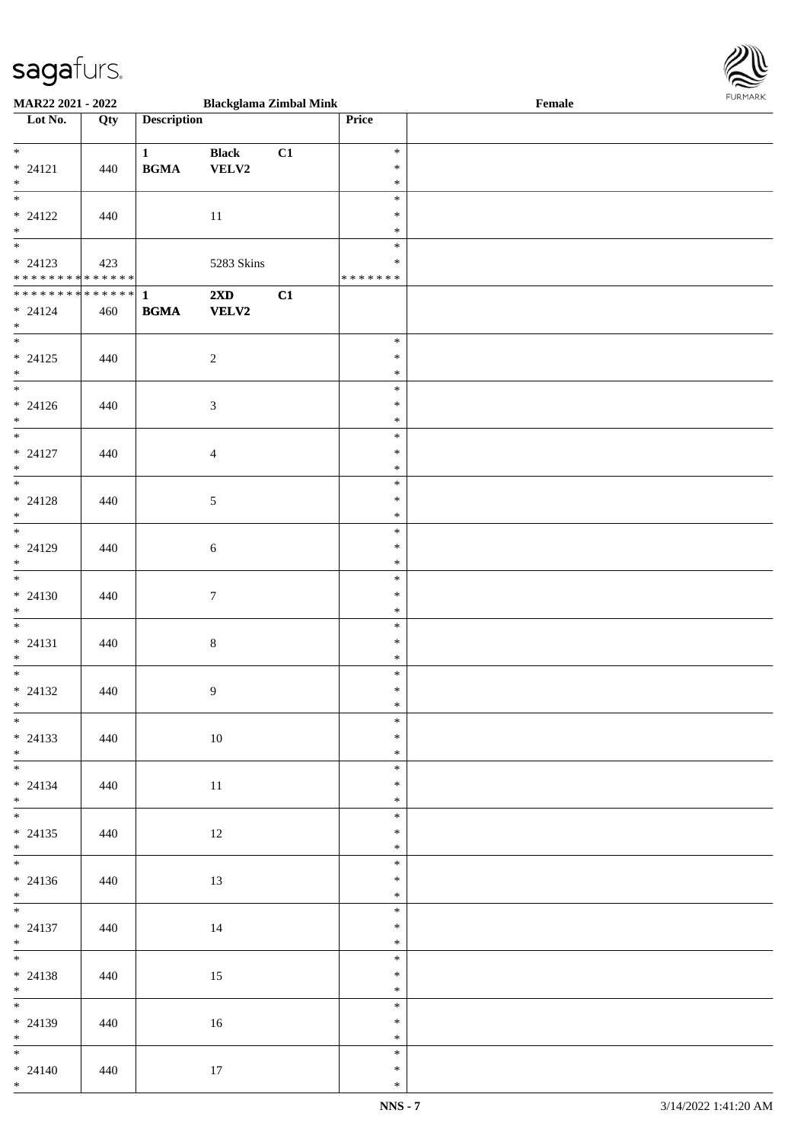

| <b>MAR22 2021 - 2022</b>                   |     |                                            | <b>Blackglama Zimbal Mink</b> |    |               | Female |  |
|--------------------------------------------|-----|--------------------------------------------|-------------------------------|----|---------------|--------|--|
| Lot No.                                    | Qty | <b>Description</b>                         |                               |    | Price         |        |  |
|                                            |     |                                            |                               |    |               |        |  |
| $\ddot{x}$                                 |     | $\mathbf{1}$                               | <b>Black</b>                  | C1 | $\ast$        |        |  |
| $* 24121$                                  | 440 | $\mathbf{B}\mathbf{G}\mathbf{M}\mathbf{A}$ |                               |    | $\ast$        |        |  |
|                                            |     |                                            | <b>VELV2</b>                  |    |               |        |  |
| $*$                                        |     |                                            |                               |    | $\ast$        |        |  |
|                                            |     |                                            |                               |    | $\ast$        |        |  |
| $* 24122$                                  | 440 |                                            | 11                            |    | $\ast$        |        |  |
| $\ddot{x}$                                 |     |                                            |                               |    | $\ast$        |        |  |
|                                            |     |                                            |                               |    | $\ast$        |        |  |
|                                            |     |                                            |                               |    |               |        |  |
| $* 24123$                                  | 423 |                                            | 5283 Skins                    |    | $\ast$        |        |  |
| * * * * * * * * <mark>* * * * * * *</mark> |     |                                            |                               |    | * * * * * * * |        |  |
| ************** 1                           |     |                                            | 2XD                           | C1 |               |        |  |
| $* 24124$                                  | 460 | <b>BGMA</b>                                | <b>VELV2</b>                  |    |               |        |  |
| $*$                                        |     |                                            |                               |    |               |        |  |
| $\overline{\ast}$                          |     |                                            |                               |    |               |        |  |
|                                            |     |                                            |                               |    | $\ast$        |        |  |
| $* 24125$                                  | 440 |                                            | $\overline{c}$                |    | $\ast$        |        |  |
| $*$                                        |     |                                            |                               |    | $\ast$        |        |  |
|                                            |     |                                            |                               |    | $\ast$        |        |  |
| $* 24126$                                  |     |                                            |                               |    | $\ast$        |        |  |
|                                            | 440 |                                            | $\mathfrak{Z}$                |    |               |        |  |
| $*$                                        |     |                                            |                               |    | $\ast$        |        |  |
|                                            |     |                                            |                               |    | $\ast$        |        |  |
| $* 24127$                                  | 440 |                                            | $\overline{4}$                |    | $\ast$        |        |  |
| $*$                                        |     |                                            |                               |    | $\ast$        |        |  |
| $\overline{\ast}$                          |     |                                            |                               |    | $\ast$        |        |  |
|                                            |     |                                            |                               |    |               |        |  |
| $* 24128$                                  | 440 |                                            | $\mathfrak{S}$                |    | $\ast$        |        |  |
| $\ast$                                     |     |                                            |                               |    | $\ast$        |        |  |
|                                            |     |                                            |                               |    | $\ast$        |        |  |
| $* 24129$                                  | 440 |                                            | 6                             |    | $\ast$        |        |  |
| $\ast$                                     |     |                                            |                               |    | $\ast$        |        |  |
|                                            |     |                                            |                               |    |               |        |  |
| $\ddot{x}$                                 |     |                                            |                               |    | $\ast$        |        |  |
| $* 24130$                                  | 440 |                                            | $\boldsymbol{7}$              |    | $\ast$        |        |  |
| $*$                                        |     |                                            |                               |    | $\ast$        |        |  |
| $*$                                        |     |                                            |                               |    | $\ast$        |        |  |
|                                            |     |                                            |                               |    | $\ast$        |        |  |
| $* 24131$                                  | 440 |                                            | $\,8\,$                       |    |               |        |  |
| $*$                                        |     |                                            |                               |    | $\ast$        |        |  |
| $\overline{\cdot}$                         |     |                                            |                               |    | $\ast$        |        |  |
| $* 24132$                                  | 440 |                                            | $\overline{9}$                |    | $\ast$        |        |  |
| $*$                                        |     |                                            |                               |    | $\ast$        |        |  |
| $\overline{\ast}$                          |     |                                            |                               |    | $\ast$        |        |  |
|                                            |     |                                            |                               |    |               |        |  |
| $* 24133$                                  | 440 |                                            | 10                            |    | $\ast$        |        |  |
| $*$                                        |     |                                            |                               |    | $\ast$        |        |  |
| $\overline{\mathbf{r}}$                    |     |                                            |                               |    | $\ast$        |        |  |
| $* 24134$                                  | 440 |                                            | 11                            |    | $\ast$        |        |  |
| $*$ $-$                                    |     |                                            |                               |    | $\ast$        |        |  |
| $\ddot{x}$                                 |     |                                            |                               |    | $\ast$        |        |  |
|                                            |     |                                            |                               |    |               |        |  |
| $* 24135$                                  | 440 |                                            | 12                            |    | *             |        |  |
| $*$ $-$                                    |     |                                            |                               |    | $\ast$        |        |  |
| $\overline{\mathbf{r}}$                    |     |                                            |                               |    | $\ast$        |        |  |
| $* 24136$                                  | 440 |                                            | 13                            |    | $\ast$        |        |  |
|                                            |     |                                            |                               |    |               |        |  |
| $*$<br>$*$                                 |     |                                            |                               |    | $\ast$        |        |  |
|                                            |     |                                            |                               |    | $\ast$        |        |  |
| $* 24137$                                  | 440 |                                            | 14                            |    | $\ast$        |        |  |
| $*$                                        |     |                                            |                               |    | $\ast$        |        |  |
| $*$                                        |     |                                            |                               |    | $\ast$        |        |  |
|                                            |     |                                            |                               |    |               |        |  |
| $* 24138$                                  | 440 |                                            | 15                            |    | $\ast$        |        |  |
| $*$                                        |     |                                            |                               |    | $\ast$        |        |  |
| $*$                                        |     |                                            |                               |    | $\ast$        |        |  |
| $* 24139$                                  | 440 |                                            | 16                            |    | $\ast$        |        |  |
| $*$                                        |     |                                            |                               |    | $\ast$        |        |  |
| $\ddot{x}$                                 |     |                                            |                               |    |               |        |  |
|                                            |     |                                            |                               |    | $\ast$        |        |  |
| $* 24140$                                  | 440 |                                            | 17                            |    | $\ast$        |        |  |
| $*$                                        |     |                                            |                               |    | $\ast$        |        |  |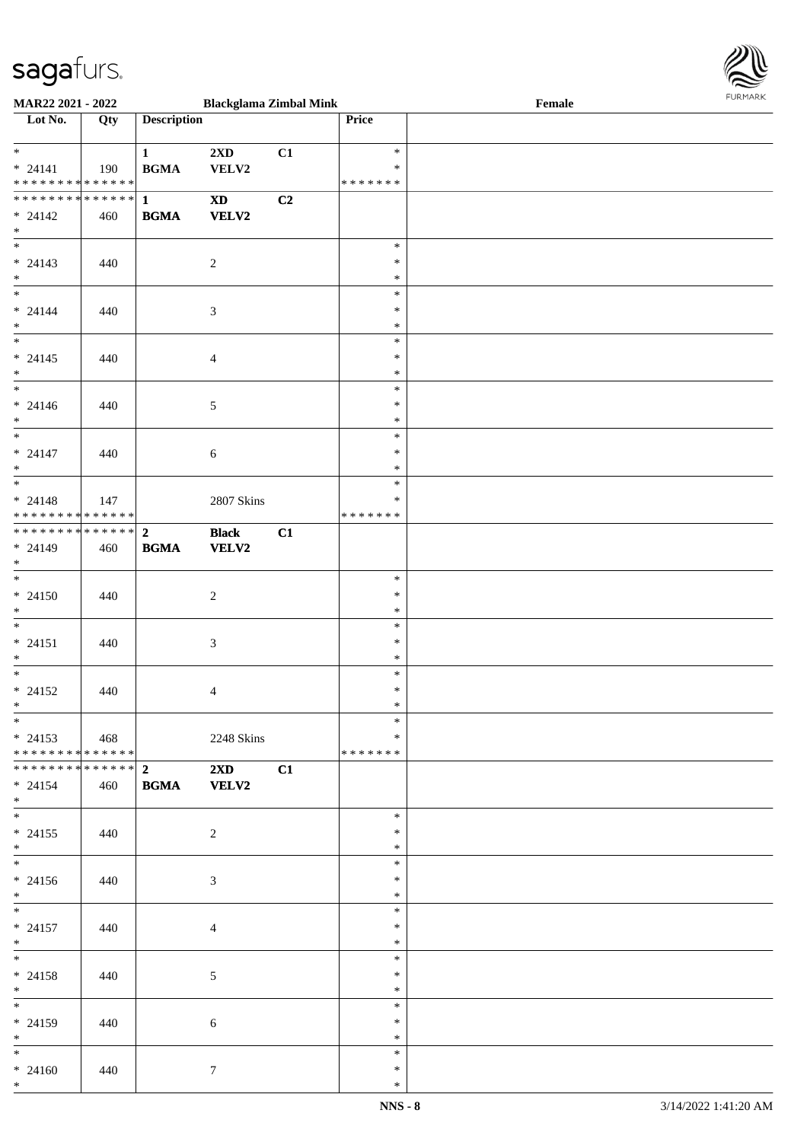

| <b>MAR22 2021 - 2022</b>                   |     |                    | <b>Blackglama Zimbal Mink</b> |    |               | Female |  |
|--------------------------------------------|-----|--------------------|-------------------------------|----|---------------|--------|--|
| Lot No.                                    | Qty | <b>Description</b> |                               |    | Price         |        |  |
|                                            |     |                    |                               |    |               |        |  |
| $\ddot{x}$                                 |     | $\mathbf{1}$       | $2\mathbf{X}\mathbf{D}$       | C1 | $\ast$        |        |  |
| $* 24141$                                  | 190 | <b>BGMA</b>        | VELV2                         |    | $\ast$        |        |  |
| * * * * * * * * <mark>* * * * * *</mark>   |     |                    |                               |    | * * * * * * * |        |  |
|                                            |     |                    | $\mathbf{X}\mathbf{D}$        | C2 |               |        |  |
|                                            |     |                    |                               |    |               |        |  |
| $* 24142$                                  | 460 | <b>BGMA</b>        | VELV2                         |    |               |        |  |
| $\ast$                                     |     |                    |                               |    |               |        |  |
| $\overline{\ast}$                          |     |                    |                               |    | $\ast$        |        |  |
| $* 24143$                                  | 440 |                    | $\sqrt{2}$                    |    | $\ast$        |        |  |
| $\ast$                                     |     |                    |                               |    | $\ast$        |        |  |
| $*$                                        |     |                    |                               |    | $\ast$        |        |  |
| $* 24144$                                  | 440 |                    | $\mathfrak{Z}$                |    | $\ast$        |        |  |
| $*$                                        |     |                    |                               |    | $\ast$        |        |  |
| $\overline{\ast}$                          |     |                    |                               |    | $\ast$        |        |  |
| $* 24145$                                  | 440 |                    | $\overline{4}$                |    | $\ast$        |        |  |
| $\ast$                                     |     |                    |                               |    | $\ast$        |        |  |
| $\overline{\ }$                            |     |                    |                               |    | $\ast$        |        |  |
|                                            |     |                    |                               |    | $\ast$        |        |  |
| $* 24146$<br>$*$                           | 440 |                    | $\mathfrak{S}$                |    | $\ast$        |        |  |
| $\overline{\ast}$                          |     |                    |                               |    |               |        |  |
|                                            |     |                    |                               |    | $\ast$        |        |  |
| $* 24147$                                  | 440 |                    | 6                             |    | $\ast$        |        |  |
| $*$                                        |     |                    |                               |    | $\ast$        |        |  |
|                                            |     |                    |                               |    | $\ast$        |        |  |
| $* 24148$                                  | 147 |                    | 2807 Skins                    |    | $\ast$        |        |  |
| * * * * * * * * <mark>* * * * * * *</mark> |     |                    |                               |    | * * * * * * * |        |  |
|                                            |     |                    | <b>Black</b>                  | C1 |               |        |  |
| $* 24149$                                  | 460 | <b>BGMA</b>        | <b>VELV2</b>                  |    |               |        |  |
| $\ast$                                     |     |                    |                               |    |               |        |  |
| $\overline{\ast}$                          |     |                    |                               |    | $\ast$        |        |  |
| $* 24150$                                  | 440 |                    | $\overline{c}$                |    | $\ast$        |        |  |
|                                            |     |                    |                               |    | $\ast$        |        |  |
| $*$                                        |     |                    |                               |    |               |        |  |
| $\ddot{x}$                                 |     |                    |                               |    | $\ast$        |        |  |
| $* 24151$                                  | 440 |                    | 3                             |    | $\ast$        |        |  |
| $\ast$                                     |     |                    |                               |    | $\ast$        |        |  |
| $*$                                        |     |                    |                               |    | $\ast$        |        |  |
| $* 24152$                                  | 440 |                    | $\overline{4}$                |    | $\ast$        |        |  |
| $\ast$                                     |     |                    |                               |    | $*$           |        |  |
| $\ast$                                     |     |                    |                               |    | $\ast$        |        |  |
| $* 24153$ 468                              |     |                    | 2248 Skins                    |    | $\ast$        |        |  |
| * * * * * * * * <mark>* * * * * * *</mark> |     |                    |                               |    | * * * * * * * |        |  |
|                                            |     |                    | $2\mathbf{X}\mathbf{D}$       | C1 |               |        |  |
| $* 24154$                                  |     | <b>BGMA</b>        | <b>VELV2</b>                  |    |               |        |  |
| $\ast$                                     | 460 |                    |                               |    |               |        |  |
| $*$                                        |     |                    |                               |    |               |        |  |
|                                            |     |                    |                               |    | $\ast$        |        |  |
| $* 24155$                                  | 440 |                    | $\overline{2}$                |    | $\ast$        |        |  |
| $*$                                        |     |                    |                               |    | $\ast$        |        |  |
| $\ast$                                     |     |                    |                               |    | $\ast$        |        |  |
| $* 24156$                                  | 440 |                    | $\mathfrak{Z}$                |    | $\ast$        |        |  |
| $*$                                        |     |                    |                               |    | $\ast$        |        |  |
| $*$ $*$                                    |     |                    |                               |    | $\ast$        |        |  |
| $* 24157$                                  | 440 |                    | $\overline{4}$                |    | $\ast$        |        |  |
| $*$                                        |     |                    |                               |    | $\ast$        |        |  |
| $*$ $-$                                    |     |                    |                               |    | $\ast$        |        |  |
| $* 24158$                                  | 440 |                    | 5                             |    | $\ast$        |        |  |
| $\ast$                                     |     |                    |                               |    | $\ast$        |        |  |
|                                            |     |                    |                               |    |               |        |  |
|                                            |     |                    |                               |    | $\ast$        |        |  |
| $* 24159$                                  | 440 |                    | $\sqrt{6}$                    |    | $\ast$        |        |  |
| $*$                                        |     |                    |                               |    | $\ast$        |        |  |
| $*$ $-$                                    |     |                    |                               |    | $\ast$        |        |  |
| $* 24160$                                  | 440 |                    | $\tau$                        |    | $\ast$        |        |  |
| $\ast$                                     |     |                    |                               |    | $\ast$        |        |  |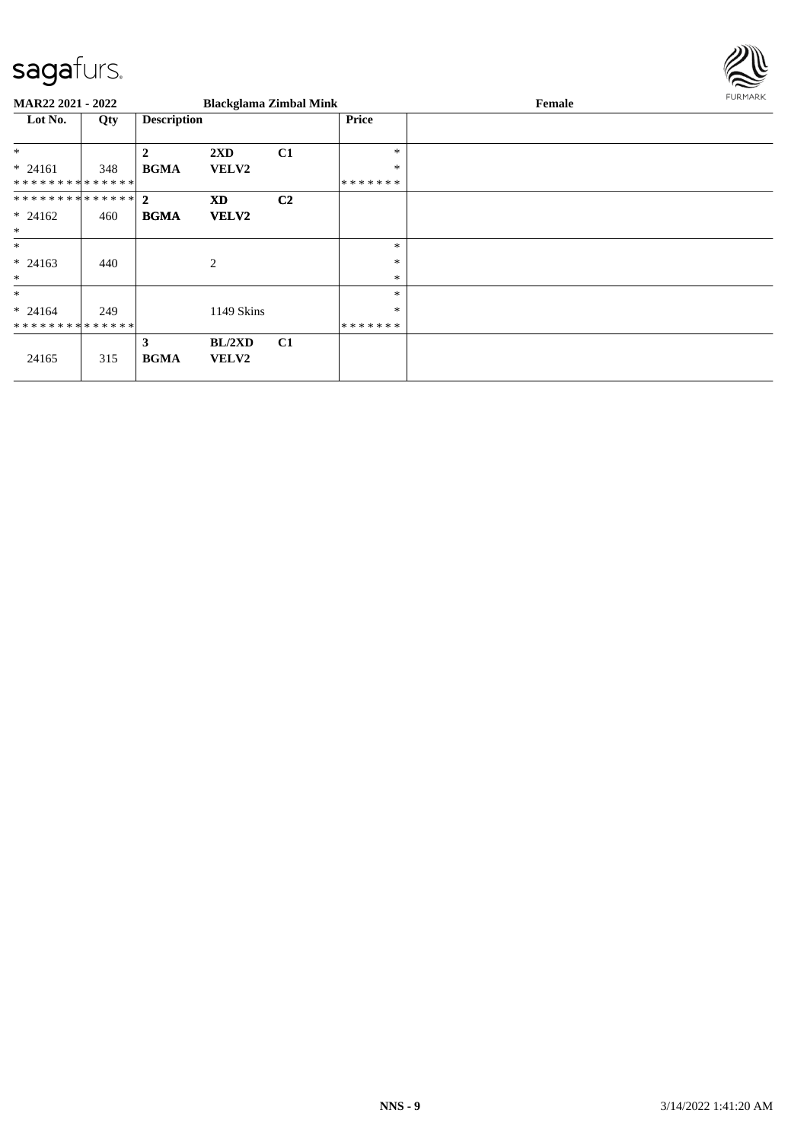

| MAR22 2021 - 2022 |     |                    | <b>Blackglama Zimbal Mink</b> |                |         | Female | FURMARK |
|-------------------|-----|--------------------|-------------------------------|----------------|---------|--------|---------|
| Lot No.           | Qty | <b>Description</b> |                               |                | Price   |        |         |
| $*$               |     | $\mathbf{2}$       | 2XD                           | C1             | *       |        |         |
| $* 24161$         | 348 | <b>BGMA</b>        | <b>VELV2</b>                  |                | $\ast$  |        |         |
| **************    |     |                    |                               |                | ******* |        |         |
| ************** 2  |     |                    | <b>XD</b>                     | C <sub>2</sub> |         |        |         |
| $* 24162$         | 460 | <b>BGMA</b>        | <b>VELV2</b>                  |                |         |        |         |
| $\ast$            |     |                    |                               |                |         |        |         |
| $*$               |     |                    |                               |                | *       |        |         |
| $* 24163$         | 440 |                    | 2                             |                | *       |        |         |
| $\ast$            |     |                    |                               |                | $\ast$  |        |         |
| $\ast$            |     |                    |                               |                | *       |        |         |
| $* 24164$         | 249 |                    | 1149 Skins                    |                | $\ast$  |        |         |
| **************    |     |                    |                               |                | ******* |        |         |
| 24165             | 315 | 3<br><b>BGMA</b>   | BL/2XD<br><b>VELV2</b>        | C1             |         |        |         |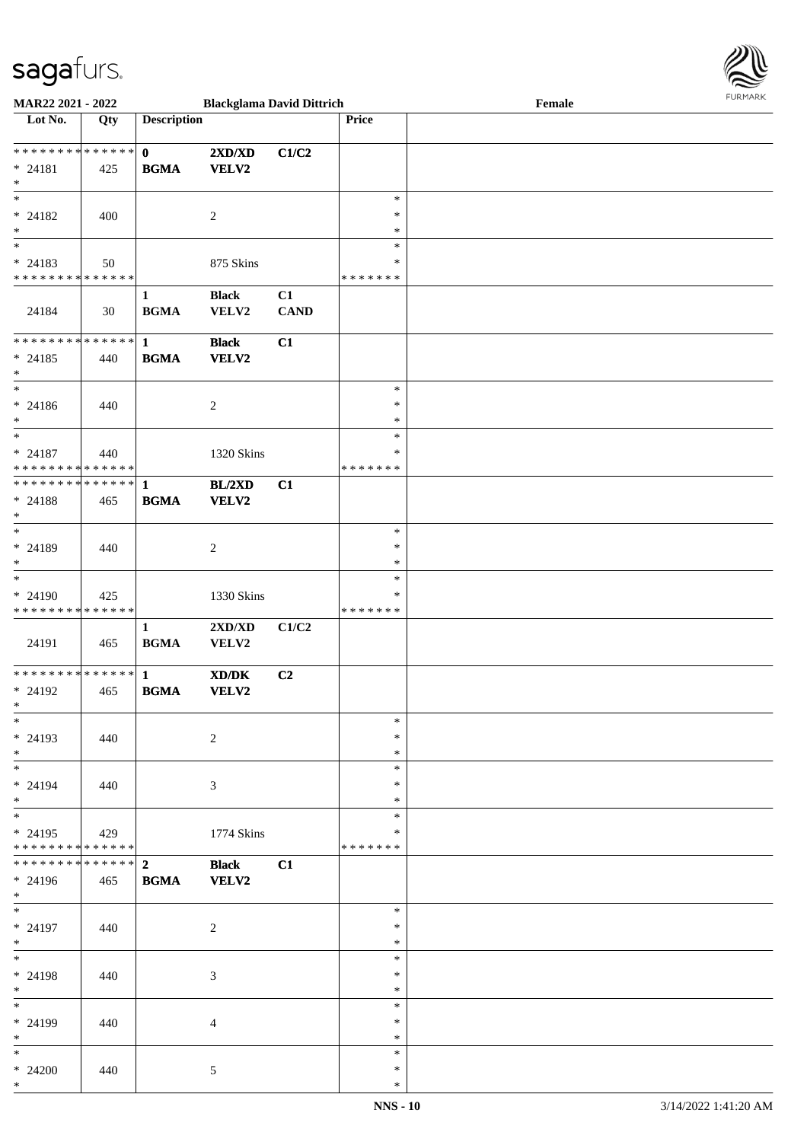

| <b>MAR22 2021 - 2022</b>                   |     |                    | <b>Blackglama David Dittrich</b>                                                                     |             |               | Female |  |
|--------------------------------------------|-----|--------------------|------------------------------------------------------------------------------------------------------|-------------|---------------|--------|--|
| Lot No.                                    | Qty | <b>Description</b> |                                                                                                      |             | Price         |        |  |
|                                            |     |                    |                                                                                                      |             |               |        |  |
|                                            |     |                    |                                                                                                      |             |               |        |  |
|                                            |     | $\mathbf{0}$       | $2{\bf X}{\bf D}/{\bf X}{\bf D}$                                                                     | C1/C2       |               |        |  |
| $* 24181$                                  | 425 | <b>BGMA</b>        | <b>VELV2</b>                                                                                         |             |               |        |  |
| $*$                                        |     |                    |                                                                                                      |             |               |        |  |
|                                            |     |                    |                                                                                                      |             | $\ast$        |        |  |
|                                            |     |                    |                                                                                                      |             | $\ast$        |        |  |
| $* 24182$                                  | 400 |                    | 2                                                                                                    |             |               |        |  |
| $\ast$                                     |     |                    |                                                                                                      |             | $\ast$        |        |  |
| $\overline{\phantom{0}}$                   |     |                    |                                                                                                      |             | $\ast$        |        |  |
| $* 24183$                                  | 50  |                    | 875 Skins                                                                                            |             | $\ast$        |        |  |
|                                            |     |                    |                                                                                                      |             |               |        |  |
| * * * * * * * * * * * * * *                |     |                    |                                                                                                      |             | * * * * * * * |        |  |
|                                            |     | $\mathbf{1}$       | <b>Black</b>                                                                                         | C1          |               |        |  |
| 24184                                      | 30  | <b>BGMA</b>        | VELV2                                                                                                | <b>CAND</b> |               |        |  |
|                                            |     |                    |                                                                                                      |             |               |        |  |
|                                            |     |                    |                                                                                                      |             |               |        |  |
|                                            |     |                    | <b>Black</b>                                                                                         | C1          |               |        |  |
| $* 24185$                                  | 440 | <b>BGMA</b>        | VELV2                                                                                                |             |               |        |  |
| $*$                                        |     |                    |                                                                                                      |             |               |        |  |
| $\ast$                                     |     |                    |                                                                                                      |             | $\ast$        |        |  |
| $* 24186$                                  | 440 |                    | $\overline{c}$                                                                                       |             | $\ast$        |        |  |
|                                            |     |                    |                                                                                                      |             |               |        |  |
| $*$                                        |     |                    |                                                                                                      |             | $\ast$        |        |  |
|                                            |     |                    |                                                                                                      |             | $\ast$        |        |  |
| $* 24187$                                  | 440 |                    | 1320 Skins                                                                                           |             | ∗             |        |  |
| * * * * * * * * * * * * * *                |     |                    |                                                                                                      |             | *******       |        |  |
|                                            |     |                    |                                                                                                      |             |               |        |  |
|                                            |     |                    | BL/2XD                                                                                               | C1          |               |        |  |
| * 24188                                    | 465 | <b>BGMA</b>        | <b>VELV2</b>                                                                                         |             |               |        |  |
| $*$                                        |     |                    |                                                                                                      |             |               |        |  |
| $\overline{\phantom{0}}$                   |     |                    |                                                                                                      |             | $\ast$        |        |  |
|                                            |     |                    |                                                                                                      |             | $\ast$        |        |  |
| * 24189                                    | 440 |                    | 2                                                                                                    |             |               |        |  |
| $*$                                        |     |                    |                                                                                                      |             | $\ast$        |        |  |
| $\overline{\ }$                            |     |                    |                                                                                                      |             | $\ast$        |        |  |
| $* 24190$                                  | 425 |                    | 1330 Skins                                                                                           |             | $\ast$        |        |  |
| * * * * * * * * <mark>* * * * * *</mark>   |     |                    |                                                                                                      |             | *******       |        |  |
|                                            |     |                    |                                                                                                      |             |               |        |  |
|                                            |     | $\mathbf{1}$       | 2XD/XD                                                                                               | C1/C2       |               |        |  |
| 24191                                      | 465 | <b>BGMA</b>        | VELV2                                                                                                |             |               |        |  |
|                                            |     |                    |                                                                                                      |             |               |        |  |
|                                            |     |                    | $\boldsymbol{\text{X}}\boldsymbol{\text{D}}\boldsymbol{/}\boldsymbol{\text{D}}\boldsymbol{\text{K}}$ | C2          |               |        |  |
| * 24192                                    | 465 | <b>BGMA</b>        | VELV2                                                                                                |             |               |        |  |
|                                            |     |                    |                                                                                                      |             |               |        |  |
| $*$                                        |     |                    |                                                                                                      |             |               |        |  |
| $*$                                        |     |                    |                                                                                                      |             | $\ast$        |        |  |
| $* 24193$                                  | 440 |                    | 2                                                                                                    |             | $\ast$        |        |  |
| $*$                                        |     |                    |                                                                                                      |             | $\ast$        |        |  |
| $*$                                        |     |                    |                                                                                                      |             | $\ast$        |        |  |
|                                            |     |                    |                                                                                                      |             |               |        |  |
| * 24194                                    | 440 |                    | 3                                                                                                    |             | ∗             |        |  |
| $*$                                        |     |                    |                                                                                                      |             | ∗             |        |  |
| $*$                                        |     |                    |                                                                                                      |             | $\ast$        |        |  |
| $* 24195$                                  | 429 |                    | 1774 Skins                                                                                           |             | ∗             |        |  |
| * * * * * * * * <mark>* * * * * * *</mark> |     |                    |                                                                                                      |             | *******       |        |  |
|                                            |     |                    |                                                                                                      |             |               |        |  |
| * * * * * * * * * * * * * * <mark>*</mark> |     | $2^{\circ}$        | <b>Black</b>                                                                                         | C1          |               |        |  |
| * 24196                                    | 465 | <b>BGMA</b>        | <b>VELV2</b>                                                                                         |             |               |        |  |
| $*$                                        |     |                    |                                                                                                      |             |               |        |  |
| $*$ $-$                                    |     |                    |                                                                                                      |             | $\ast$        |        |  |
|                                            |     |                    |                                                                                                      |             |               |        |  |
| * 24197                                    | 440 |                    | 2                                                                                                    |             | $\ast$        |        |  |
| $*$                                        |     |                    |                                                                                                      |             | $\ast$        |        |  |
| $*$ $-$                                    |     |                    |                                                                                                      |             | $\ast$        |        |  |
| * 24198                                    | 440 |                    | 3                                                                                                    |             | $\ast$        |        |  |
| $*$                                        |     |                    |                                                                                                      |             | $\ast$        |        |  |
|                                            |     |                    |                                                                                                      |             |               |        |  |
| $*$                                        |     |                    |                                                                                                      |             | $\ast$        |        |  |
| $* 24199$                                  | 440 |                    | $\overline{4}$                                                                                       |             | $\ast$        |        |  |
| $*$                                        |     |                    |                                                                                                      |             | $\ast$        |        |  |
| $*$                                        |     |                    |                                                                                                      |             | $\ast$        |        |  |
|                                            |     |                    |                                                                                                      |             | $\ast$        |        |  |
| $* 24200$                                  | 440 |                    | 5                                                                                                    |             |               |        |  |
| $*$                                        |     |                    |                                                                                                      |             | $\ast$        |        |  |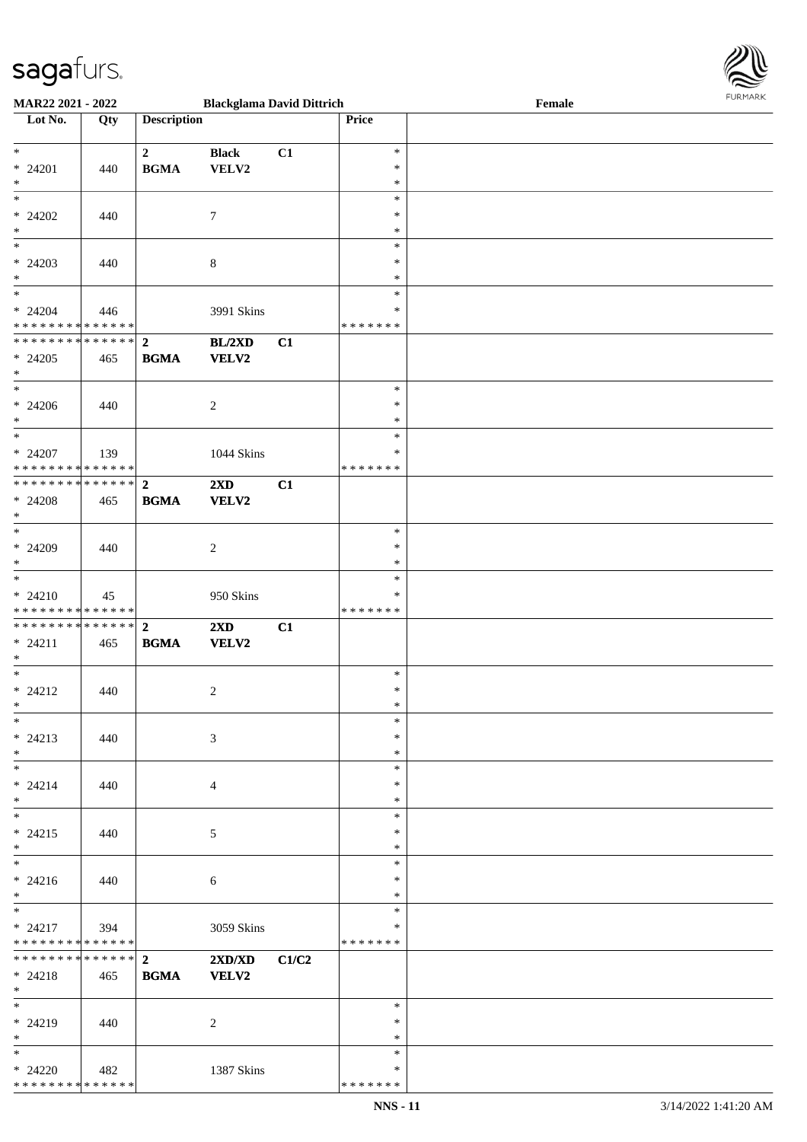

| MAR22 2021 - 2022                          |     |                    | <b>Blackglama David Dittrich</b> |       |                    | Female | <b>FURMARK</b> |
|--------------------------------------------|-----|--------------------|----------------------------------|-------|--------------------|--------|----------------|
| Lot No.                                    | Qty | <b>Description</b> |                                  |       | Price              |        |                |
|                                            |     |                    |                                  |       |                    |        |                |
| $\ast$                                     |     | $\overline{2}$     | <b>Black</b>                     | C1    | $\ast$             |        |                |
| * 24201                                    | 440 | <b>BGMA</b>        | VELV2                            |       | $\ast$             |        |                |
| $\ast$<br>$\ast$                           |     |                    |                                  |       | $\ast$<br>$\ast$   |        |                |
| $* 24202$                                  | 440 |                    | $\tau$                           |       | $\ast$             |        |                |
| $\ast$                                     |     |                    |                                  |       | $\ast$             |        |                |
| $\overline{\ast}$                          |     |                    |                                  |       | $\ast$             |        |                |
| $* 24203$                                  | 440 |                    | $\,8\,$                          |       | $\ast$             |        |                |
| $\ast$                                     |     |                    |                                  |       | $\ast$             |        |                |
| $\ast$                                     |     |                    |                                  |       | $\ast$             |        |                |
| $* 24204$                                  | 446 |                    | 3991 Skins                       |       | $\ast$             |        |                |
| * * * * * * * * * * * * * *                |     |                    |                                  |       | * * * * * * *      |        |                |
| * * * * * * * * * * * * * * *              |     | $\overline{2}$     | BL/2XD                           | C1    |                    |        |                |
| $* 24205$<br>$\ast$                        | 465 | <b>BGMA</b>        | <b>VELV2</b>                     |       |                    |        |                |
| $\ast$                                     |     |                    |                                  |       | $\ast$             |        |                |
| $* 24206$                                  | 440 |                    | $\overline{c}$                   |       | $\ast$             |        |                |
| $\ast$                                     |     |                    |                                  |       | $\ast$             |        |                |
| $\ast$                                     |     |                    |                                  |       | $\ast$             |        |                |
| $* 24207$                                  | 139 |                    | 1044 Skins                       |       | $\ast$             |        |                |
| * * * * * * * * * * * * * *                |     |                    |                                  |       | * * * * * * *      |        |                |
| ******** <mark>******</mark>               |     | $\mathbf{2}$       | 2XD                              | C1    |                    |        |                |
| $* 24208$                                  | 465 | <b>BGMA</b>        | VELV2                            |       |                    |        |                |
| $\ast$<br>$\overline{\phantom{0}}$         |     |                    |                                  |       |                    |        |                |
|                                            |     |                    |                                  |       | $\ast$<br>$\ast$   |        |                |
| * 24209<br>$\ast$                          | 440 |                    | $\overline{c}$                   |       | $\ast$             |        |                |
| $\overline{\phantom{a}^*}$                 |     |                    |                                  |       | $\ast$             |        |                |
| $* 24210$                                  | 45  |                    | 950 Skins                        |       | $\ast$             |        |                |
| * * * * * * * * * * * * * *                |     |                    |                                  |       | * * * * * * *      |        |                |
| ******** <mark>******</mark>               |     | $\overline{2}$     | 2XD                              | C1    |                    |        |                |
| $* 24211$                                  | 465 | <b>BGMA</b>        | <b>VELV2</b>                     |       |                    |        |                |
| $\ast$                                     |     |                    |                                  |       |                    |        |                |
| $\ast$                                     |     |                    |                                  |       | $\ast$             |        |                |
| $* 24212$                                  | 440 |                    | 2                                |       | $\ast$             |        |                |
| $\ast$<br>$\ast$                           |     |                    |                                  |       | $\ast$<br>$\ast$   |        |                |
| $* 24213$                                  | 440 |                    |                                  |       | $\ast$             |        |                |
| $\ast$                                     |     |                    | 3                                |       | $\ast$             |        |                |
| $\ast$                                     |     |                    |                                  |       | $\ast$             |        |                |
| $* 24214$                                  | 440 |                    | $\overline{4}$                   |       | $\ast$             |        |                |
| $\ast$                                     |     |                    |                                  |       | $\ast$             |        |                |
| $\overline{\phantom{0}}$                   |     |                    |                                  |       | $\ast$             |        |                |
| $* 24215$                                  | 440 |                    | 5                                |       | ∗                  |        |                |
| $\ast$                                     |     |                    |                                  |       | $\ast$             |        |                |
| $\overline{\phantom{0}}$                   |     |                    |                                  |       | $\ast$             |        |                |
| $* 24216$<br>$\ast$                        | 440 |                    | 6                                |       | $\ast$             |        |                |
| $\overline{\phantom{0}}$                   |     |                    |                                  |       | $\ast$<br>$\ast$   |        |                |
| $* 24217$                                  | 394 |                    | 3059 Skins                       |       | $\ast$             |        |                |
| * * * * * * * * * * * * * *                |     |                    |                                  |       | * * * * * * *      |        |                |
| ******** <mark>******</mark>               |     | $\overline{2}$     | 2XD/XD                           | C1/C2 |                    |        |                |
| $* 24218$                                  | 465 | <b>BGMA</b>        | <b>VELV2</b>                     |       |                    |        |                |
| $*$                                        |     |                    |                                  |       |                    |        |                |
| $\ast$                                     |     |                    |                                  |       | $\ast$             |        |                |
| $* 24219$                                  | 440 |                    | $\overline{2}$                   |       | $\ast$             |        |                |
| $\ast$                                     |     |                    |                                  |       | $\ast$             |        |                |
| $\ast$                                     |     |                    |                                  |       | $\ast$             |        |                |
| $* 24220$<br>* * * * * * * * * * * * * * * | 482 |                    | 1387 Skins                       |       | ∗<br>* * * * * * * |        |                |
|                                            |     |                    |                                  |       |                    |        |                |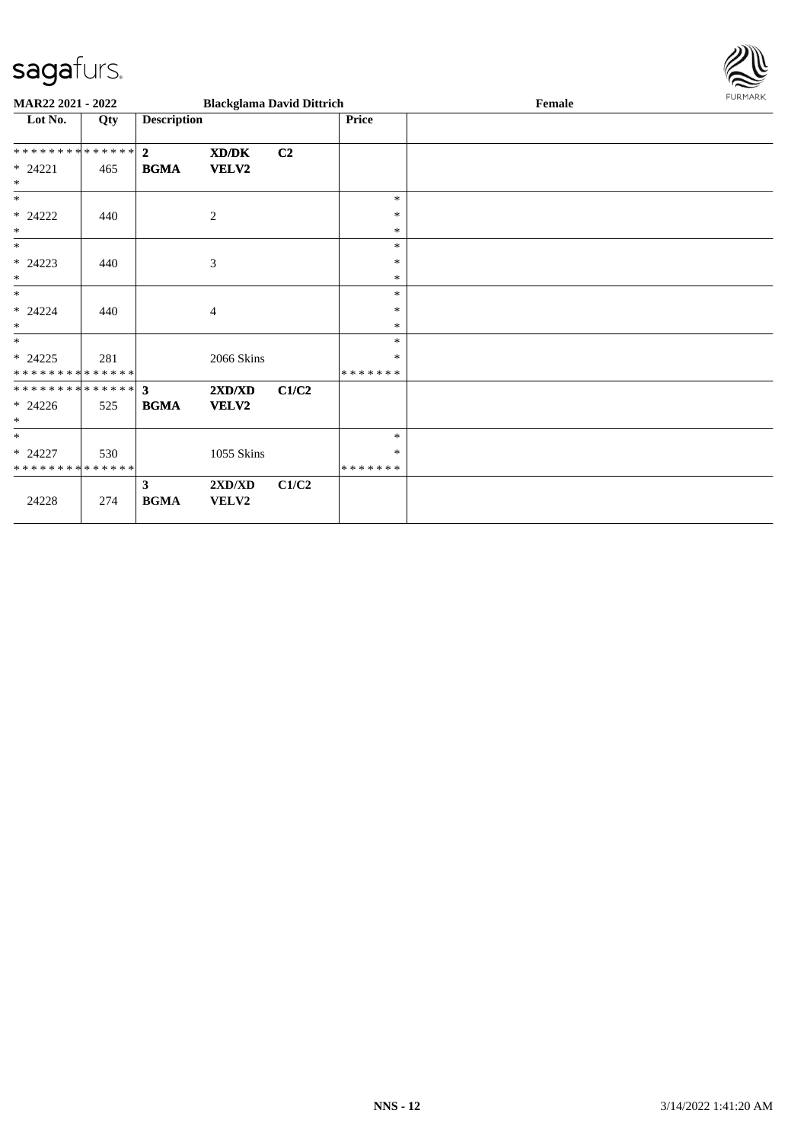

| MAR22 2021 - 2022                        |     |                             | <b>Blackglama David Dittrich</b>          |                |                    | Female | <b>FURMARK</b> |
|------------------------------------------|-----|-----------------------------|-------------------------------------------|----------------|--------------------|--------|----------------|
| Lot No.                                  | Qty | <b>Description</b>          |                                           |                | Price              |        |                |
| **************                           |     | $\mathbf{2}$                | XD/DK                                     | C <sub>2</sub> |                    |        |                |
| $* 24221$<br>$\ast$                      | 465 | <b>BGMA</b>                 | <b>VELV2</b>                              |                |                    |        |                |
| $\ast$                                   |     |                             |                                           |                | $\ast$             |        |                |
| $* 24222$<br>$\ast$                      | 440 |                             | $\sqrt{2}$                                |                | $\ast$<br>$\ast$   |        |                |
| $\ast$                                   |     |                             |                                           |                | $\ast$             |        |                |
| $* 24223$<br>$\ast$                      | 440 |                             | 3                                         |                | $\ast$<br>$\ast$   |        |                |
| $\ast$                                   |     |                             |                                           |                | $\ast$             |        |                |
| $* 24224$<br>$\ast$                      | 440 |                             | $\overline{4}$                            |                | $\ast$<br>$\ast$   |        |                |
| $\ast$                                   |     |                             |                                           |                | $\ast$             |        |                |
| $* 24225$<br>* * * * * * * * * * * * * * | 281 |                             | 2066 Skins                                |                | ∗<br>*******       |        |                |
|                                          |     |                             | 2XD/XD                                    | C1/C2          |                    |        |                |
| $* 24226$<br>$\ast$                      | 525 | <b>BGMA</b>                 | VELV2                                     |                |                    |        |                |
| $*$                                      |     |                             |                                           |                | $\ast$             |        |                |
| $* 24227$<br>* * * * * * * * * * * * * * | 530 |                             | 1055 Skins                                |                | *<br>* * * * * * * |        |                |
| 24228                                    | 274 | $\mathbf{3}$<br><b>BGMA</b> | $2{\bf X}{\bf D}/{\bf X}{\bf D}$<br>VELV2 | C1/C2          |                    |        |                |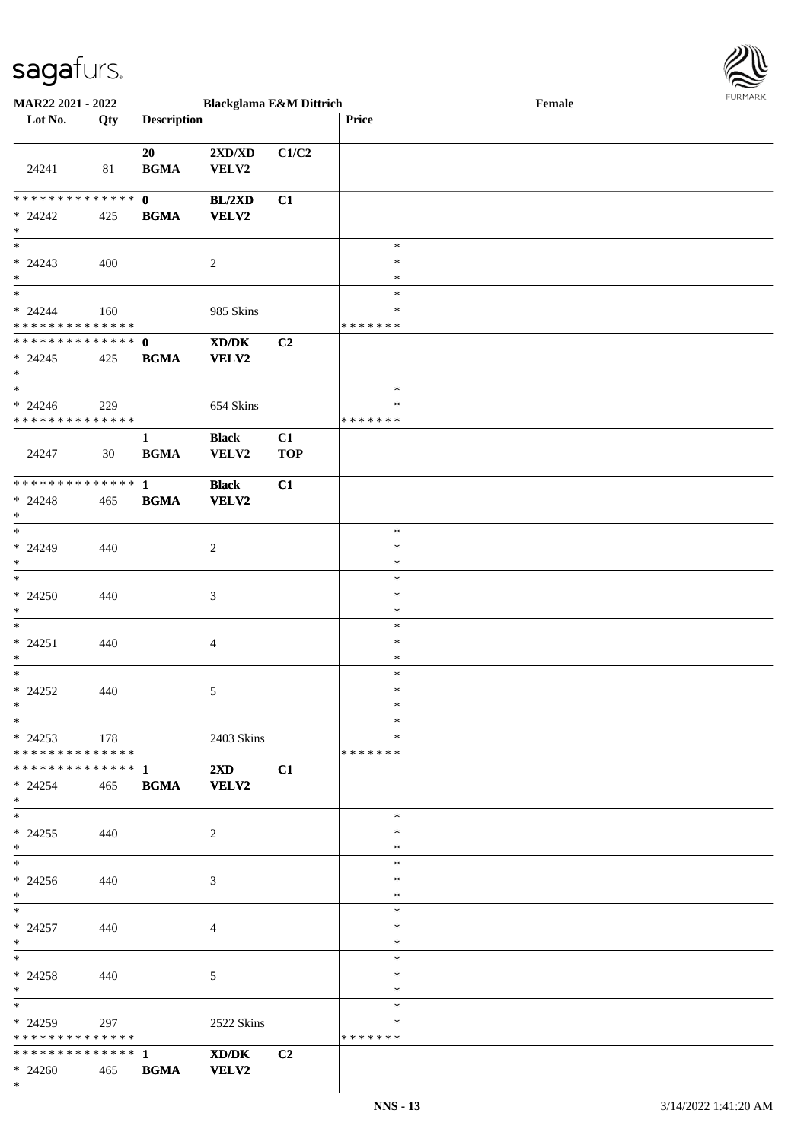

| <b>MAR22 2021 - 2022</b>                   |             |                    | <b>Blackglama E&amp;M Dittrich</b> |                |               | Female |  |
|--------------------------------------------|-------------|--------------------|------------------------------------|----------------|---------------|--------|--|
| Lot No.                                    | Qty         | <b>Description</b> |                                    |                | Price         |        |  |
|                                            |             |                    |                                    |                |               |        |  |
|                                            |             | 20                 | $2{\bf X}{\bf D}/{\bf X}{\bf D}$   | C1/C2          |               |        |  |
| 24241                                      | 81          | <b>BGMA</b>        | VELV2                              |                |               |        |  |
|                                            |             |                    |                                    |                |               |        |  |
| * * * * * * * * <mark>* * * * * * *</mark> |             | $\mathbf{0}$       | BL/2XD                             | C1             |               |        |  |
| $* 24242$                                  | 425         | <b>BGMA</b>        | <b>VELV2</b>                       |                |               |        |  |
| $\ast$                                     |             |                    |                                    |                |               |        |  |
| $*$                                        |             |                    |                                    |                | $\ast$        |        |  |
| $* 24243$                                  | 400         |                    |                                    |                | $\ast$        |        |  |
| $\ast$                                     |             |                    | $\overline{c}$                     |                | $\ast$        |        |  |
| $\ddot{x}$                                 |             |                    |                                    |                | $\ast$        |        |  |
|                                            |             |                    |                                    |                |               |        |  |
| $* 24244$                                  | 160         |                    | 985 Skins                          |                | $\ast$        |        |  |
| * * * * * * * * <mark>* * * * * *</mark>   |             |                    |                                    |                | * * * * * * * |        |  |
| * * * * * * * * <mark>* * * * * * *</mark> |             | $\mathbf 0$        | XD/DK                              | C2             |               |        |  |
| $* 24245$                                  | 425         | <b>BGMA</b>        | <b>VELV2</b>                       |                |               |        |  |
| $\ast$                                     |             |                    |                                    |                |               |        |  |
| $\ast$                                     |             |                    |                                    |                | $\ast$        |        |  |
| $* 24246$                                  | 229         |                    | 654 Skins                          |                | $\ast$        |        |  |
| * * * * * * * * <mark>* * * * * * *</mark> |             |                    |                                    |                | * * * * * * * |        |  |
|                                            |             | $\mathbf{1}$       | <b>Black</b>                       | C1             |               |        |  |
| 24247                                      | 30          | <b>BGMA</b>        | VELV2                              | <b>TOP</b>     |               |        |  |
|                                            |             |                    |                                    |                |               |        |  |
| * * * * * * * * <mark>* * * * * * *</mark> |             | $\mathbf{1}$       | <b>Black</b>                       | C1             |               |        |  |
| $* 24248$                                  | 465         | <b>BGMA</b>        | <b>VELV2</b>                       |                |               |        |  |
| $\ast$                                     |             |                    |                                    |                |               |        |  |
|                                            |             |                    |                                    |                | $\ast$        |        |  |
| $* 24249$                                  |             |                    |                                    |                | $\ast$        |        |  |
| $\ast$                                     | 440         |                    | $\overline{c}$                     |                | $\ast$        |        |  |
| $\ast$                                     |             |                    |                                    |                |               |        |  |
|                                            |             |                    |                                    |                | $\ast$        |        |  |
| $* 24250$                                  | 440         |                    | 3                                  |                | $\ast$        |        |  |
| $\ast$                                     |             |                    |                                    |                | $\ast$        |        |  |
| $\ast$                                     |             |                    |                                    |                | $\ast$        |        |  |
| $* 24251$                                  | 440         |                    | 4                                  |                | $\ast$        |        |  |
| $\ast$                                     |             |                    |                                    |                | $\ast$        |        |  |
| $\ast$                                     |             |                    |                                    |                | $\ast$        |        |  |
| $* 24252$                                  | 440         |                    | 5                                  |                | $\ast$        |        |  |
| $\ast$                                     |             |                    |                                    |                | $\ast$        |        |  |
| $*$                                        |             |                    |                                    |                | $\ast$        |        |  |
| $*$ 24253                                  | $\vert$ 178 |                    | 2403 Skins                         |                | $\ast$        |        |  |
| * * * * * * * * * * * * * * <mark>*</mark> |             |                    |                                    |                | * * * * * * * |        |  |
|                                            |             |                    | $2\mathbf{X}\mathbf{D}$            | C1             |               |        |  |
| $* 24254$                                  | 465         | <b>BGMA</b>        | <b>VELV2</b>                       |                |               |        |  |
| $\ast$                                     |             |                    |                                    |                |               |        |  |
| $\ast$                                     |             |                    |                                    |                | $\ast$        |        |  |
|                                            |             |                    |                                    |                | $\ast$        |        |  |
| $* 24255$<br>$\ast$                        | 440         |                    | 2                                  |                | $\ast$        |        |  |
| $\ddot{x}$                                 |             |                    |                                    |                |               |        |  |
|                                            |             |                    |                                    |                | $\ast$        |        |  |
| $* 24256$                                  | 440         |                    | 3                                  |                | $\ast$        |        |  |
| $*$                                        |             |                    |                                    |                | $\ast$        |        |  |
| $*$ $-$                                    |             |                    |                                    |                | $\ast$        |        |  |
| $* 24257$                                  | 440         |                    | $\overline{4}$                     |                | $\ast$        |        |  |
| $*$                                        |             |                    |                                    |                | $\ast$        |        |  |
| $*$ $-$                                    |             |                    |                                    |                | $\ast$        |        |  |
| $* 24258$                                  | 440         |                    | 5                                  |                | $\ast$        |        |  |
| $*$                                        |             |                    |                                    |                | $\ast$        |        |  |
| $*$ $-$                                    |             |                    |                                    |                | $\ast$        |        |  |
| $*24259$                                   | 297         |                    | 2522 Skins                         |                | $\ast$        |        |  |
| * * * * * * * * * * * * * *                |             |                    |                                    |                | * * * * * * * |        |  |
|                                            |             |                    | XD/DK                              | C <sub>2</sub> |               |        |  |
| $* 24260$                                  | 465         | <b>BGMA</b>        | <b>VELV2</b>                       |                |               |        |  |
|                                            |             |                    |                                    |                |               |        |  |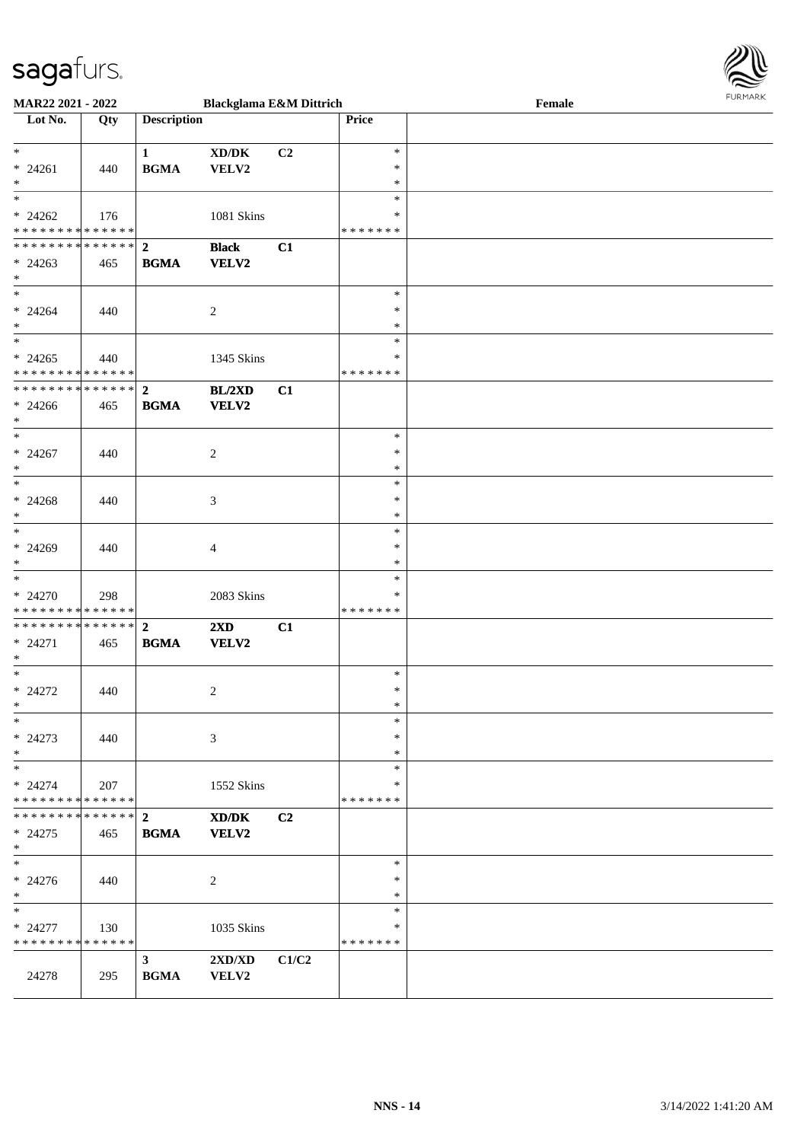

| MAR22 2021 - 2022                                                          |     |                            | <b>Blackglama E&amp;M Dittrich</b> |       |                                       | Female | <b>FURPIARA</b> |
|----------------------------------------------------------------------------|-----|----------------------------|------------------------------------|-------|---------------------------------------|--------|-----------------|
| Lot No.                                                                    | Qty | <b>Description</b>         |                                    |       | Price                                 |        |                 |
| $*$<br>$* 24261$<br>$\ast$                                                 | 440 | 1<br><b>BGMA</b>           | XD/DK<br>VELV2                     | C2    | $\ast$<br>$\ast$<br>$\ast$            |        |                 |
| $* 24262$<br>* * * * * * * * * * * * * * <mark>*</mark><br>************* 2 | 176 |                            | 1081 Skins                         |       | $\ast$<br>*<br>* * * * * * *          |        |                 |
| $*$ 24263<br>$\ast$<br>$*$                                                 | 465 | <b>BGMA</b>                | <b>Black</b><br><b>VELV2</b>       | C1    | $\ast$                                |        |                 |
| $* 24264$<br>$*$                                                           | 440 |                            | 2                                  |       | ∗<br>*<br>$\ast$                      |        |                 |
| $* 24265$<br>* * * * * * * * <mark>* * * * * * *</mark>                    | 440 |                            | 1345 Skins                         |       | ∗<br>* * * * * * *                    |        |                 |
| $* 24266$<br>$*$<br>$\ddot{x}$                                             | 465 | <b>BGMA</b>                | BL/2XD<br><b>VELV2</b>             | C1    |                                       |        |                 |
| $* 24267$<br>$\ast$<br>$\ast$                                              | 440 |                            | 2                                  |       | $\ast$<br>$\ast$<br>$\ast$            |        |                 |
| $* 24268$<br>$\ast$                                                        | 440 |                            | 3                                  |       | $\ast$<br>$\ast$<br>$\ast$            |        |                 |
| $*$<br>$* 24269$<br>$*$<br>$*$                                             | 440 |                            | $\overline{4}$                     |       | $\ast$<br>$\ast$<br>$\ast$            |        |                 |
| $* 24270$<br>* * * * * * * * <mark>* * * * * * *</mark>                    | 298 |                            | 2083 Skins                         |       | $\ast$<br>∗<br>* * * * * * *          |        |                 |
| $* 24271$<br>$\ast$<br>$\ast$                                              | 465 | <b>BGMA</b>                | $2\mathbf{X}\mathbf{D}$<br>VELV2   | C1    |                                       |        |                 |
| $* 24272$<br>$\ast$<br>$\ast$                                              | 440 |                            | 2                                  |       | $\ast$<br>$\ast$<br>$\star$<br>$\ast$ |        |                 |
| $* 24273$<br>$\ast$<br>$\ast$                                              | 440 |                            | 3                                  |       | $\ast$<br>$\ast$                      |        |                 |
| $* 24274$<br>* * * * * * * * * * * * * * <mark>*</mark>                    | 207 |                            | 1552 Skins                         |       | $\ast$<br>*<br>* * * * * * *          |        |                 |
| $* 24275$<br>$\ast$                                                        | 465 | <b>BGMA</b>                | XD/DK<br><b>VELV2</b>              | C2    |                                       |        |                 |
| $\ast$<br>$* 24276$<br>$\ast$                                              | 440 |                            | 2                                  |       | $\ast$<br>*<br>*                      |        |                 |
| $\ast$<br>$* 24277$<br>* * * * * * * * * * * * * * *                       | 130 |                            | 1035 Skins                         |       | $\ast$<br>∗<br>* * * * * * *          |        |                 |
| 24278                                                                      | 295 | $3^{\circ}$<br><b>BGMA</b> | 2XD/XD<br>VELV2                    | C1/C2 |                                       |        |                 |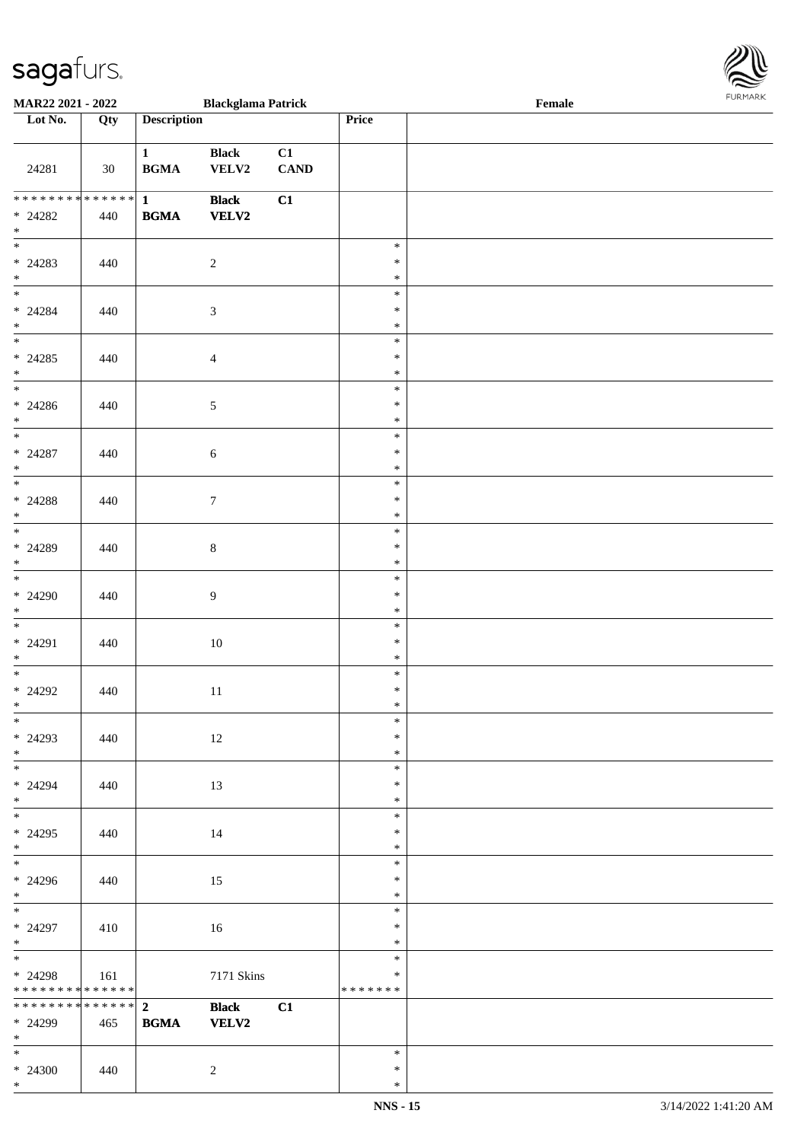

| <b>MAR22 2021 - 2022</b>                         |                   |                               | <b>Blackglama Patrick</b>    |                   |                                   | Female |  |
|--------------------------------------------------|-------------------|-------------------------------|------------------------------|-------------------|-----------------------------------|--------|--|
| Lot No.                                          | $\overline{Q}$ ty | <b>Description</b>            |                              |                   | Price                             |        |  |
|                                                  |                   |                               |                              |                   |                                   |        |  |
| 24281                                            | 30                | $\mathbf{1}$<br><b>BGMA</b>   | <b>Black</b><br>VELV2        | C1<br><b>CAND</b> |                                   |        |  |
| ******** <mark>******</mark><br>$* 24282$<br>$*$ | 440               | $\mathbf{1}$<br><b>BGMA</b>   | <b>Black</b><br>VELV2        | C1                |                                   |        |  |
| $* 24283$<br>$*$                                 | 440               |                               | $\overline{2}$               |                   | $\ast$<br>$\ast$<br>$\ast$        |        |  |
| $* 24284$<br>$*$                                 | 440               |                               | $\sqrt{3}$                   |                   | $\ast$<br>$\ast$<br>$\ast$        |        |  |
| $* 24285$<br>$*$                                 | 440               |                               | $\overline{4}$               |                   | $\ast$<br>$\ast$<br>$\ast$        |        |  |
| $\overline{\phantom{0}}$<br>$* 24286$<br>$*$     | 440               |                               | $\sqrt{5}$                   |                   | $\ast$<br>$\ast$<br>$\ast$        |        |  |
| $\overline{\phantom{0}}$<br>$* 24287$<br>$*$     | 440               |                               | $\sqrt{6}$                   |                   | $\ast$<br>$\ast$<br>$\ast$        |        |  |
| $* 24288$<br>$*$                                 | 440               |                               | $\tau$                       |                   | $\ast$<br>$\ast$<br>$\ast$        |        |  |
| $* 24289$<br>$*$                                 | 440               |                               | $\,8\,$                      |                   | $\ast$<br>$\ast$<br>$\ast$        |        |  |
| $* 24290$<br>$*$                                 | 440               |                               | $\overline{9}$               |                   | $\ast$<br>$\ast$<br>$\ast$        |        |  |
| $*$<br>$* 24291$<br>$*$                          | 440               |                               | $10\,$                       |                   | $\ast$<br>$\ast$<br>$\ast$        |        |  |
| $*$<br>$* 24292$<br>$*$                          | 440               |                               | $11\,$                       |                   | $\ast$<br>$\ast$<br>$\ast$        |        |  |
| $*$<br>$* 24293$<br>$*$                          | 440               |                               | 12                           |                   | $\ast$<br>$\ast$<br>$\ast$        |        |  |
| $* 24294$<br>$*$                                 | 440               |                               | 13                           |                   | $\ast$<br>$\ast$<br>$\ast$        |        |  |
| $* 24295$<br>$*$                                 | 440               |                               | 14                           |                   | $\ast$<br>$\ast$<br>$\ast$        |        |  |
| $*$<br>$* 24296$<br>$*$                          | 440               |                               | 15                           |                   | $\ast$<br>$\ast$<br>$\ast$        |        |  |
| $*$<br>$* 24297$<br>$*$                          | 410               |                               | 16                           |                   | $\ast$<br>$\ast$<br>$\ast$        |        |  |
| * 24298<br>* * * * * * * * * * * * * * *         | 161               |                               | 7171 Skins                   |                   | $\ast$<br>$\ast$<br>* * * * * * * |        |  |
| * * * * * * * * * * * * * * *<br>* 24299<br>$*$  | 465               | 2 <sup>7</sup><br><b>BGMA</b> | <b>Black</b><br><b>VELV2</b> | C1                |                                   |        |  |
| $*$ $*$<br>$* 24300$<br>$\ast$                   | 440               |                               | $\overline{2}$               |                   | $\ast$<br>$\ast$<br>$\ast$        |        |  |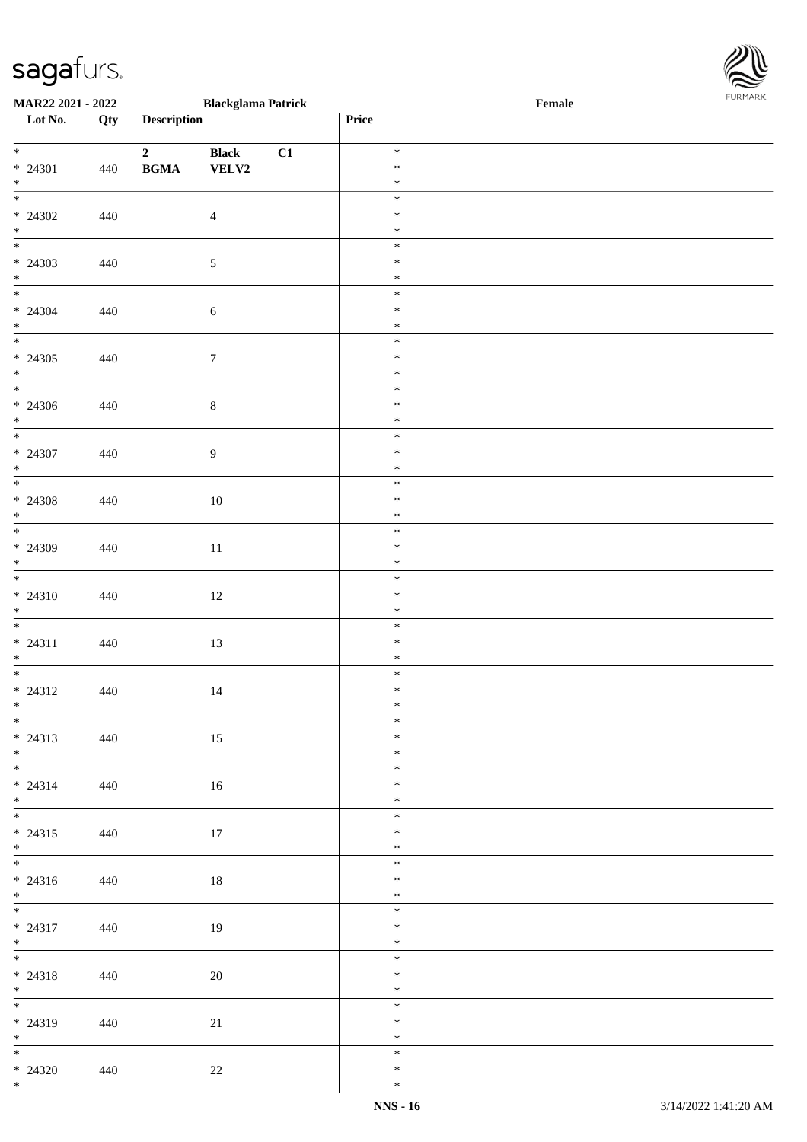# $\mathsf{Sagg}$   $\mathsf{H}(\mathsf{LTS}_n)$  **Blackglama Patrick**

| <b>MAR22 2021 - 2022</b>                         |     |                                                                       | Blackglama Patrick    |    |                            | Female |
|--------------------------------------------------|-----|-----------------------------------------------------------------------|-----------------------|----|----------------------------|--------|
| Lot No.                                          | Qty | <b>Description</b>                                                    |                       |    | Price                      |        |
| $\overline{\ast}$<br>$* 24301$<br>$*$            | 440 | $\overline{\mathbf{2}}$<br>$\mathbf{B}\mathbf{G}\mathbf{M}\mathbf{A}$ | <b>Black</b><br>VELV2 | C1 | $\ast$<br>$\ast$<br>$\ast$ |        |
| $\overline{\ast}$<br>$* 24302$<br>$*$            | 440 |                                                                       | $\overline{4}$        |    | $\ast$<br>$\ast$<br>$\ast$ |        |
| $\overline{\mathbf{r}}$<br>$* 24303$<br>$*$<br>* | 440 |                                                                       | $\mathfrak{S}$        |    | $\ast$<br>$\ast$<br>$\ast$ |        |
| $* 24304$<br>$*$                                 | 440 |                                                                       | $\sqrt{6}$            |    | $\ast$<br>$\ast$<br>$\ast$ |        |
| $* 24305$<br>$*$                                 | 440 |                                                                       | $7\phantom{.0}$       |    | $\ast$<br>$\ast$<br>$\ast$ |        |
| $* 24306$<br>$*$                                 | 440 |                                                                       | $\,8\,$               |    | $\ast$<br>$\ast$<br>$\ast$ |        |
| $*$<br>$* 24307$<br>$*$                          | 440 |                                                                       | 9                     |    | $\ast$<br>$\ast$<br>$\ast$ |        |
| $\overline{\mathbf{r}}$<br>$* 24308$<br>$*$      | 440 |                                                                       | $10\,$                |    | $\ast$<br>$\ast$<br>$\ast$ |        |
| $\ddot{x}$<br>$* 24309$                          | 440 |                                                                       | 11                    |    | $\ast$<br>$\ast$<br>$\ast$ |        |
| $*$<br>$* 24310$<br>$*$                          | 440 |                                                                       | 12                    |    | $\ast$<br>$\ast$<br>$\ast$ |        |
| $* 24311$<br>$*$                                 | 440 |                                                                       | 13                    |    | $\ast$<br>$\ast$<br>$\ast$ |        |
| $* 24312$<br>$*$                                 | 440 |                                                                       | 14                    |    | $\ast$<br>$\ast$<br>$\ast$ |        |
| $*$<br>$* 24313$<br>$\ast$                       | 440 |                                                                       | 15                    |    | $\ast$<br>$\ast$<br>$\ast$ |        |
| $*$<br>$* 24314$<br>$*$                          | 440 |                                                                       | 16                    |    | $\ast$<br>$\ast$<br>$\ast$ |        |
| $*$<br>$* 24315$                                 | 440 |                                                                       | 17                    |    | $\ast$<br>$\ast$<br>$\ast$ |        |
| * $*$<br>$* 24316$                               | 440 |                                                                       | 18                    |    | $\ast$<br>$\ast$<br>$\ast$ |        |
| $*$<br>$*$<br>$* 24317$<br>$*$                   | 440 |                                                                       | 19                    |    | $\ast$<br>$\ast$<br>$\ast$ |        |
| $*$<br>$* 24318$<br>$*$                          | 440 |                                                                       | 20                    |    | $\ast$<br>$\ast$<br>$\ast$ |        |
| $* 24319$<br>$*$                                 | 440 |                                                                       | 21                    |    | $\ast$<br>$\ast$<br>$\ast$ |        |
| $\ast$<br>$* 24320$                              | 440 |                                                                       | 22                    |    | $\ast$<br>$\ast$           |        |

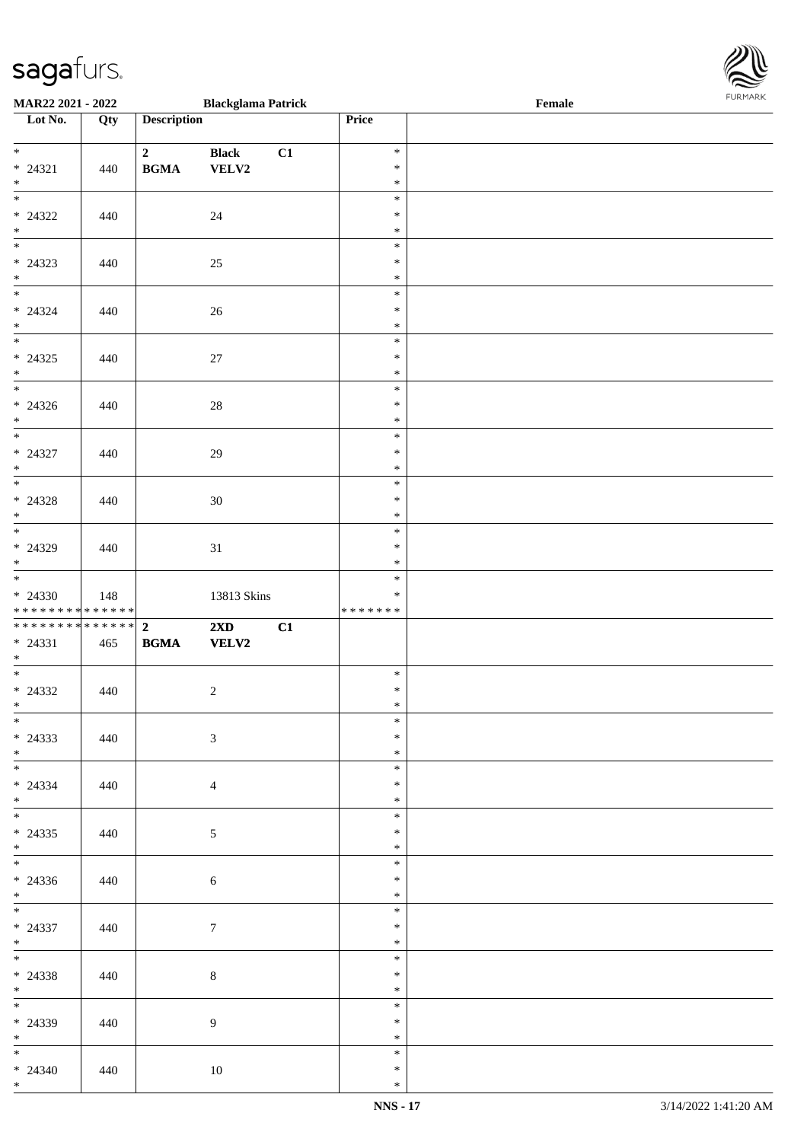| <b>MAR22 2021 - 2022</b>                                     |     |                                            | <b>Blackglama Patrick</b>               |    |                             | Female |  |
|--------------------------------------------------------------|-----|--------------------------------------------|-----------------------------------------|----|-----------------------------|--------|--|
| Lot No.                                                      | Qty | <b>Description</b>                         |                                         |    | <b>Price</b>                |        |  |
| $*$                                                          |     | $\overline{2}$                             | <b>Black</b>                            | C1 | $\ast$                      |        |  |
| $* 24321$<br>$*$                                             | 440 | <b>BGMA</b>                                | VELV2                                   |    | $\ast$<br>$\ast$            |        |  |
| $\overline{\mathbf{r}}$<br>$* 24322$<br>$*$                  | 440 |                                            | 24                                      |    | $\ast$<br>$\ast$<br>$\ast$  |        |  |
| $* 24323$<br>$*$                                             | 440 |                                            | 25                                      |    | $\ast$<br>$\ast$<br>$\ast$  |        |  |
| $*$<br>$* 24324$<br>$*$                                      | 440 |                                            | 26                                      |    | $\ast$<br>$\ast$<br>$\ast$  |        |  |
| $* 24325$<br>$*$                                             | 440 |                                            | 27                                      |    | $\ast$<br>$\ast$<br>$\ast$  |        |  |
| $* 24326$<br>$\ast$                                          | 440 |                                            | $28\,$                                  |    | $\ast$<br>$\ast$<br>$\ast$  |        |  |
| $* 24327$<br>$*$                                             | 440 |                                            | 29                                      |    | $\ast$<br>$\ast$<br>$\ast$  |        |  |
| $\overline{\ast}$<br>$* 24328$<br>$\ast$                     | 440 |                                            | $30\,$                                  |    | $\ast$<br>$\ast$<br>$\ast$  |        |  |
| $\overline{\phantom{0}}$<br>$* 24329$<br>$*$                 | 440 |                                            | 31                                      |    | $\ast$<br>$\ast$<br>$\ast$  |        |  |
| $*$<br>$* 24330$<br>* * * * * * * * <mark>* * * * * *</mark> | 148 |                                            | 13813 Skins                             |    | $\ast$<br>$\ast$<br>******* |        |  |
| $* 24331$<br>$*$                                             | 465 | $\mathbf{B}\mathbf{G}\mathbf{M}\mathbf{A}$ | $2\mathbf{X}\mathbf{D}$<br><b>VELV2</b> | C1 |                             |        |  |
| $* 24332$<br>$*$                                             | 440 |                                            | 2                                       |    | $\ast$<br>$\ast$<br>$\ast$  |        |  |
| $\overline{\ast}$<br>$* 24333$<br>$*$                        | 440 |                                            | $\mathfrak{Z}$                          |    | $\ast$<br>$\ast$<br>$\ast$  |        |  |
| $\overline{\ast}$<br>$* 24334$<br>$\ast$                     | 440 |                                            | $\overline{4}$                          |    | $\ast$<br>$\ast$<br>$\ast$  |        |  |
| $\ddot{x}$<br>$* 24335$<br>$\ast$                            | 440 |                                            | $5\overline{)}$                         |    | $\ast$<br>$\ast$<br>$\ast$  |        |  |
| $\overline{\mathbf{r}}$<br>$* 24336$<br>$*$                  | 440 |                                            | 6                                       |    | $\ast$<br>$\ast$<br>$\ast$  |        |  |
| $*$<br>$* 24337$<br>$*$                                      | 440 |                                            | $7\phantom{.0}$                         |    | $\ast$<br>$\ast$<br>$\ast$  |        |  |
| $*$<br>$* 24338$<br>$*$ $-$                                  | 440 |                                            | 8                                       |    | $\ast$<br>$\ast$<br>$\ast$  |        |  |
| $\overline{\mathbf{r}}$<br>$* 24339$<br>$*$                  | 440 |                                            | 9                                       |    | $\ast$<br>$\ast$<br>$\ast$  |        |  |
| $\overline{\mathbf{r}}$<br>$* 24340$<br>$\ast$               | 440 |                                            | 10                                      |    | $\ast$<br>$\ast$<br>$\ast$  |        |  |